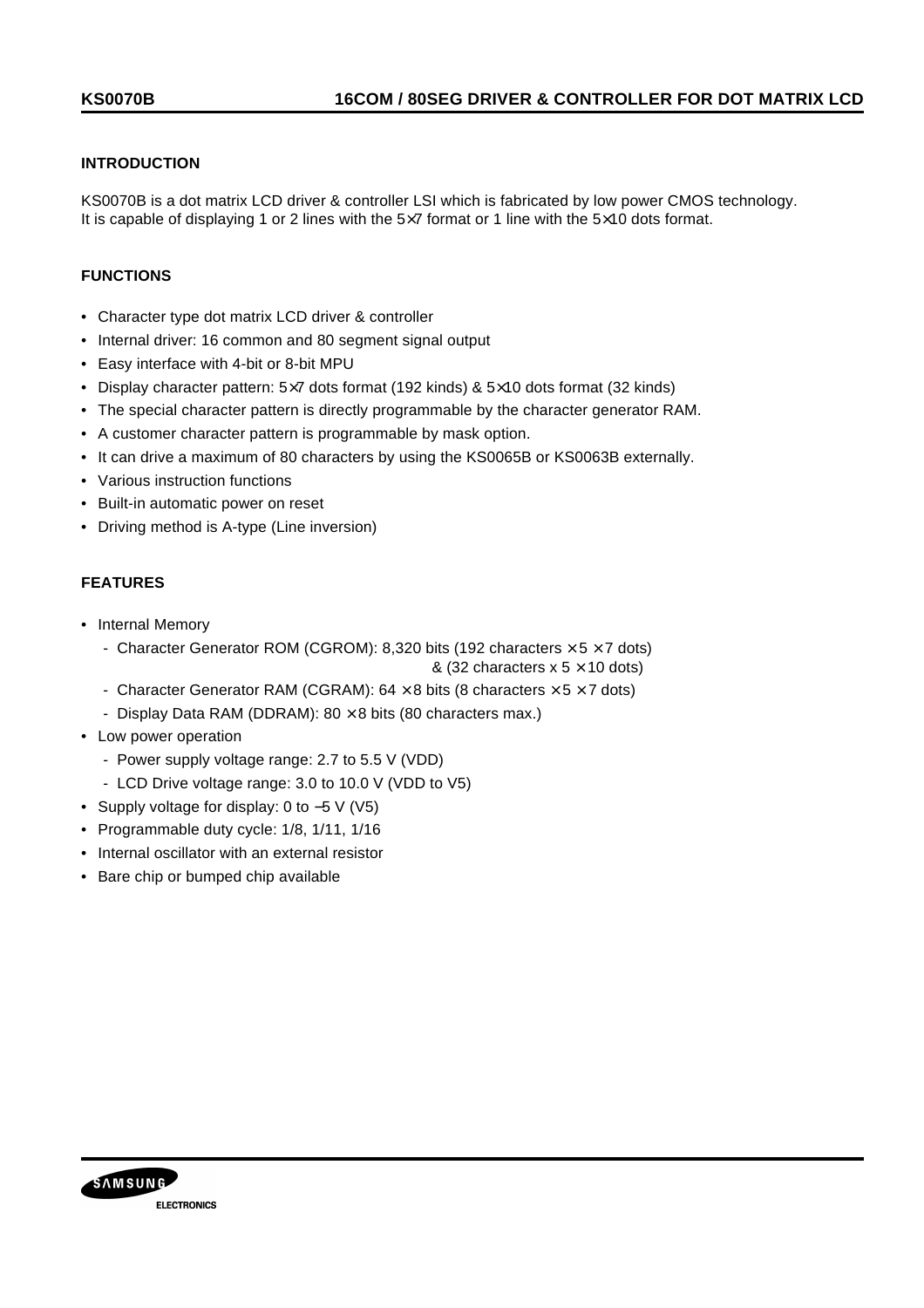### **INTRODUCTION**

KS0070B is a dot matrix LCD driver & controller LSI which is fabricated by low power CMOS technology. It is capable of displaying 1 or 2 lines with the 5×7 format or 1 line with the 5×10 dots format.

### **FUNCTIONS**

- Character type dot matrix LCD driver & controller
- Internal driver: 16 common and 80 segment signal output
- Easy interface with 4-bit or 8-bit MPU
- Display character pattern:  $5\times7$  dots format (192 kinds) &  $5\times10$  dots format (32 kinds)
- The special character pattern is directly programmable by the character generator RAM.
- A customer character pattern is programmable by mask option.
- It can drive a maximum of 80 characters by using the KS0065B or KS0063B externally.
- Various instruction functions
- Built-in automatic power on reset
- Driving method is A-type (Line inversion)

### **FEATURES**

- Internal Memory
	- Character Generator ROM (CGROM): 8,320 bits (192 characters  $\times$  5  $\times$  7 dots)
		- & (32 characters  $x$  5  $\times$  10 dots)
	- Character Generator RAM (CGRAM):  $64 \times 8$  bits (8 characters  $\times 5 \times 7$  dots)
	- Display Data RAM (DDRAM):  $80 \times 8$  bits (80 characters max.)
- Low power operation
	- Power supply voltage range: 2.7 to 5.5 V (VDD)
	- LCD Drive voltage range: 3.0 to 10.0 V (VDD to V5)
- Supply voltage for display: 0 to −5 V (V5)
- Programmable duty cycle: 1/8, 1/11, 1/16
- Internal oscillator with an external resistor
- Bare chip or bumped chip available

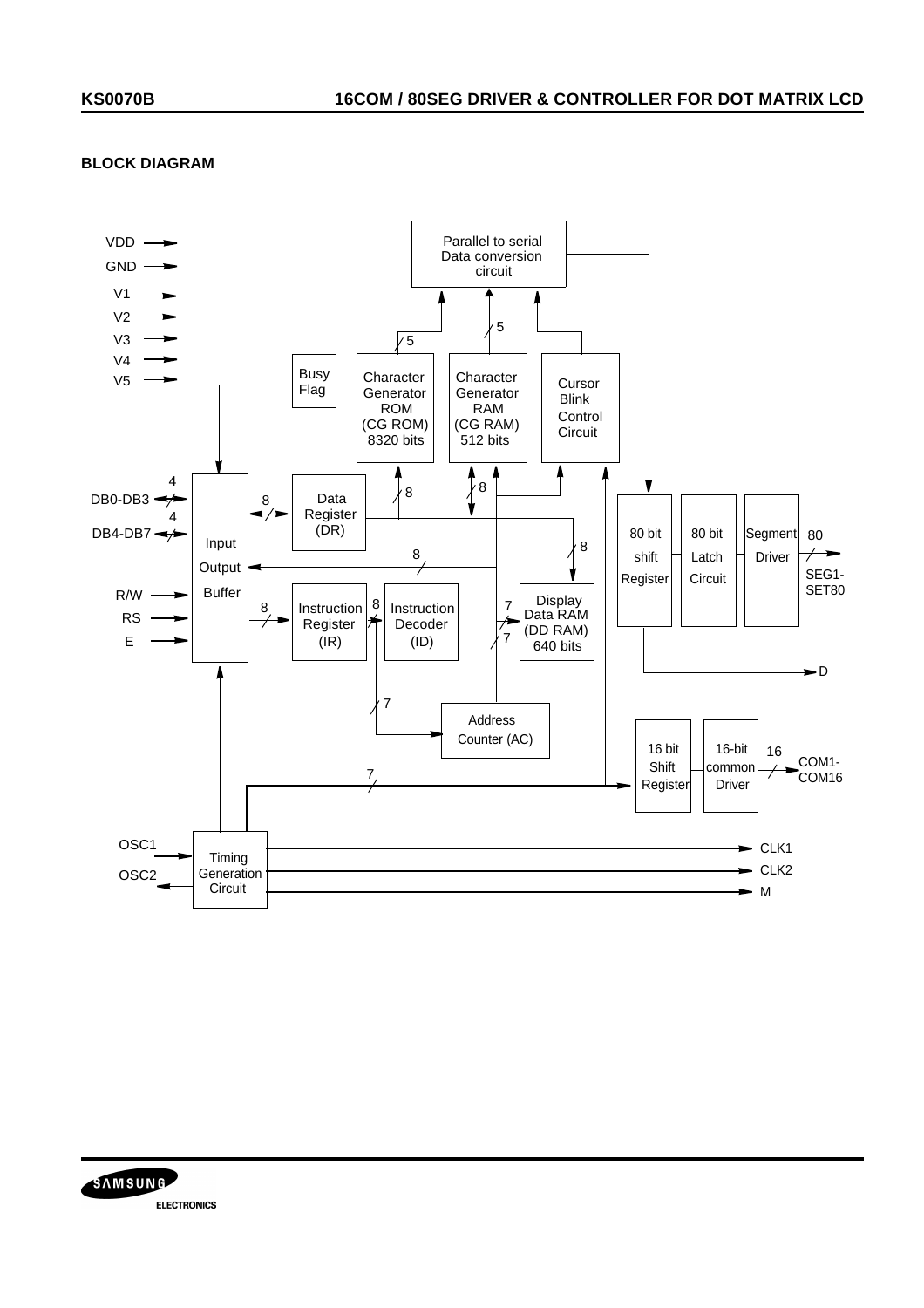### **BLOCK DIAGRAM**



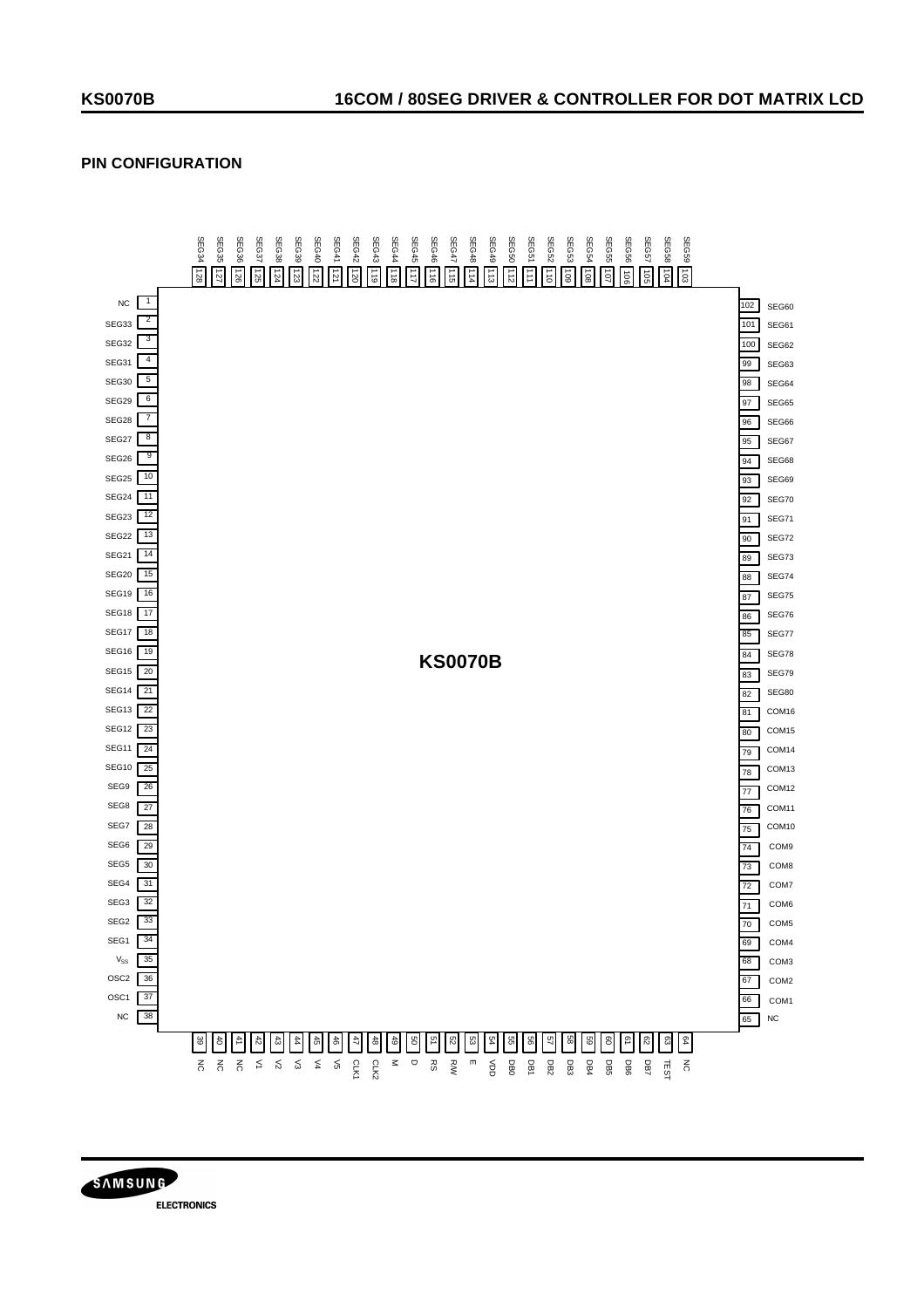# **PIN CONFIGURATION**



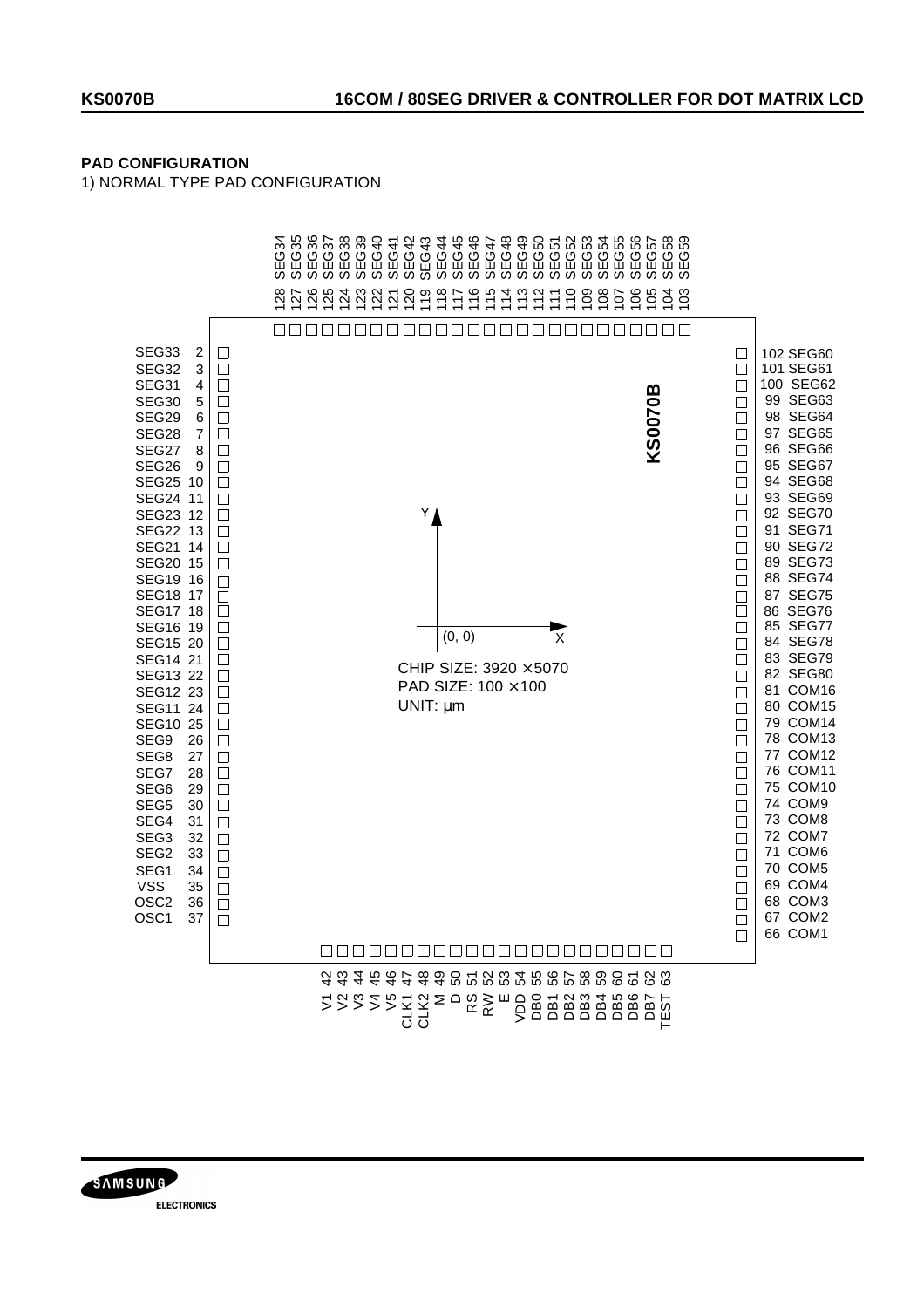## **PAD CONFIGURATION**

1) NORMAL TYPE PAD CONFIGURATION



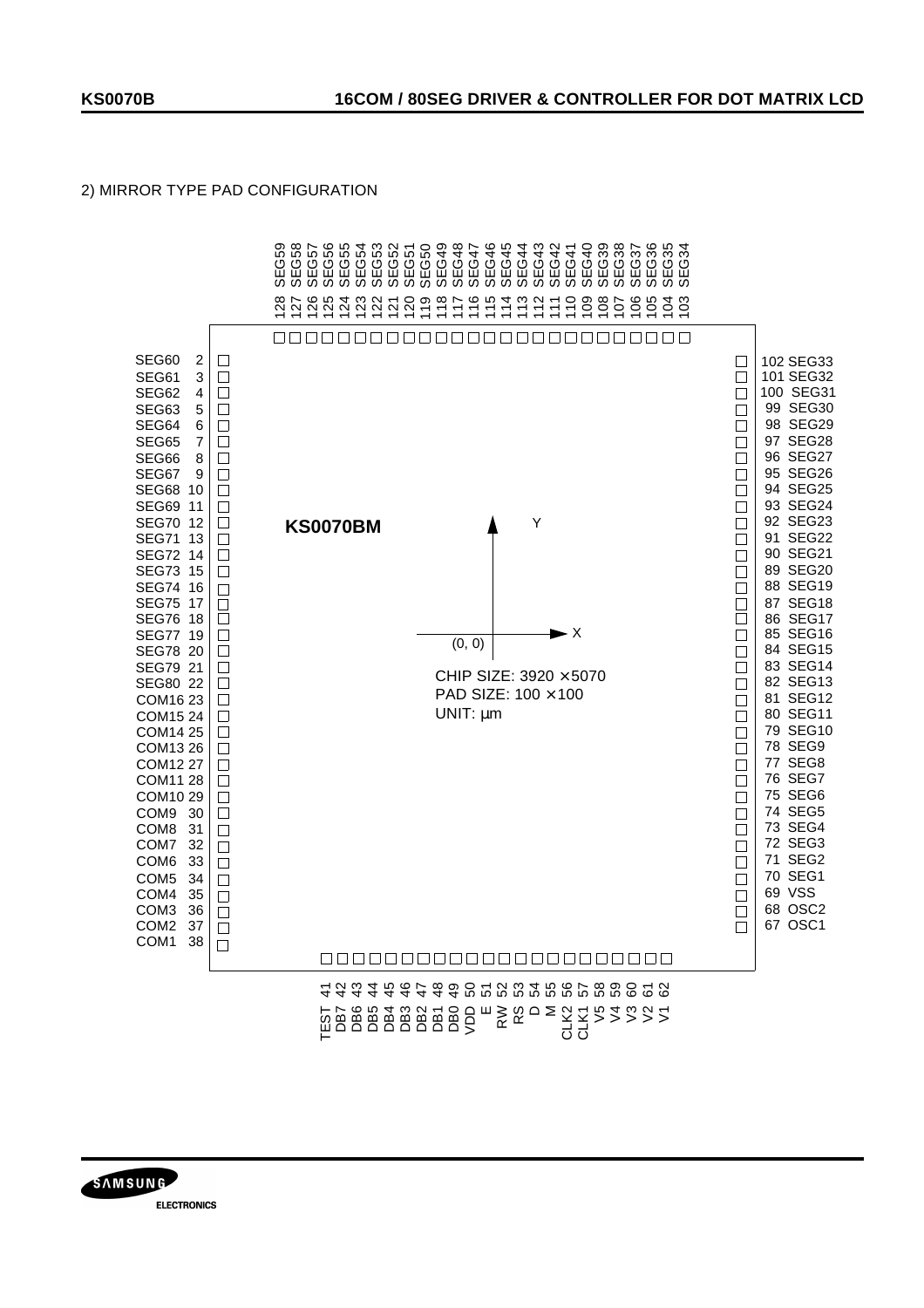## 2) MIRROR TYPE PAD CONFIGURATION



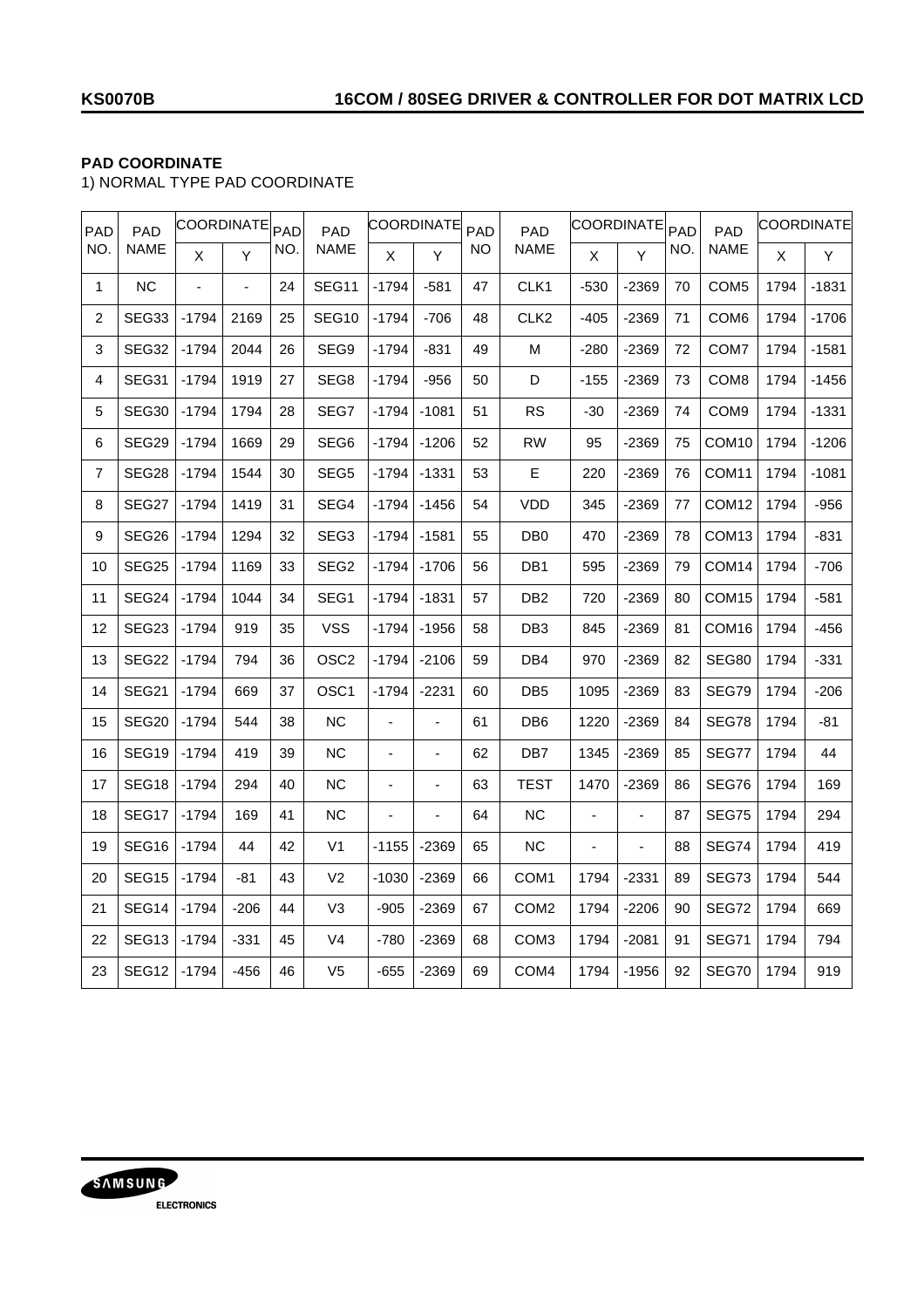# **PAD COORDINATE**

1) NORMAL TYPE PAD COORDINATE

| PAD            | PAD               | COORDINATE <sub>PAD</sub> |        |     | PAD               |         | <b>COORDINATE</b> | PAD | PAD              | COORDINATE <sub>PAD</sub> |                |     | PAD               |      | <b>COORDINATE</b> |
|----------------|-------------------|---------------------------|--------|-----|-------------------|---------|-------------------|-----|------------------|---------------------------|----------------|-----|-------------------|------|-------------------|
| NO.            | <b>NAME</b>       | X                         | Y      | NO. | NAME              | X.      | Y                 | NO. | <b>NAME</b>      | X                         | Ÿ              | NO. | NAME              | X    | Y                 |
| $\mathbf{1}$   | <b>NC</b>         |                           |        | 24  | SEG11             | $-1794$ | $-581$            | 47  | CLK1             | $-530$                    | -2369          | 70  | COM <sub>5</sub>  | 1794 | $-1831$           |
| 2              | SEG33             | -1794                     | 2169   | 25  | SEG <sub>10</sub> | $-1794$ | $-706$            | 48  | CLK <sub>2</sub> | $-405$                    | -2369          | 71  | COM <sub>6</sub>  | 1794 | $-1706$           |
| 3              | SEG32             | $-1794$                   | 2044   | 26  | SEG9              | $-1794$ | $-831$            | 49  | М                | $-280$                    | -2369          | 72  | COM7              | 1794 | $-1581$           |
| 4              | SEG31             | $-1794$                   | 1919   | 27  | SEG8              | $-1794$ | $-956$            | 50  | D                | $-155$                    | -2369          | 73  | COM <sub>8</sub>  | 1794 | -1456             |
| 5              | SEG30             | $-1794$                   | 1794   | 28  | SEG7              | $-1794$ | $-1081$           | 51  | <b>RS</b>        | $-30$                     | -2369          | 74  | COM <sub>9</sub>  | 1794 | $-1331$           |
| 6              | SEG29             | $-1794$                   | 1669   | 29  | SEG6              | $-1794$ | $-1206$           | 52  | <b>RW</b>        | 95                        | -2369          | 75  | COM10             | 1794 | $-1206$           |
| $\overline{7}$ | SEG28             | $-1794$                   | 1544   | 30  | SEG <sub>5</sub>  | $-1794$ | $-1331$           | 53  | Е                | 220                       | -2369          | 76  | COM <sub>11</sub> | 1794 | $-1081$           |
| 8              | SEG27             | $-1794$                   | 1419   | 31  | SEG4              | $-1794$ | $-1456$           | 54  | VDD              | 345                       | -2369          | 77  | COM <sub>12</sub> | 1794 | $-956$            |
| 9              | SEG26             | $-1794$                   | 1294   | 32  | SEG3              | $-1794$ | $-1581$           | 55  | DB <sub>0</sub>  | 470                       | $-2369$        | 78  | COM <sub>13</sub> | 1794 | $-831$            |
| 10             | <b>SEG25</b>      | $-1794$                   | 1169   | 33  | SEG <sub>2</sub>  | $-1794$ | $-1706$           | 56  | DB1              | 595                       | -2369          | 79  | COM14             | 1794 | $-706$            |
| 11             | SEG24             | $-1794$                   | 1044   | 34  | SEG1              | $-1794$ | $-1831$           | 57  | DB <sub>2</sub>  | 720                       | -2369          | 80  | COM <sub>15</sub> | 1794 | $-581$            |
| 12             | SEG23             | $-1794$                   | 919    | 35  | <b>VSS</b>        | $-1794$ | $-1956$           | 58  | DB <sub>3</sub>  | 845                       | -2369          | 81  | COM16             | 1794 | $-456$            |
| 13             | SEG22             | $-1794$                   | 794    | 36  | OSC <sub>2</sub>  | $-1794$ | $-2106$           | 59  | DB4              | 970                       | -2369          | 82  | <b>SEG80</b>      | 1794 | $-331$            |
| 14             | SEG21             | $-1794$                   | 669    | 37  | OSC <sub>1</sub>  | $-1794$ | $-2231$           | 60  | DB <sub>5</sub>  | 1095                      | -2369          | 83  | SEG79             | 1794 | $-206$            |
| 15             | SEG20             | $-1794$                   | 544    | 38  | <b>NC</b>         |         | ä,                | 61  | DB <sub>6</sub>  | 1220                      | -2369          | 84  | SEG78             | 1794 | $-81$             |
| 16             | SEG <sub>19</sub> | $-1794$                   | 419    | 39  | NС                | L,      | ä,                | 62  | DB7              | 1345                      | $-2369$        | 85  | SEG77             | 1794 | 44                |
| 17             | SEG <sub>18</sub> | $-1794$                   | 294    | 40  | <b>NC</b>         | ä,      | ÷,                | 63  | TEST             | 1470                      | $-2369$        | 86  | SEG76             | 1794 | 169               |
| 18             | SEG17             | $-1794$                   | 169    | 41  | NС                | ä,      | ÷,                | 64  | <b>NC</b>        | ÷,                        | $\overline{a}$ | 87  | SEG75             | 1794 | 294               |
| 19             | SEG <sub>16</sub> | $-1794$                   | 44     | 42  | V <sub>1</sub>    | $-1155$ | $-2369$           | 65  | <b>NC</b>        |                           | ä,             | 88  | <b>SEG74</b>      | 1794 | 419               |
| 20             | SEG <sub>15</sub> | $-1794$                   | -81    | 43  | V <sub>2</sub>    | $-1030$ | $-2369$           | 66  | COM1             | 1794                      | $-2331$        | 89  | SEG73             | 1794 | 544               |
| 21             | SEG14             | $-1794$                   | $-206$ | 44  | V <sub>3</sub>    | $-905$  | $-2369$           | 67  | COM <sub>2</sub> | 1794                      | $-2206$        | 90  | SEG72             | 1794 | 669               |
| 22             | SEG13             | $-1794$                   | $-331$ | 45  | V4                | -780    | $-2369$           | 68  | COM3             | 1794                      | $-2081$        | 91  | SEG71             | 1794 | 794               |
| 23             | SEG <sub>12</sub> | $-1794$                   | $-456$ | 46  | V <sub>5</sub>    | $-655$  | $-2369$           | 69  | COM4             | 1794                      | $-1956$        | 92  | SEG70             | 1794 | 919               |

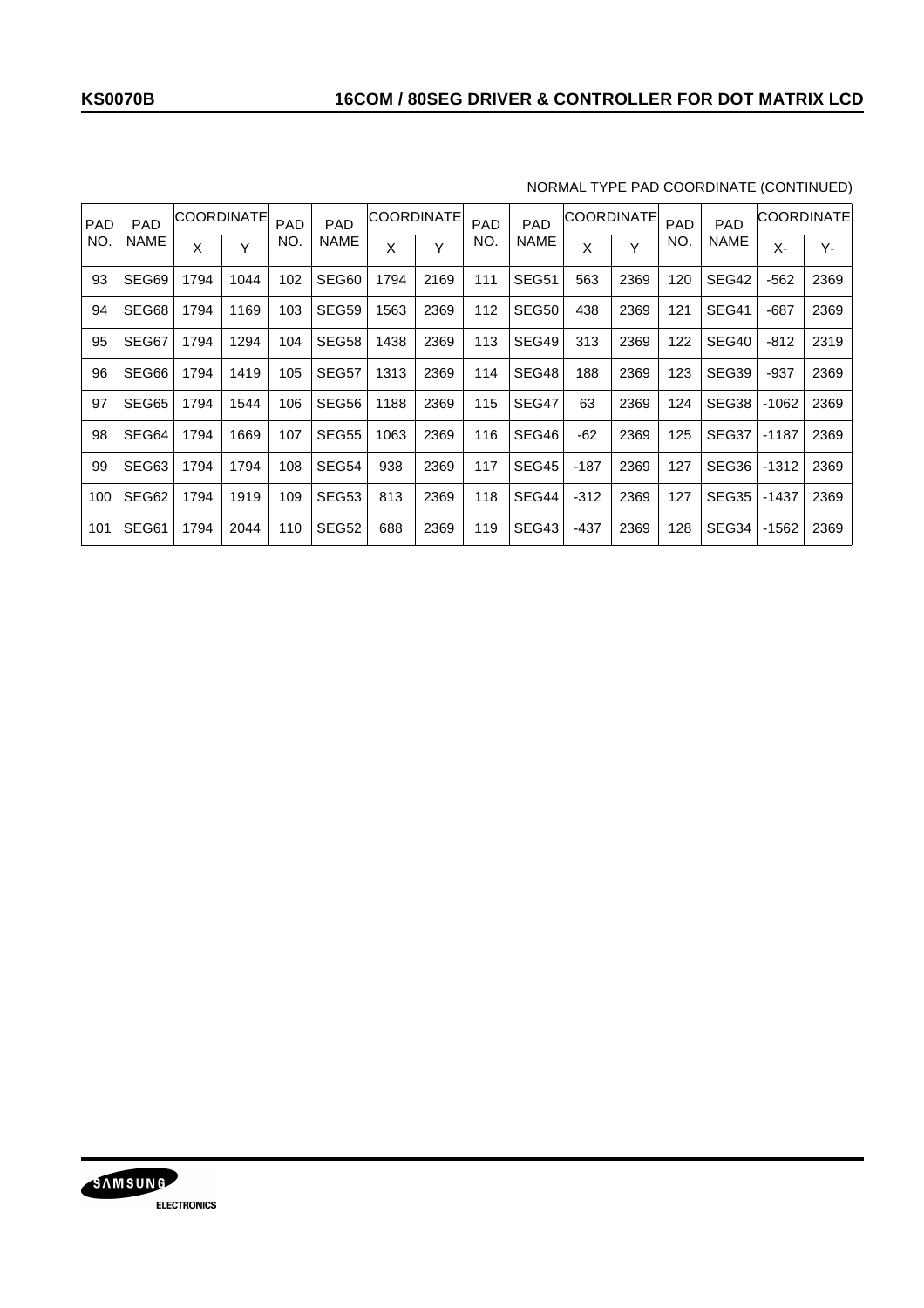| <b>PAD</b> | <b>PAD</b>  |      | COORDINATE | PAD | <b>PAD</b>  | COORDINATE |      | <b>PAD</b> | <b>PAD</b> |        | <b>COORDINATE</b> | <b>PAD</b> | <b>PAD</b> |         | COORDINATE |
|------------|-------------|------|------------|-----|-------------|------------|------|------------|------------|--------|-------------------|------------|------------|---------|------------|
| NO.        | <b>NAME</b> | Χ    | Y          | NO. | <b>NAME</b> | Χ          | Y    | NO.        | NAME       | Χ      | Y                 | NO.        | NAME       | Χ-      | Υ-         |
| 93         | SEG69       | 1794 | 1044       | 102 | SEG60       | 1794       | 2169 | 111        | SEG51      | 563    | 2369              | 120        | SEG42      | $-562$  | 2369       |
| 94         | SEG68       | 1794 | 1169       | 103 | SEG59       | 1563       | 2369 | 112        | SEG50      | 438    | 2369              | 121        | SEG41      | $-687$  | 2369       |
| 95         | SEG67       | 1794 | 1294       | 104 | SEG58       | 1438       | 2369 | 113        | SEG49      | 313    | 2369              | 122        | SEG40      | $-812$  | 2319       |
| 96         | SEG66       | 1794 | 1419       | 105 | SEG57       | 1313       | 2369 | 114        | SEG48      | 188    | 2369              | 123        | SEG39      | -937    | 2369       |
| 97         | SEG65       | 1794 | 1544       | 106 | SEG56       | 1188       | 2369 | 115        | SEG47      | 63     | 2369              | 124        | SEG38      | $-1062$ | 2369       |
| 98         | SEG64       | 1794 | 1669       | 107 | SEG55       | 1063       | 2369 | 116        | SEG46      | $-62$  | 2369              | 125        | SEG37      | $-1187$ | 2369       |
| 99         | SEG63       | 1794 | 1794       | 108 | SEG54       | 938        | 2369 | 117        | SEG45      | $-187$ | 2369              | 127        | SEG36      | $-1312$ | 2369       |
| 100        | SEG62       | 1794 | 1919       | 109 | SEG53       | 813        | 2369 | 118        | SEG44      | $-312$ | 2369              | 127        | SEG35      | $-1437$ | 2369       |
| 101        | SEG61       | 1794 | 2044       | 110 | SEG52       | 688        | 2369 | 119        | SEG43      | $-437$ | 2369              | 128        | SEG34      | $-1562$ | 2369       |

## NORMAL TYPE PAD COORDINATE (CONTINUED)

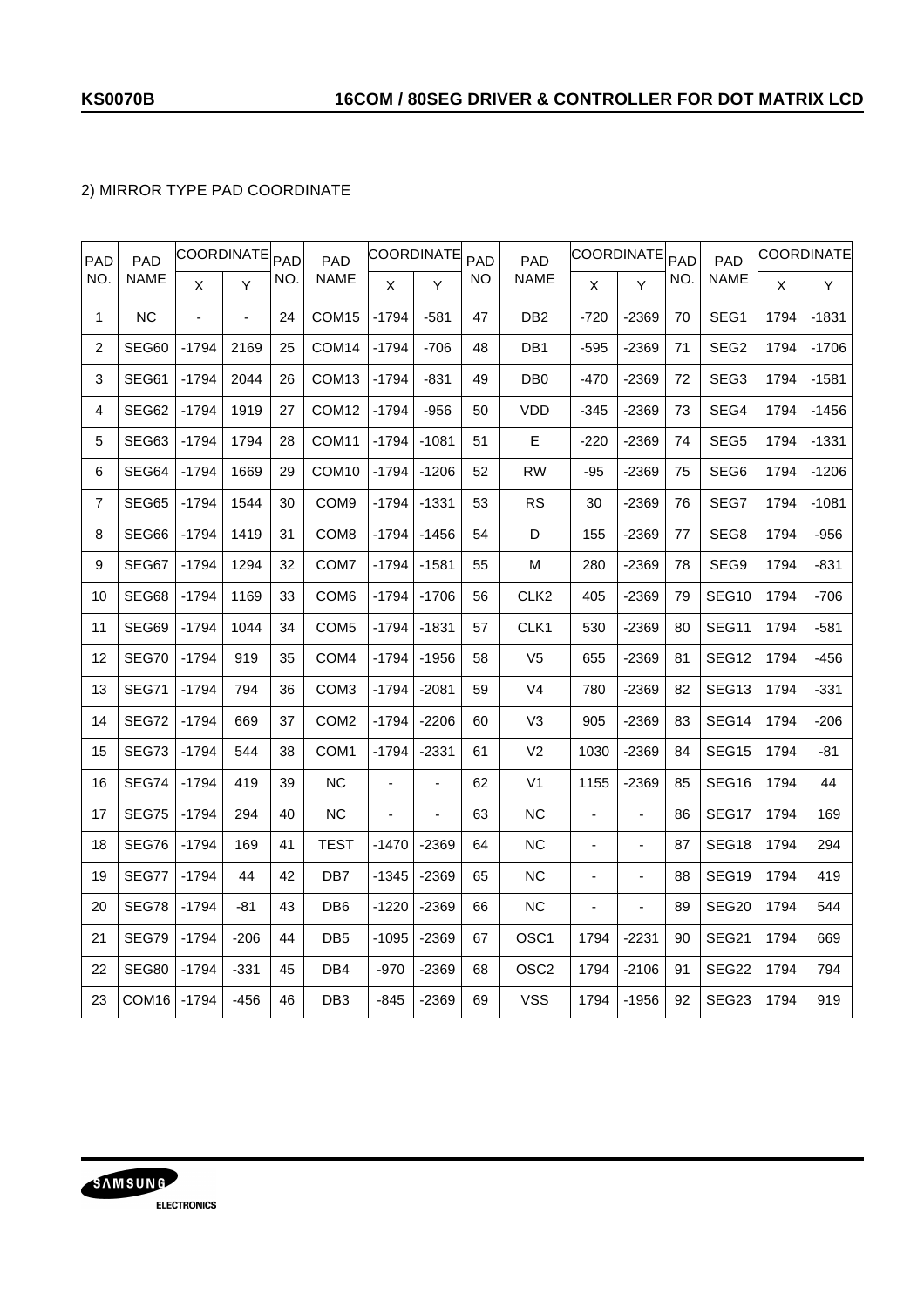## 2) MIRROR TYPE PAD COORDINATE

| <b>PAD</b>     | <b>PAD</b>        | <b>COORDINATE</b> |        | PAD | <b>PAD</b>        |         | COORDINATE | PAD | <b>PAD</b>       |                              | <b>COORDINATE</b>        | PAD | <b>PAD</b>        |      | COORDINATE |
|----------------|-------------------|-------------------|--------|-----|-------------------|---------|------------|-----|------------------|------------------------------|--------------------------|-----|-------------------|------|------------|
| NO.            | <b>NAME</b>       | X                 | Y      | NO. | <b>NAME</b>       | X       | Y          | NO  | <b>NAME</b>      | X                            | Y                        | NO. | <b>NAME</b>       | X    | Y          |
| 1              | <b>NC</b>         | L,                | ÷,     | 24  | COM <sub>15</sub> | $-1794$ | $-581$     | 47  | DB <sub>2</sub>  | $-720$                       | -2369                    | 70  | SEG1              | 1794 | $-1831$    |
| 2              | SEG60             | $-1794$           | 2169   | 25  | COM <sub>14</sub> | $-1794$ | $-706$     | 48  | DB <sub>1</sub>  | $-595$                       | -2369                    | 71  | SEG <sub>2</sub>  | 1794 | $-1706$    |
| 3              | SEG61             | $-1794$           | 2044   | 26  | COM <sub>13</sub> | $-1794$ | $-831$     | 49  | DB <sub>0</sub>  | $-470$                       | -2369                    | 72  | SEG <sub>3</sub>  | 1794 | $-1581$    |
| 4              | SEG62             | $-1794$           | 1919   | 27  | COM <sub>12</sub> | $-1794$ | $-956$     | 50  | VDD              | $-345$                       | -2369                    | 73  | SEG4              | 1794 | $-1456$    |
| 5              | SEG63             | $-1794$           | 1794   | 28  | COM <sub>11</sub> | -1794   | $-1081$    | 51  | Е                | $-220$                       | -2369                    | 74  | SEG5              | 1794 | -1331      |
| 6              | SEG64             | -1794             | 1669   | 29  | COM <sub>10</sub> | -1794   | $-1206$    | 52  | RW               | -95                          | -2369                    | 75  | SEG6              | 1794 | $-1206$    |
| $\overline{7}$ | SEG65             | $-1794$           | 1544   | 30  | COM <sub>9</sub>  | $-1794$ | $-1331$    | 53  | RS               | 30                           | -2369                    | 76  | SEG7              | 1794 | $-1081$    |
| 8              | SEG66             | $-1794$           | 1419   | 31  | COM8              | $-1794$ | $-1456$    | 54  | D                | 155                          | -2369                    | 77  | SEG8              | 1794 | $-956$     |
| 9              | SEG67             | $-1794$           | 1294   | 32  | COM <sub>7</sub>  | $-1794$ | $-1581$    | 55  | М                | 280                          | -2369                    | 78  | SEG9              | 1794 | -831       |
| 10             | SEG68             | $-1794$           | 1169   | 33  | COM <sub>6</sub>  | $-1794$ | $-1706$    | 56  | CLK <sub>2</sub> | 405                          | -2369                    | 79  | SEG <sub>10</sub> | 1794 | $-706$     |
| 11             | SEG69             | $-1794$           | 1044   | 34  | COM <sub>5</sub>  | $-1794$ | $-1831$    | 57  | CLK <sub>1</sub> | 530                          | $-2369$                  | 80  | SEG11             | 1794 | $-581$     |
| 12             | SEG70             | $-1794$           | 919    | 35  | COM <sub>4</sub>  | $-1794$ | $-1956$    | 58  | V <sub>5</sub>   | 655                          | -2369                    | 81  | SEG <sub>12</sub> | 1794 | $-456$     |
| 13             | SEG71             | $-1794$           | 794    | 36  | COM <sub>3</sub>  | $-1794$ | $-2081$    | 59  | V <sub>4</sub>   | 780                          | -2369                    | 82  | SEG <sub>13</sub> | 1794 | $-331$     |
| 14             | SEG72             | $-1794$           | 669    | 37  | COM <sub>2</sub>  | -1794   | $-2206$    | 60  | V3               | 905                          | -2369                    | 83  | SEG14             | 1794 | $-206$     |
| 15             | SEG73             | $-1794$           | 544    | 38  | COM <sub>1</sub>  | $-1794$ | $-2331$    | 61  | V <sub>2</sub>   | 1030                         | -2369                    | 84  | SEG <sub>15</sub> | 1794 | -81        |
| 16             | SEG74             | $-1794$           | 419    | 39  | <b>NC</b>         | ä,      | ÷,         | 62  | V <sub>1</sub>   | 1155                         | -2369                    | 85  | SEG16             | 1794 | 44         |
| 17             | SEG75             | $-1794$           | 294    | 40  | NС                |         |            | 63  | <b>NC</b>        | ÷,                           | $\frac{1}{2}$            | 86  | SEG17             | 1794 | 169        |
| 18             | SEG76             | $-1794$           | 169    | 41  | TEST              | -1470   | $-2369$    | 64  | <b>NC</b>        | ä,                           | $\overline{\phantom{a}}$ | 87  | SEG <sub>18</sub> | 1794 | 294        |
| 19             | SEG77             | $-1794$           | 44     | 42  | DB <sub>7</sub>   | $-1345$ | $-2369$    | 65  | <b>NC</b>        | $\qquad \qquad \blacksquare$ | $\overline{\phantom{a}}$ | 88  | SEG <sub>19</sub> | 1794 | 419        |
| 20             | SEG78             | $-1794$           | -81    | 43  | DB <sub>6</sub>   | $-1220$ | $-2369$    | 66  | <b>NC</b>        | $\frac{1}{2}$                | $\overline{a}$           | 89  | SEG <sub>20</sub> | 1794 | 544        |
| 21             | SEG79             | $-1794$           | $-206$ | 44  | DB <sub>5</sub>   | $-1095$ | $-2369$    | 67  | OSC <sub>1</sub> | 1794                         | -2231                    | 90  | SEG21             | 1794 | 669        |
| 22             | SEG80             | $-1794$           | $-331$ | 45  | DB4               | $-970$  | $-2369$    | 68  | OSC <sub>2</sub> | 1794                         | $-2106$                  | 91  | SEG22             | 1794 | 794        |
| 23             | COM <sub>16</sub> | $-1794$           | $-456$ | 46  | DB <sub>3</sub>   | $-845$  | $-2369$    | 69  | <b>VSS</b>       | 1794                         | $-1956$                  | 92  | SEG <sub>23</sub> | 1794 | 919        |

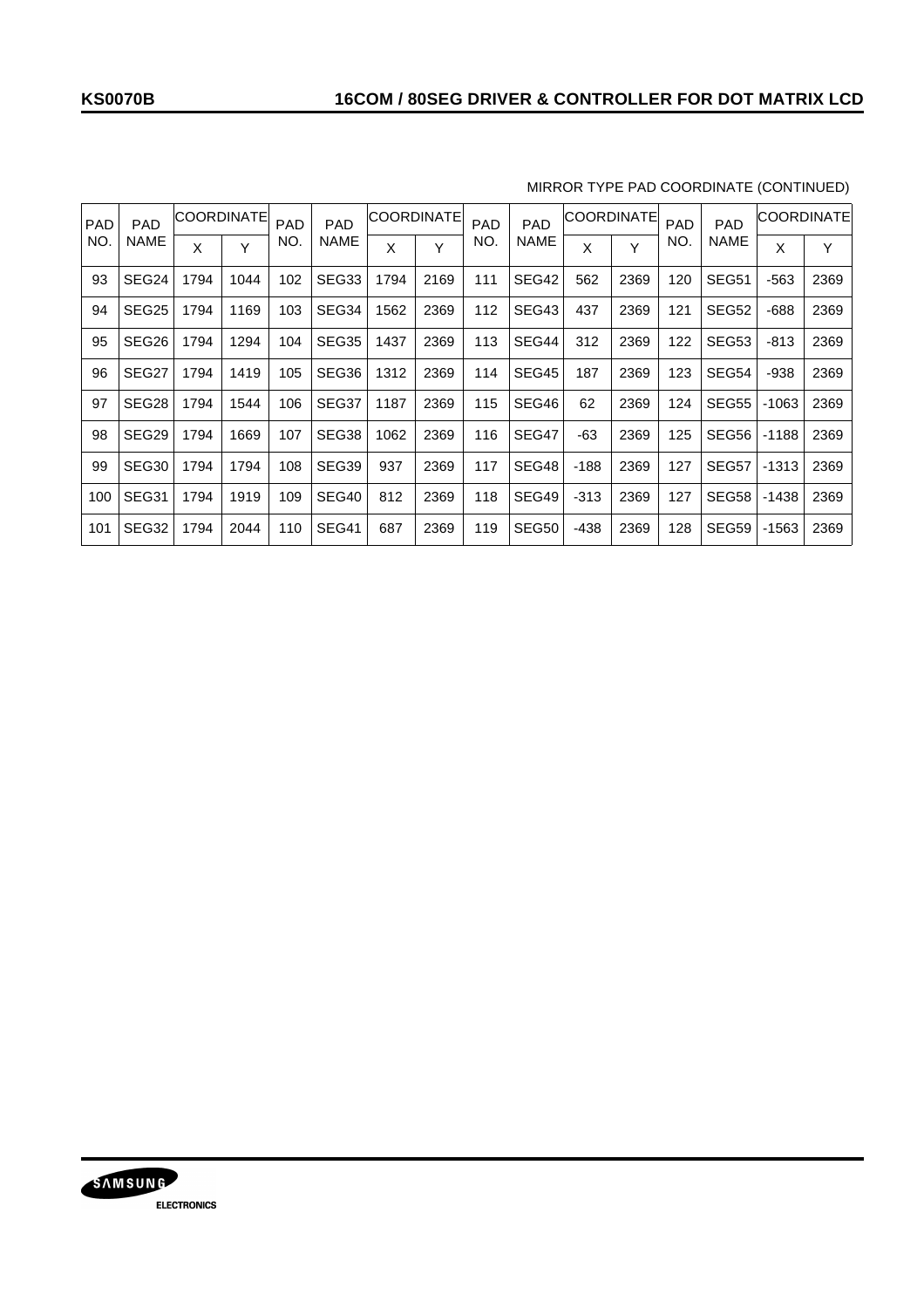| <b>PAD</b> | <b>PAD</b>        |      | <b>COORDINATE</b> | PAD | <b>PAD</b>  | <b>COORDINATE</b> |      | <b>PAD</b> | <b>PAD</b>  |        | <b>COORDINATE</b> | <b>PAD</b> | <b>PAD</b> |         | COORDINATE |
|------------|-------------------|------|-------------------|-----|-------------|-------------------|------|------------|-------------|--------|-------------------|------------|------------|---------|------------|
| <b>NO</b>  | <b>NAME</b>       | Χ    | Υ                 | NO. | <b>NAME</b> | X                 | Y    | NO.        | <b>NAME</b> | X      | Y                 | NO.        | NAME       | X       | Y          |
| 93         | SEG24             | 1794 | 1044              | 102 | SEG33       | 1794              | 2169 | 111        | SEG42       | 562    | 2369              | 120        | SEG51      | -563    | 2369       |
| 94         | SEG <sub>25</sub> | 1794 | 1169              | 103 | SEG34       | 1562              | 2369 | 112        | SEG43       | 437    | 2369              | 121        | SEG52      | $-688$  | 2369       |
| 95         | SEG <sub>26</sub> | 1794 | 1294              | 104 | SEG35       | 1437              | 2369 | 113        | SEG44       | 312    | 2369              | 122        | SEG53      | $-813$  | 2369       |
| 96         | SEG27             | 1794 | 1419              | 105 | SEG36       | 1312              | 2369 | 114        | SEG45       | 187    | 2369              | 123        | SEG54      | -938    | 2369       |
| 97         | SEG28             | 1794 | 1544              | 106 | SEG37       | 1187              | 2369 | 115        | SEG46       | 62     | 2369              | 124        | SEG55      | $-1063$ | 2369       |
| 98         | SEG29             | 1794 | 1669              | 107 | SEG38       | 1062              | 2369 | 116        | SEG47       | -63    | 2369              | 125        | SEG56      | $-1188$ | 2369       |
| 99         | SEG <sub>30</sub> | 1794 | 1794              | 108 | SEG39       | 937               | 2369 | 117        | SEG48       | $-188$ | 2369              | 127        | SEG57      | -1313   | 2369       |
| 100        | SEG31             | 1794 | 1919              | 109 | SEG40       | 812               | 2369 | 118        | SEG49       | $-313$ | 2369              | 127        | SEG58      | $-1438$ | 2369       |
| 101        | SEG32             | 1794 | 2044              | 110 | SEG41       | 687               | 2369 | 119        | SEG50       | $-438$ | 2369              | 128        | SEG59      | $-1563$ | 2369       |

### MIRROR TYPE PAD COORDINATE (CONTINUED)

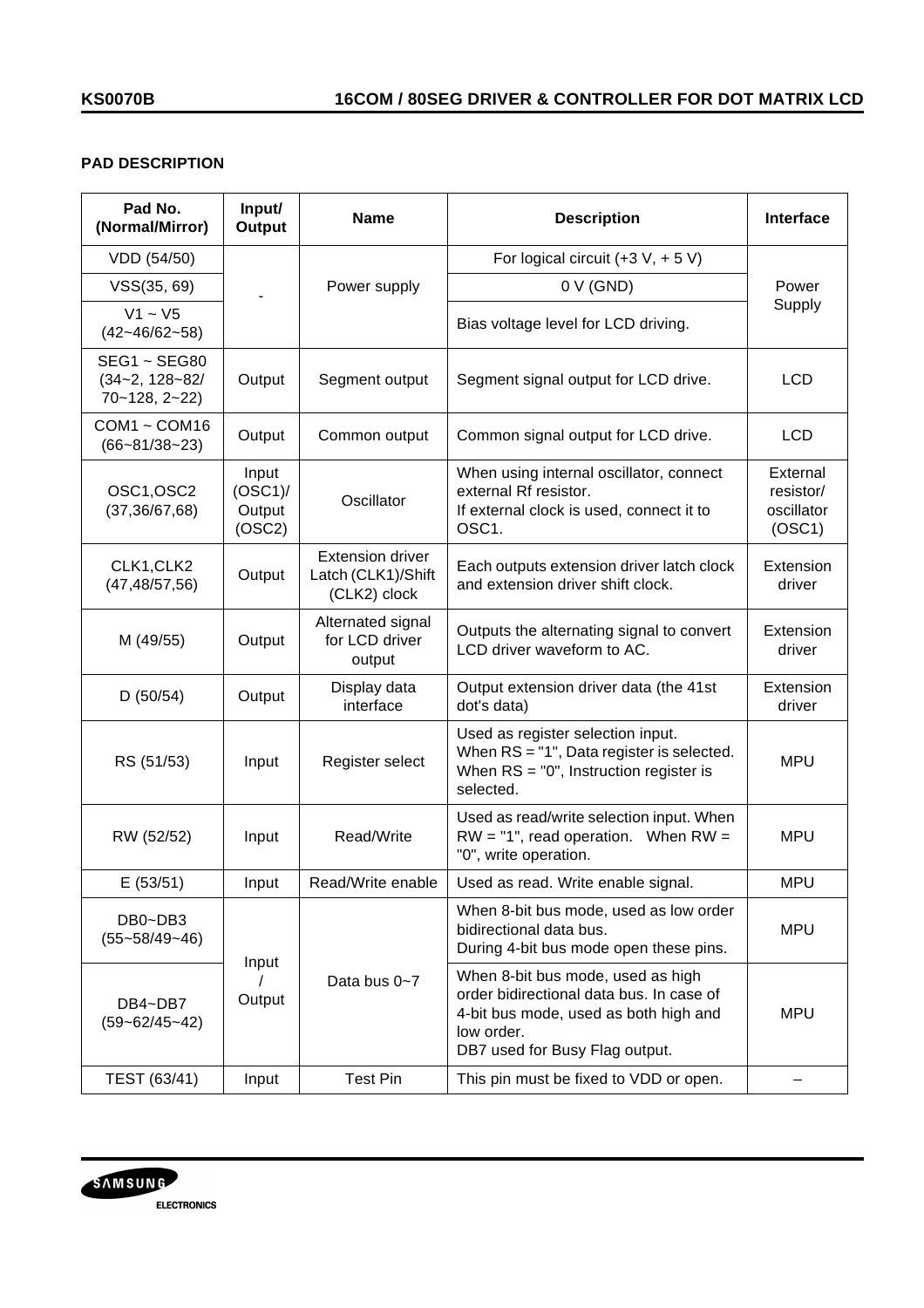## **PAD DESCRIPTION**

| Pad No.<br>(Normal/Mirror)                                        | Input/<br>Output                        | <b>Name</b>                                                   | <b>Description</b>                                                                                                                                                     | Interface                                     |
|-------------------------------------------------------------------|-----------------------------------------|---------------------------------------------------------------|------------------------------------------------------------------------------------------------------------------------------------------------------------------------|-----------------------------------------------|
| VDD (54/50)                                                       |                                         |                                                               | For logical circuit $(+3 \text{ V}, +5 \text{ V})$                                                                                                                     |                                               |
| VSS(35, 69)                                                       |                                         | Power supply                                                  | $0 V$ (GND)                                                                                                                                                            | Power                                         |
| $V1 - V5$<br>$(42 - 46/62 - 58)$                                  |                                         |                                                               | Bias voltage level for LCD driving.                                                                                                                                    | Supply                                        |
| <b>SEG1 ~ SEG80</b><br>$(34 - 2, 128 - 82)$<br>$70 - 128, 2 - 22$ | Output                                  | Segment output                                                | Segment signal output for LCD drive.                                                                                                                                   | <b>LCD</b>                                    |
| $COM1 - COM16$<br>$(66 - 81/38 - 23)$                             | Output                                  | Common output                                                 | Common signal output for LCD drive.                                                                                                                                    | <b>LCD</b>                                    |
| OSC1, OSC2<br>(37, 36/67, 68)                                     | Input<br>$(OSC1)$ /<br>Output<br>(OSC2) | Oscillator                                                    | When using internal oscillator, connect<br>external Rf resistor.<br>If external clock is used, connect it to<br>OSC <sub>1</sub> .                                     | External<br>resistor/<br>oscillator<br>(OSC1) |
| CLK1, CLK2<br>(47, 48/57, 56)                                     | Output                                  | <b>Extension driver</b><br>Latch (CLK1)/Shift<br>(CLK2) clock | Each outputs extension driver latch clock<br>and extension driver shift clock.                                                                                         | Extension<br>driver                           |
| M (49/55)                                                         | Output                                  | Alternated signal<br>for LCD driver<br>output                 | Outputs the alternating signal to convert<br>LCD driver waveform to AC.                                                                                                | Extension<br>driver                           |
| D(50/54)                                                          | Output                                  | Display data<br>interface                                     | Output extension driver data (the 41st<br>dot's data)                                                                                                                  | Extension<br>driver                           |
| RS (51/53)                                                        | Input                                   | Register select                                               | Used as register selection input.<br>When $RS = "1"$ , Data register is selected.<br>When $RS = "0"$ , Instruction register is<br>selected.                            | <b>MPU</b>                                    |
| RW (52/52)                                                        | Input                                   | Read/Write                                                    | Used as read/write selection input. When<br>$RW = "1", read operation. When RW =$<br>"0", write operation.                                                             | <b>MPU</b>                                    |
| E(53/51)                                                          | Input                                   | Read/Write enable                                             | Used as read. Write enable signal.                                                                                                                                     | <b>MPU</b>                                    |
| DB0~DB3<br>$(55 - 58/49 - 46)$                                    | Input                                   |                                                               | When 8-bit bus mode, used as low order<br>bidirectional data bus.<br>During 4-bit bus mode open these pins.                                                            | <b>MPU</b>                                    |
| DB4~DB7<br>$(59 - 62/45 - 42)$                                    | Data bus 0~7<br>Output                  |                                                               | When 8-bit bus mode, used as high<br>order bidirectional data bus. In case of<br>4-bit bus mode, used as both high and<br>low order.<br>DB7 used for Busy Flag output. | <b>MPU</b>                                    |
| TEST (63/41)                                                      | Input                                   | <b>Test Pin</b>                                               | This pin must be fixed to VDD or open.                                                                                                                                 |                                               |

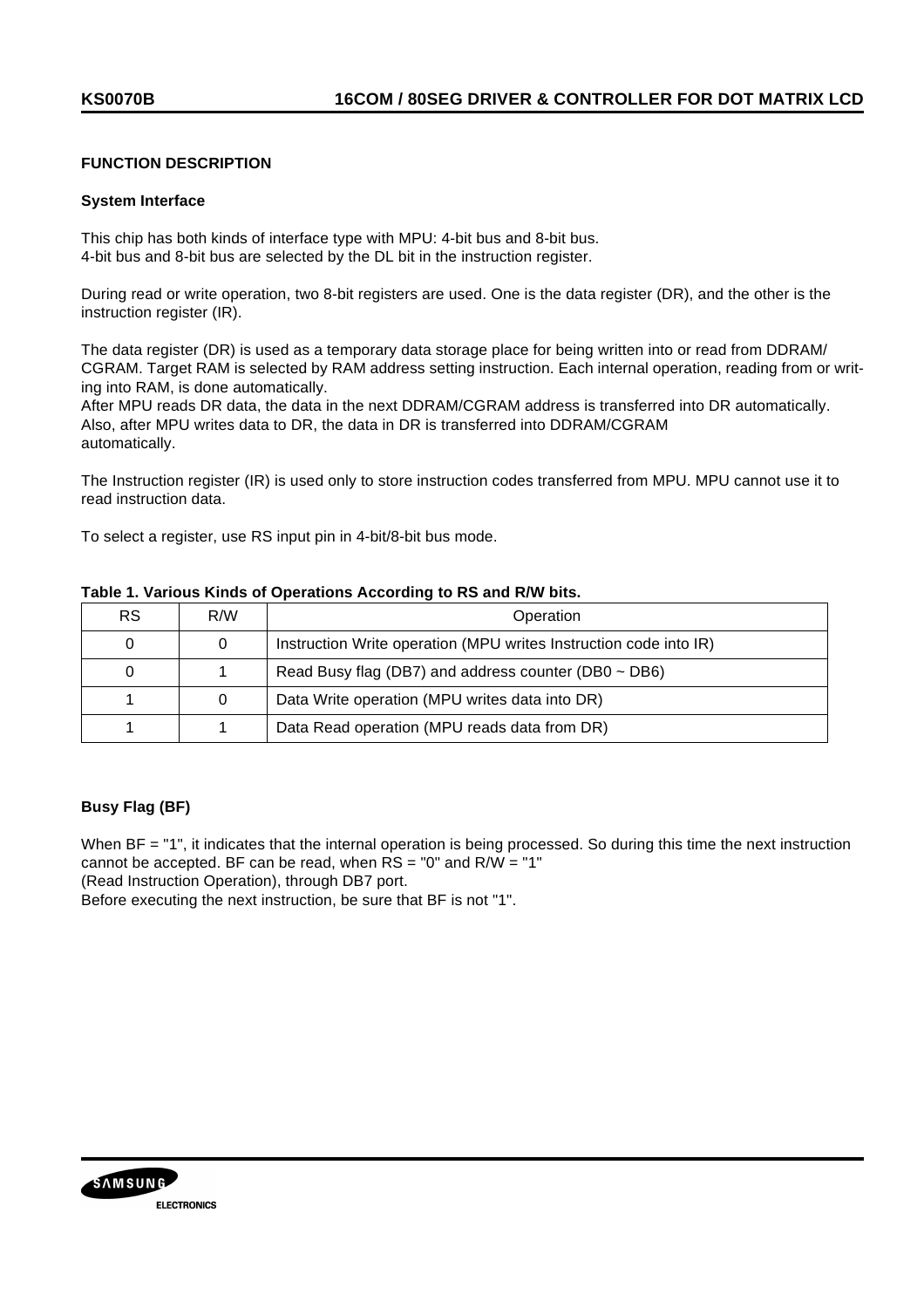### **FUNCTION DESCRIPTION**

#### **System Interface**

This chip has both kinds of interface type with MPU: 4-bit bus and 8-bit bus. 4-bit bus and 8-bit bus are selected by the DL bit in the instruction register.

During read or write operation, two 8-bit registers are used. One is the data register (DR), and the other is the instruction register (IR).

The data register (DR) is used as a temporary data storage place for being written into or read from DDRAM/ CGRAM. Target RAM is selected by RAM address setting instruction. Each internal operation, reading from or writing into RAM, is done automatically.

After MPU reads DR data, the data in the next DDRAM/CGRAM address is transferred into DR automatically. Also, after MPU writes data to DR, the data in DR is transferred into DDRAM/CGRAM automatically.

The Instruction register (IR) is used only to store instruction codes transferred from MPU. MPU cannot use it to read instruction data.

To select a register, use RS input pin in 4-bit/8-bit bus mode.

| <b>RS</b> | R/W | Operation                                                         |
|-----------|-----|-------------------------------------------------------------------|
| 0         | 0   | Instruction Write operation (MPU writes Instruction code into IR) |
| 0         |     | Read Busy flag (DB7) and address counter (DB0 $\sim$ DB6)         |
|           | 0   | Data Write operation (MPU writes data into DR)                    |
|           |     | Data Read operation (MPU reads data from DR)                      |

### **Table 1. Various Kinds of Operations According to RS and R/W bits.**

### **Busy Flag (BF)**

When BF = "1", it indicates that the internal operation is being processed. So during this time the next instruction cannot be accepted. BF can be read, when  $RS = "0"$  and  $R/W = "1"$ 

(Read Instruction Operation), through DB7 port.

Before executing the next instruction, be sure that BF is not "1".

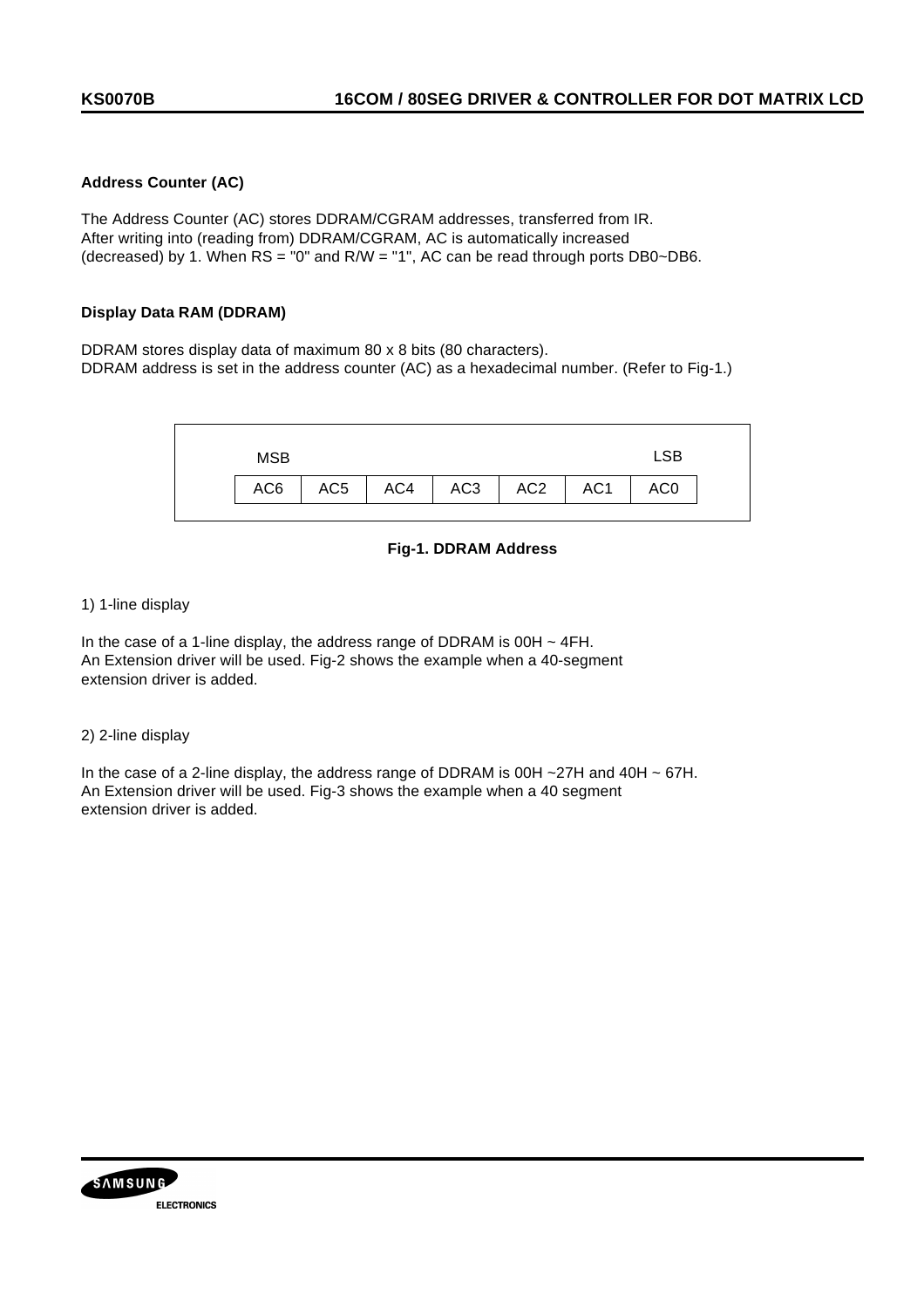### **Address Counter (AC)**

The Address Counter (AC) stores DDRAM/CGRAM addresses, transferred from IR. After writing into (reading from) DDRAM/CGRAM, AC is automatically increased (decreased) by 1. When  $RS = "0"$  and  $R/W = "1", AC can be read through ports DB0~DB6.$ 

### **Display Data RAM (DDRAM)**

DDRAM stores display data of maximum 80 x 8 bits (80 characters). DDRAM address is set in the address counter (AC) as a hexadecimal number. (Refer to Fig-1.)



### **Fig-1. DDRAM Address**

#### 1) 1-line display

In the case of a 1-line display, the address range of DDRAM is  $00H \sim 4FH$ . An Extension driver will be used. Fig-2 shows the example when a 40-segment extension driver is added.

#### 2) 2-line display

In the case of a 2-line display, the address range of DDRAM is 00H ~27H and 40H ~ 67H. An Extension driver will be used. Fig-3 shows the example when a 40 segment extension driver is added.

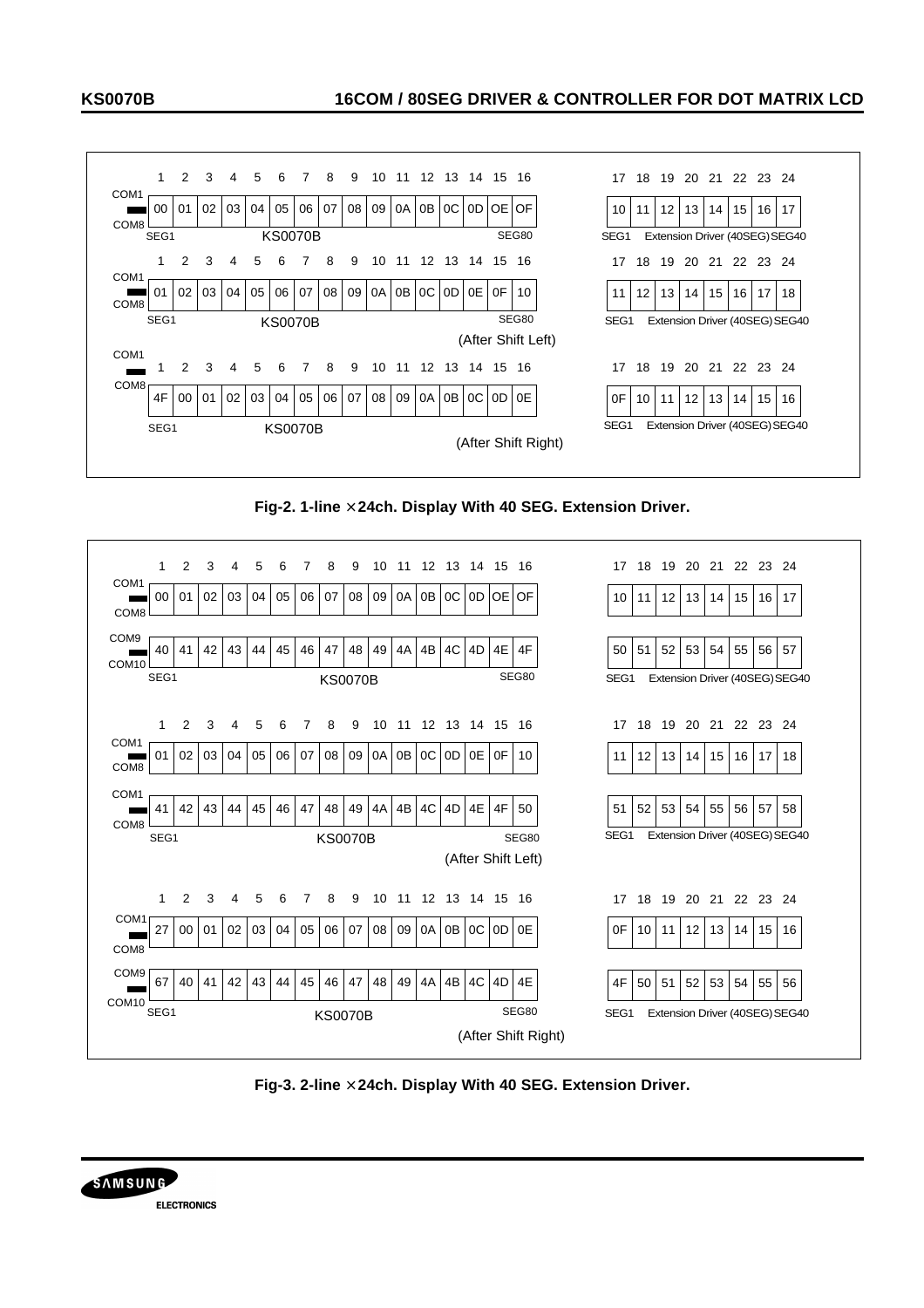



**Fig-2. 1-line ´ 24ch. Display With 40 SEG. Extension Driver.**



**Fig-3. 2-line ´ 24ch. Display With 40 SEG. Extension Driver.**

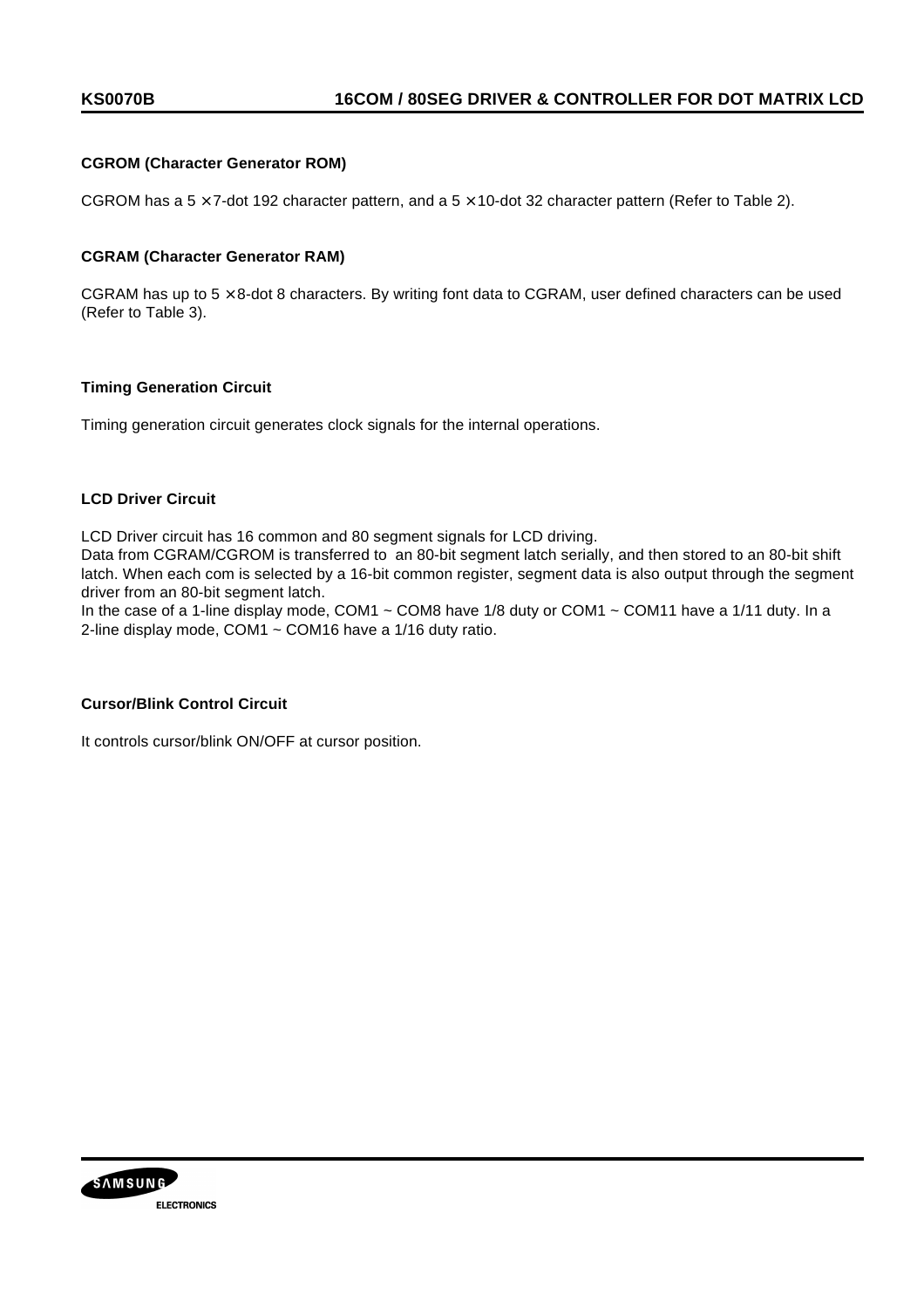### **CGROM (Character Generator ROM)**

CGROM has a  $5 \times 7$ -dot 192 character pattern, and a  $5 \times 10$ -dot 32 character pattern (Refer to Table 2).

#### **CGRAM (Character Generator RAM)**

CGRAM has up to  $5 \times 8$ -dot 8 characters. By writing font data to CGRAM, user defined characters can be used (Refer to Table 3).

### **Timing Generation Circuit**

Timing generation circuit generates clock signals for the internal operations.

### **LCD Driver Circuit**

LCD Driver circuit has 16 common and 80 segment signals for LCD driving.

Data from CGRAM/CGROM is transferred to an 80-bit segment latch serially, and then stored to an 80-bit shift latch. When each com is selected by a 16-bit common register, segment data is also output through the segment driver from an 80-bit segment latch.

In the case of a 1-line display mode, COM1  $\sim$  COM8 have 1/8 duty or COM1  $\sim$  COM11 have a 1/11 duty. In a 2-line display mode, COM1 ~ COM16 have a 1/16 duty ratio.

#### **Cursor/Blink Control Circuit**

It controls cursor/blink ON/OFF at cursor position.

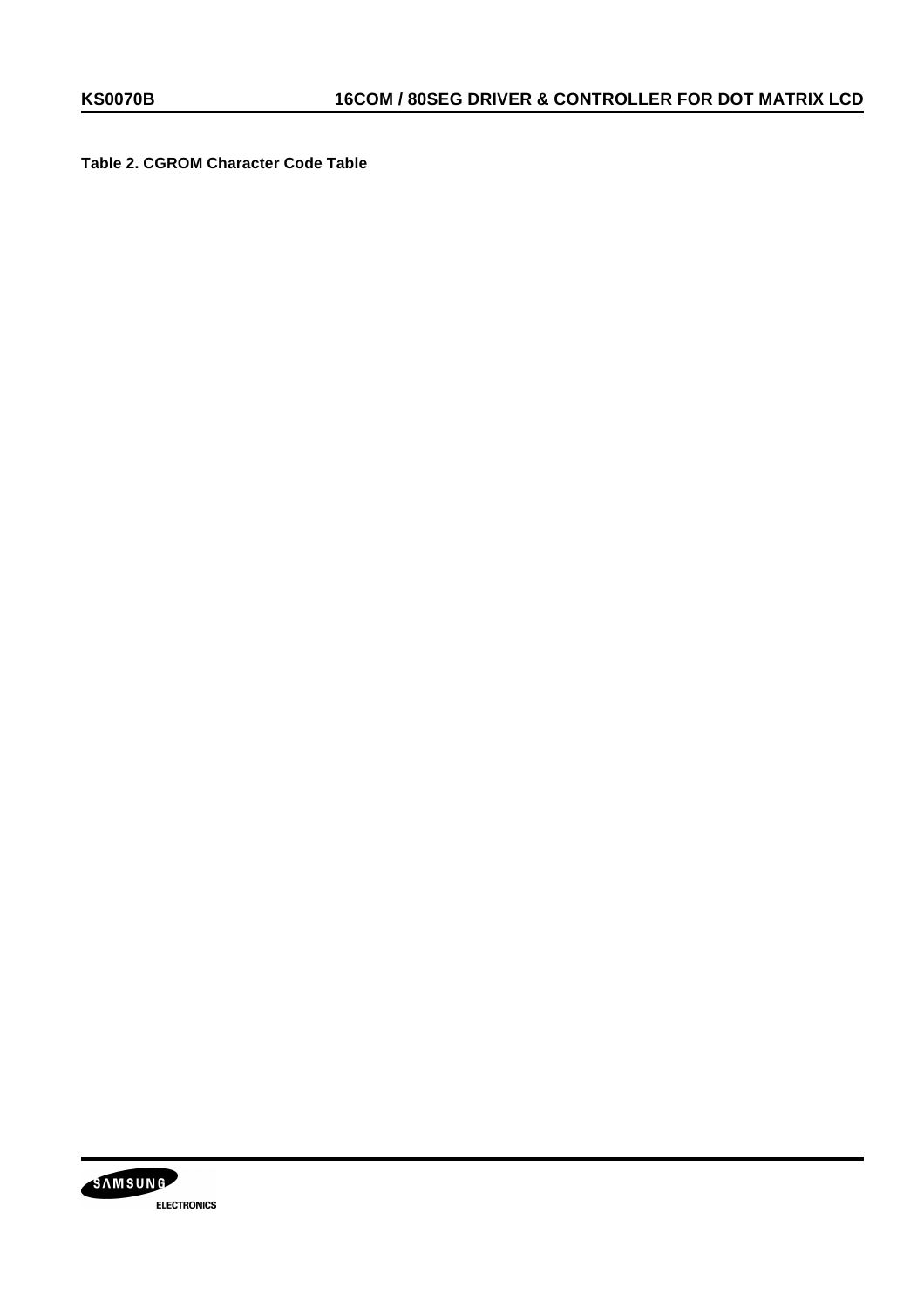**Table 2. CGROM Character Code Table**

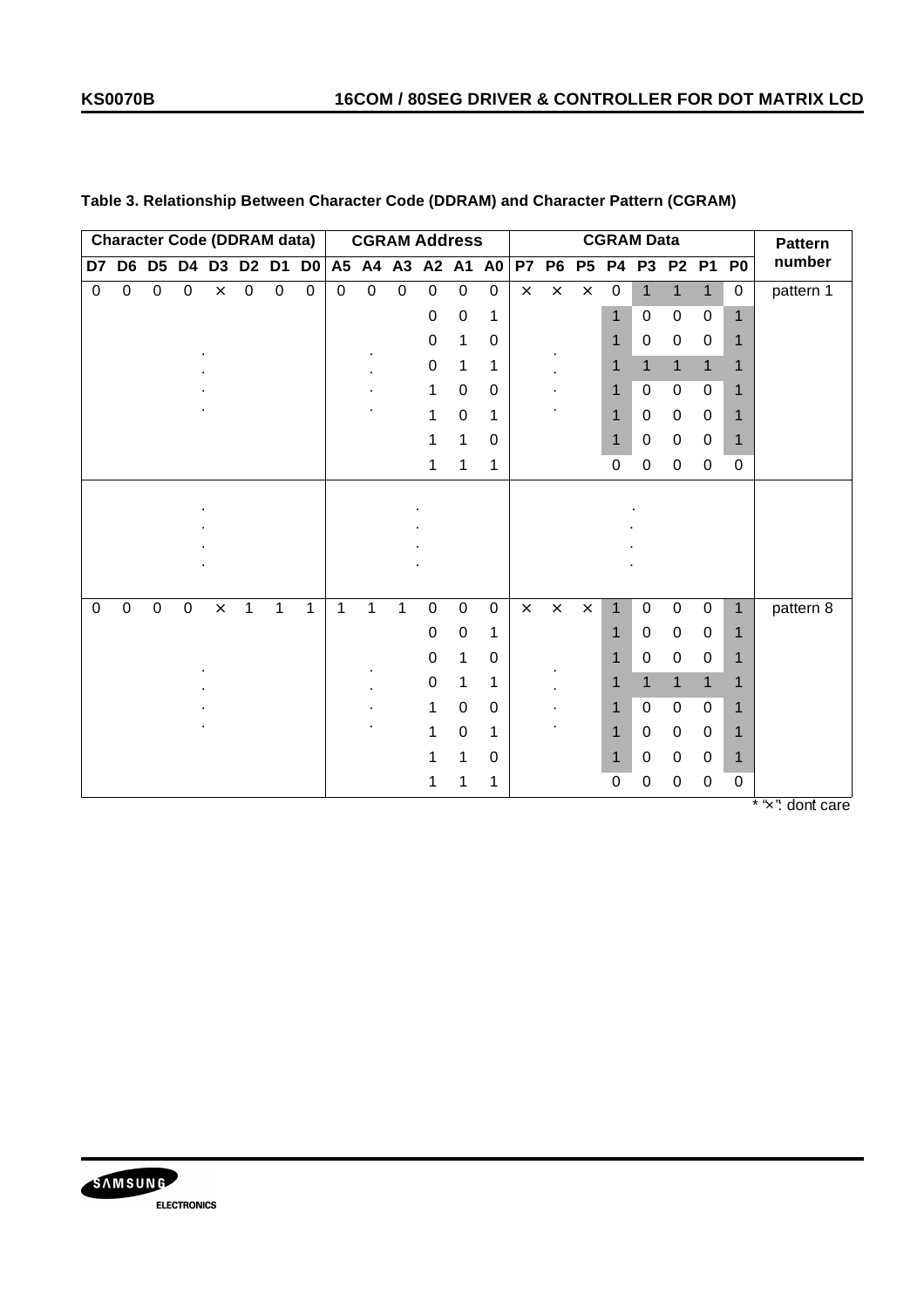| <b>Character Code (DDRAM data)</b><br>D6 D5 D4 D3 D2 D1<br>D7 |             |             |             |          | <b>CGRAM Address</b><br>D0 A5 A4 A3 A2 A1 A0 |             |             |             |              |             |             |             |             |           | <b>CGRAM Data</b> |           |                  |                | <b>Pattern</b>   |              |              |                            |
|---------------------------------------------------------------|-------------|-------------|-------------|----------|----------------------------------------------|-------------|-------------|-------------|--------------|-------------|-------------|-------------|-------------|-----------|-------------------|-----------|------------------|----------------|------------------|--------------|--------------|----------------------------|
|                                                               |             |             |             |          |                                              |             |             |             |              |             |             |             |             | <b>P7</b> | <b>P6</b>         | <b>P5</b> | <b>P4</b>        | P <sub>3</sub> |                  |              | P2 P1 P0     | number                     |
| $\mathbf 0$                                                   | $\mathbf 0$ | $\pmb{0}$   | $\mathbf 0$ | $\times$ | $\mathbf 0$                                  | $\mathbf 0$ | $\mathbf 0$ | $\mathbf 0$ | $\mathbf 0$  | $\mathbf 0$ | $\mathbf 0$ | $\mathbf 0$ | $\mathbf 0$ | $\times$  | $\times$          | $\times$  | $\boldsymbol{0}$ | $\overline{1}$ | $\mathbf{1}$     | $\mathbf{1}$ | $\mathbf 0$  | pattern 1                  |
|                                                               |             |             |             |          |                                              |             |             |             |              |             | 0           | $\pmb{0}$   | 1           |           |                   |           | 1                | $\pmb{0}$      | $\boldsymbol{0}$ | $\pmb{0}$    | $\mathbf{1}$ |                            |
|                                                               |             |             |             |          |                                              |             |             |             |              |             | 0           | 1           | 0           |           |                   |           | 1                | 0              | 0                | $\mathbf 0$  | 1            |                            |
|                                                               |             |             |             |          |                                              |             |             |             |              |             | $\pmb{0}$   | 1           | 1           |           |                   |           | 1                | $\mathbf{1}$   | $\overline{1}$   | $\mathbf{1}$ | 1            |                            |
|                                                               |             |             |             |          |                                              |             |             |             |              |             | 1           | 0           | $\mathbf 0$ |           |                   |           | 1                | 0              | $\mathbf 0$      | 0            | 1            |                            |
|                                                               |             |             |             |          |                                              |             |             |             |              |             | 1           | $\mathbf 0$ | 1           |           |                   |           | 1                | 0              | $\mathbf 0$      | 0            | 1            |                            |
|                                                               |             |             |             |          |                                              |             |             |             |              |             | 1           | 1           | $\pmb{0}$   |           |                   |           | $\mathbf 1$      | 0              | $\mathbf 0$      | 0            | 1            |                            |
|                                                               |             |             |             |          |                                              |             |             |             |              |             | 1           | 1           | 1           |           |                   |           | $\mathbf 0$      | 0              | 0                | 0            | 0            |                            |
|                                                               |             |             |             |          |                                              |             |             |             |              |             |             |             |             |           |                   |           |                  |                |                  |              |              |                            |
|                                                               |             |             |             |          |                                              |             |             |             |              |             |             |             |             |           |                   |           |                  |                |                  |              |              |                            |
|                                                               |             |             |             |          |                                              |             |             |             |              |             |             |             |             |           |                   |           |                  |                |                  |              |              |                            |
|                                                               |             |             |             |          |                                              |             |             |             |              |             |             |             |             |           |                   |           |                  |                |                  |              |              |                            |
| $\mathbf 0$                                                   | $\pmb{0}$   | $\mathbf 0$ | $\pmb{0}$   | $\times$ | 1                                            | 1           | 1           | 1           | $\mathbf{1}$ | 1           | $\mathsf 0$ | $\pmb{0}$   | $\mathbf 0$ | $\times$  | $\times$          | $\times$  | $\mathbf 1$      | $\pmb{0}$      | $\mathbf 0$      | $\pmb{0}$    | $\mathbf{1}$ | pattern 8                  |
|                                                               |             |             |             |          |                                              |             |             |             |              |             | 0           | $\pmb{0}$   | 1           |           |                   |           | 1                | 0              | $\mathbf 0$      | 0            | 1            |                            |
|                                                               |             |             |             |          |                                              |             |             |             |              |             | 0           | 1           | $\pmb{0}$   |           |                   |           | 1                | 0              | $\mathbf 0$      | 0            | 1            |                            |
|                                                               |             |             |             |          |                                              |             |             |             |              |             | 0           | 1           | 1           |           |                   |           | 1                | $\mathbf{1}$   | $\mathbf{1}$     | $\mathbf{1}$ |              |                            |
|                                                               |             |             |             |          |                                              |             |             |             |              |             | 1           | 0           | 0           |           |                   |           |                  | $\mathbf 0$    | $\mathbf 0$      | 0            | 1            |                            |
|                                                               |             |             |             |          |                                              |             |             |             |              |             | 1           | 0           | 1           |           |                   |           | 1                | 0              | $\mathbf 0$      | 0            | 1            |                            |
|                                                               |             |             |             |          |                                              |             |             |             |              |             | 1           | 1           | $\mathbf 0$ |           |                   |           |                  | $\Omega$       | 0                | $\Omega$     | 1            |                            |
|                                                               |             |             |             |          |                                              |             |             |             |              |             | 1           | 1           | 1           |           |                   |           | 0                | 0              | 0                | 0            | $\mathbf 0$  | $*$ " $\sqrt{n}$ dont care |

## **Table 3. Relationship Between Character Code (DDRAM) and Character Pattern (CGRAM)**

'x": dont care

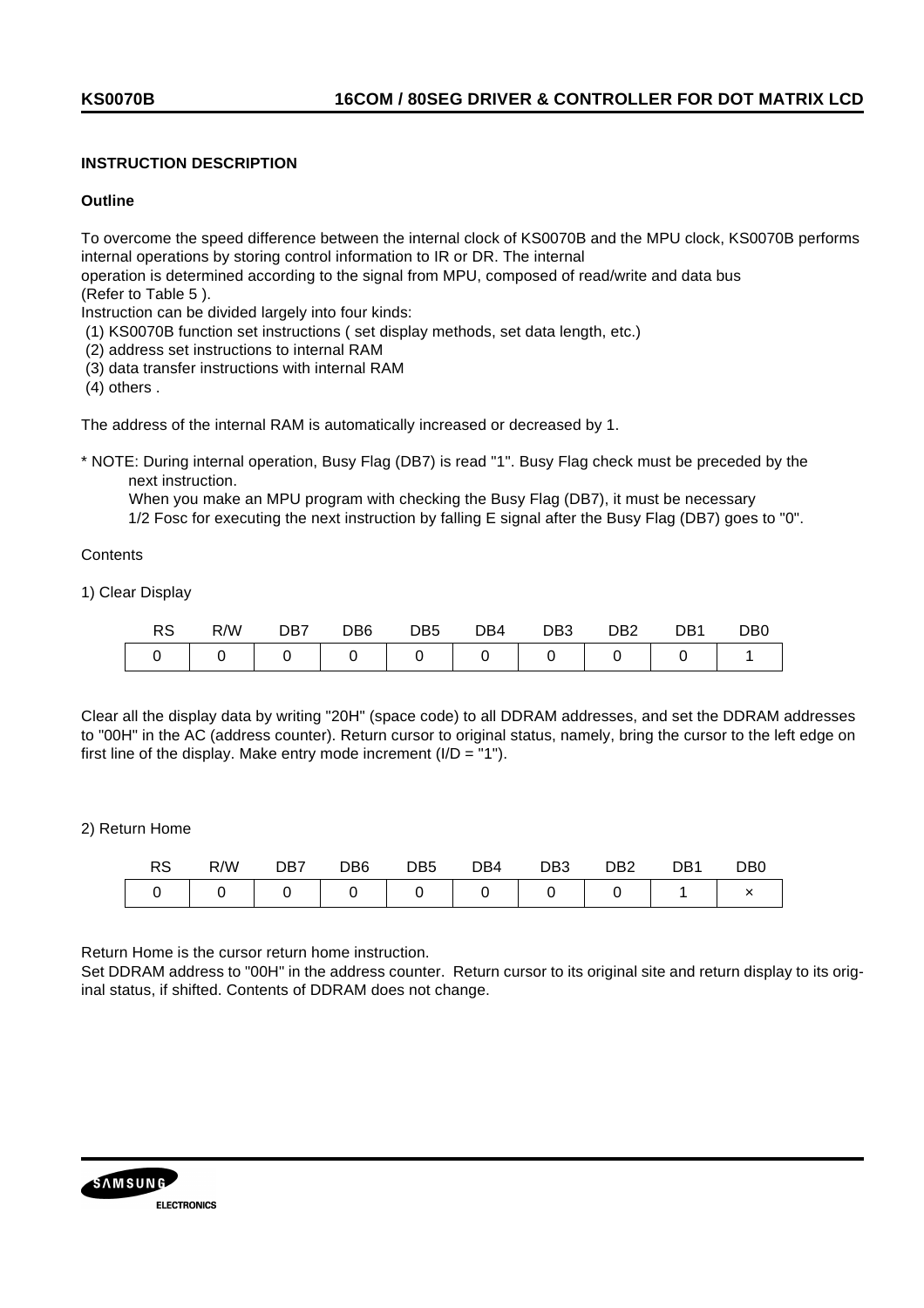### **INSTRUCTION DESCRIPTION**

#### **Outline**

To overcome the speed difference between the internal clock of KS0070B and the MPU clock, KS0070B performs internal operations by storing control information to IR or DR. The internal

operation is determined according to the signal from MPU, composed of read/write and data bus (Refer to Table 5 ).

Instruction can be divided largely into four kinds:

- (1) KS0070B function set instructions ( set display methods, set data length, etc.)
- (2) address set instructions to internal RAM
- (3) data transfer instructions with internal RAM

(4) others .

The address of the internal RAM is automatically increased or decreased by 1.

\* NOTE: During internal operation, Busy Flag (DB7) is read "1". Busy Flag check must be preceded by the next instruction.

 When you make an MPU program with checking the Busy Flag (DB7), it must be necessary 1/2 Fosc for executing the next instruction by falling E signal after the Busy Flag (DB7) goes to "0".

**Contents** 

1) Clear Display

| ĸə | R/W | DB7 | DB6 | DB <sub>5</sub> | DB4 | DB <sub>3</sub> | DB <sub>2</sub> | DB1 | DB <sub>0</sub> |
|----|-----|-----|-----|-----------------|-----|-----------------|-----------------|-----|-----------------|
|    |     |     |     |                 |     |                 |                 |     |                 |

Clear all the display data by writing "20H" (space code) to all DDRAM addresses, and set the DDRAM addresses to "00H" in the AC (address counter). Return cursor to original status, namely, bring the cursor to the left edge on first line of the display. Make entry mode increment  $(I/D = "1")$ .

2) Return Home

| R/W | DB7 | DB6 | DB5 | DB4 | DB <sub>3</sub> | D <sub>B2</sub> | DB1 | D <sub>B</sub> 0 |
|-----|-----|-----|-----|-----|-----------------|-----------------|-----|------------------|
|     |     |     |     |     |                 |                 |     |                  |

Return Home is the cursor return home instruction.

Set DDRAM address to "00H" in the address counter. Return cursor to its original site and return display to its original status, if shifted. Contents of DDRAM does not change.

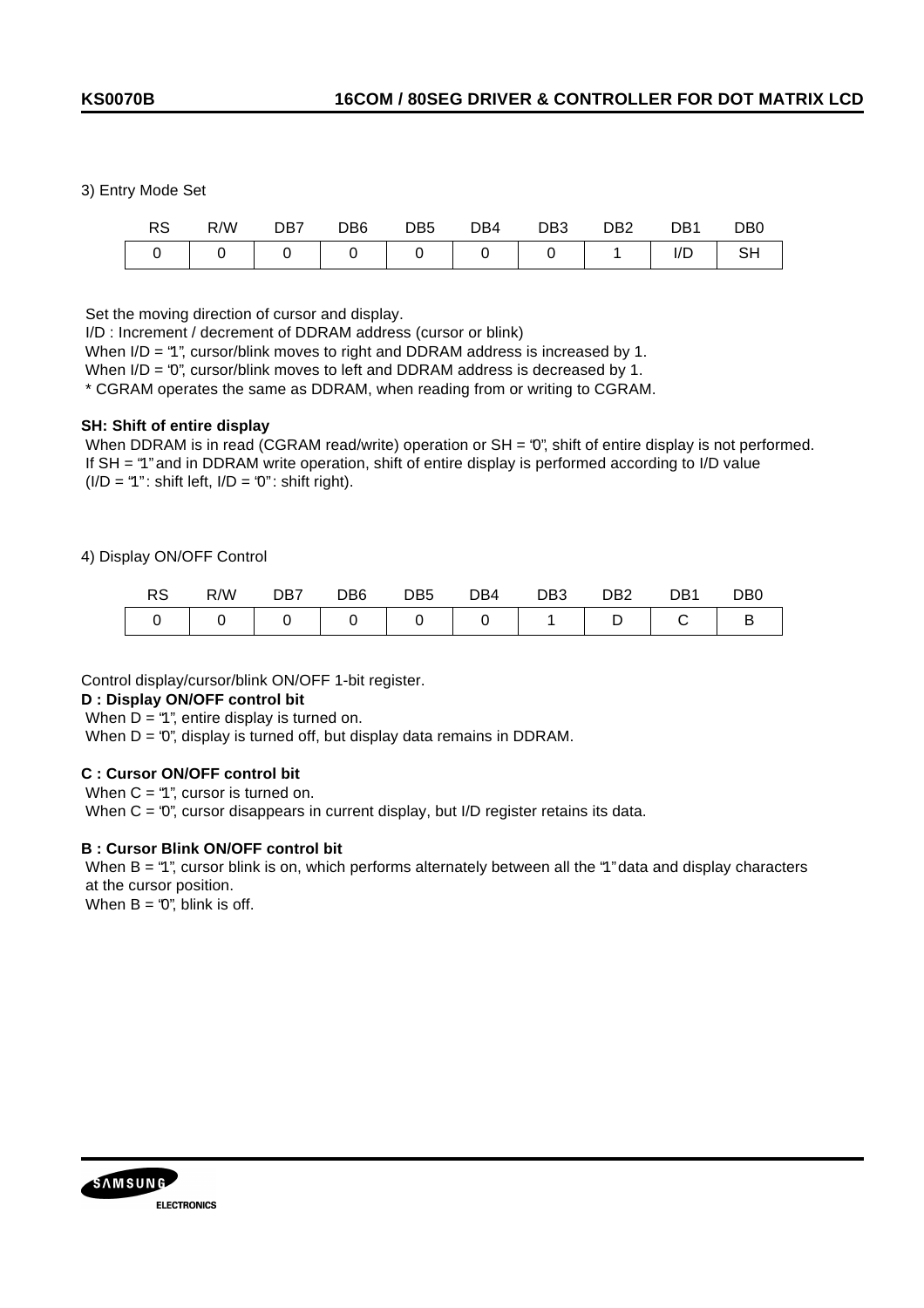#### 3) Entry Mode Set

|                                            | R/W | DB7 | DB <sub>6</sub> | DB5 | DB4 | DB3 | DB <sub>2</sub> | DB1 | DB <sub>0</sub> |
|--------------------------------------------|-----|-----|-----------------|-----|-----|-----|-----------------|-----|-----------------|
| $\begin{array}{ccc} \n & 0 \n \end{array}$ |     |     |                 |     |     |     |                 | I/D |                 |

Set the moving direction of cursor and display.

I/D : Increment / decrement of DDRAM address (cursor or blink)

When I/D = "1", cursor/blink moves to right and DDRAM address is increased by 1.

When I/D = "0", cursor/blink moves to left and DDRAM address is decreased by 1.

\* CGRAM operates the same as DDRAM, when reading from or writing to CGRAM.

#### **SH: Shift of entire display**

When DDRAM is in read (CGRAM read/write) operation or SH = '0", shift of entire display is not performed. If SH = "1" and in DDRAM write operation, shift of entire display is performed according to I/D value  $(I/D = "1"$ : shift left,  $I/D = "0"$ : shift right).

### 4) Display ON/OFF Control

| ۔ ت | R/W | DB7 | DB <sub>6</sub> | DB <sub>5</sub> | DB4 | DB <sub>3</sub> | מםח<br>שט | DB1 | D <sub>B</sub> 0 |
|-----|-----|-----|-----------------|-----------------|-----|-----------------|-----------|-----|------------------|
|     |     |     |                 |                 |     |                 | ◡         |     |                  |

Control display/cursor/blink ON/OFF 1-bit register.

#### **D : Display ON/OFF control bit**

When  $D = "1"$ , entire display is turned on.

When  $D = '0''$ , display is turned off, but display data remains in DDRAM.

### **C : Cursor ON/OFF control bit**

When  $C = "1"$ , cursor is turned on.

When C = '0", cursor disappears in current display, but I/D register retains its data.

### **B : Cursor Blink ON/OFF control bit**

When B = "1", cursor blink is on, which performs alternately between all the "1" data and display characters at the cursor position.

When  $B = '0''$ , blink is off.

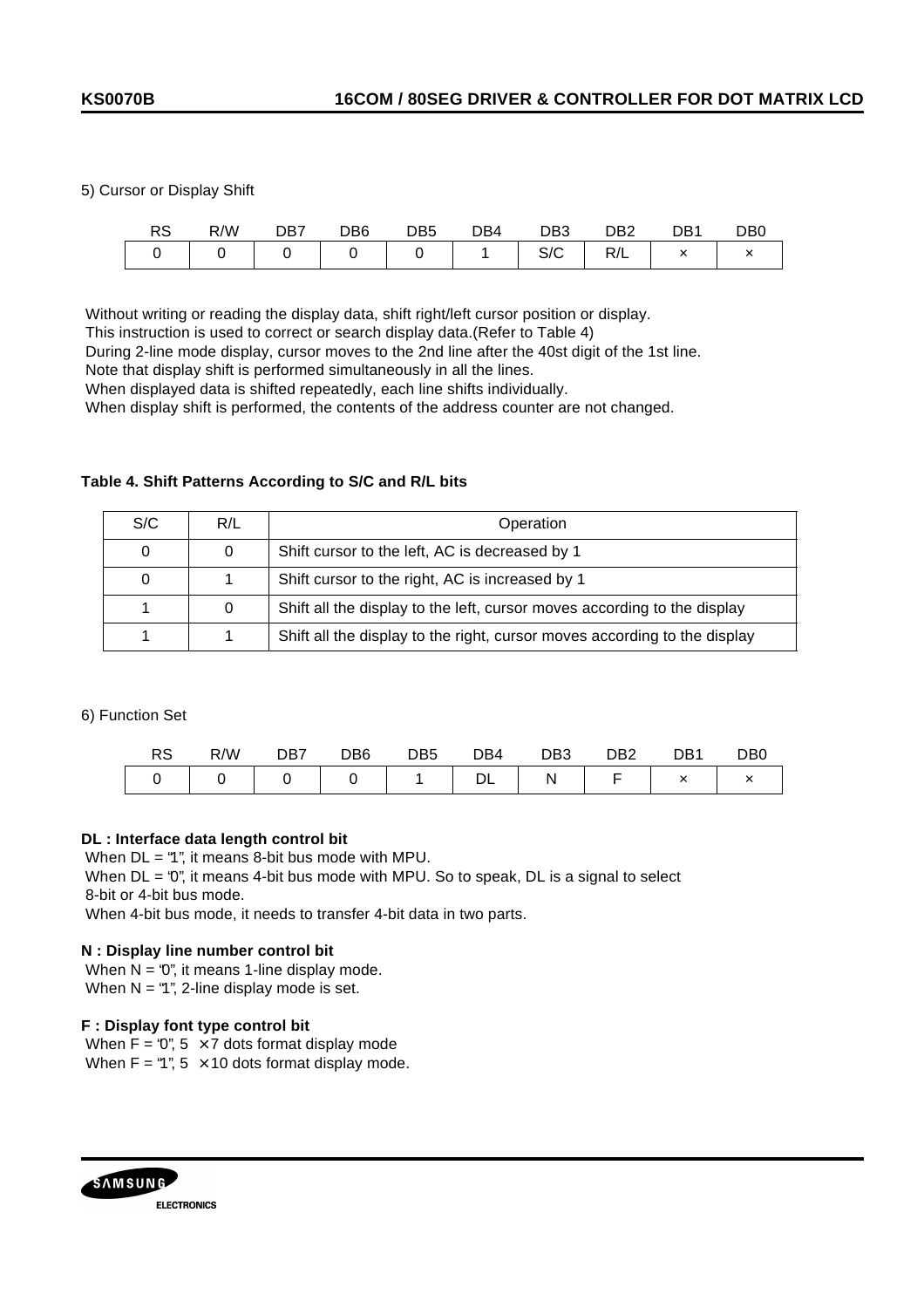5) Cursor or Display Shift

| RS | R/W | DB7 | DB <sub>6</sub> | DB5 | DB4 | DB <sub>3</sub> | DB <sub>2</sub> | DB1 | DB <sub>0</sub> |
|----|-----|-----|-----------------|-----|-----|-----------------|-----------------|-----|-----------------|
|    |     |     |                 |     |     | $\sim$<br>こ/し   | R/L             |     |                 |

Without writing or reading the display data, shift right/left cursor position or display.

This instruction is used to correct or search display data.(Refer to Table 4)

During 2-line mode display, cursor moves to the 2nd line after the 40st digit of the 1st line.

Note that display shift is performed simultaneously in all the lines.

When displayed data is shifted repeatedly, each line shifts individually.

When display shift is performed, the contents of the address counter are not changed.

### **Table 4. Shift Patterns According to S/C and R/L bits**

| S/C | R/L | Operation                                                                 |
|-----|-----|---------------------------------------------------------------------------|
| 0   |     | Shift cursor to the left, AC is decreased by 1                            |
| 0   |     | Shift cursor to the right, AC is increased by 1                           |
|     |     | Shift all the display to the left, cursor moves according to the display  |
|     |     | Shift all the display to the right, cursor moves according to the display |

6) Function Set

| DC<br>⊏ס | R/W | DB <sub>6</sub> | DB <sub>5</sub> | DB4 | DB <sub>3</sub> | DB2 | DB1 | DB <sub>0</sub> |
|----------|-----|-----------------|-----------------|-----|-----------------|-----|-----|-----------------|
|          |     |                 |                 |     | N               |     |     |                 |

### **DL : Interface data length control bit**

When DL = "1", it means 8-bit bus mode with MPU.

When  $DL = '0'$ , it means 4-bit bus mode with MPU. So to speak,  $DL$  is a signal to select 8-bit or 4-bit bus mode.

When 4-bit bus mode, it needs to transfer 4-bit data in two parts.

#### **N : Display line number control bit**

When  $N = '0'$ , it means 1-line display mode. When  $N = 4$ ", 2-line display mode is set.

#### **F : Display font type control bit**

When  $F = 0$ ",  $5 \times 7$  dots format display mode When  $F = 4$ ",  $5 \times 10$  dots format display mode.

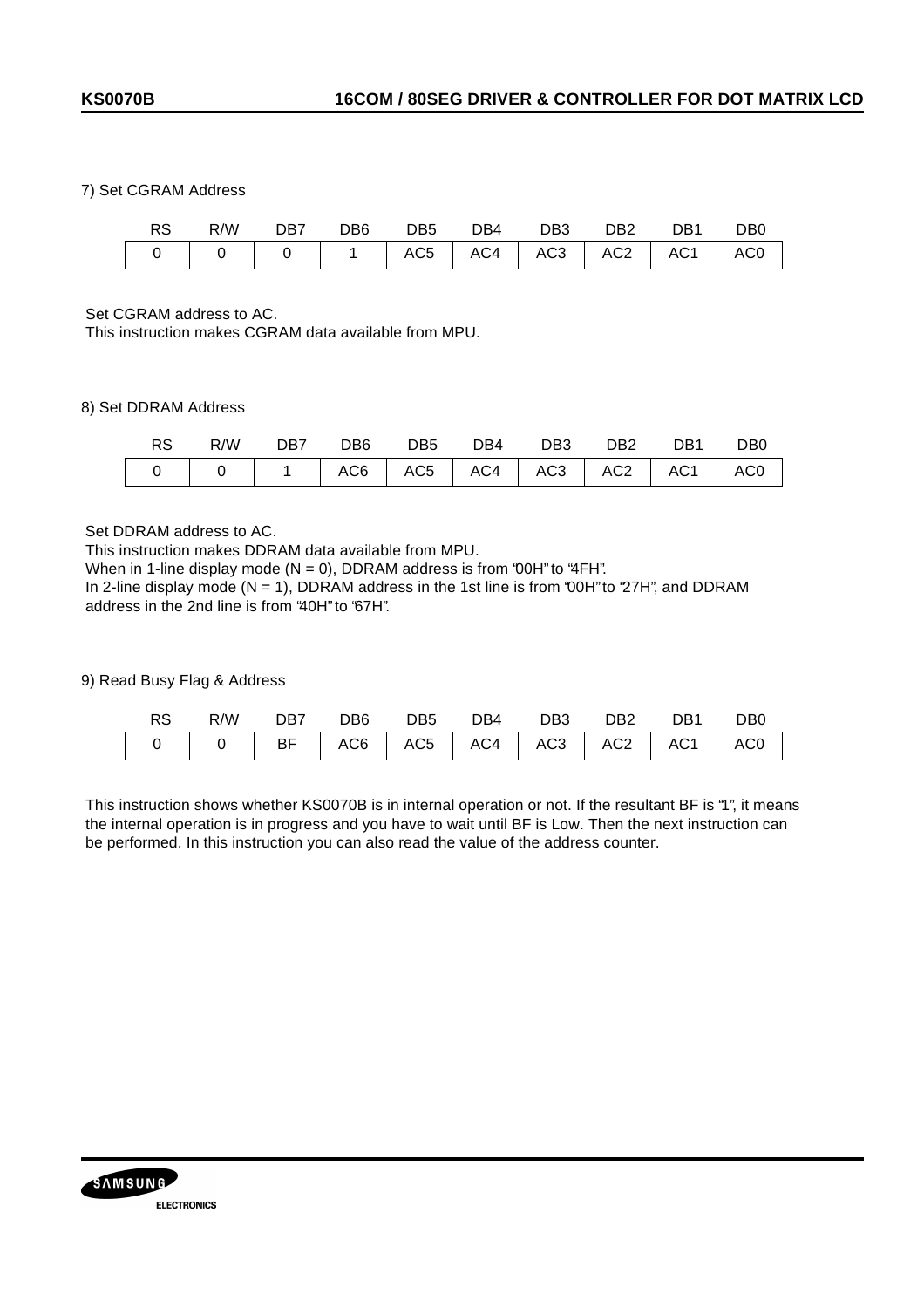### 7) Set CGRAM Address

| RS . | R/W DB7 DB6 DB5 DB4 DB3 DB2 DB1 DB0         |  |  |  |  |
|------|---------------------------------------------|--|--|--|--|
|      | 0   0   0   1  AC5  AC4  AC3  AC2  AC1  AC0 |  |  |  |  |

Set CGRAM address to AC.

This instruction makes CGRAM data available from MPU.

### 8) Set DDRAM Address

| RS. | R/W DB7 DB6 DB5 DB4 DB3 DB2 DB1              |  |  |  | DB0 |
|-----|----------------------------------------------|--|--|--|-----|
|     | ↑   0   1  AC6  AC5  AC4  AC3  AC2  AC1  AC0 |  |  |  |     |

Set DDRAM address to AC.

This instruction makes DDRAM data available from MPU.

When in 1-line display mode ( $N = 0$ ), DDRAM address is from '00H" to "4FH".

 In 2-line display mode (N = 1), DDRAM address in the 1st line is from "00H" to "27H", and DDRAM address in the 2nd line is from "40H" to "67H".

9) Read Busy Flag & Address

| RS - | R/W DB7 DB6 DB5 DB4 DB3 DB2 DB1 DB0 |  |  |  |  |
|------|-------------------------------------|--|--|--|--|
|      |                                     |  |  |  |  |

 This instruction shows whether KS0070B is in internal operation or not. If the resultant BF is "1", it means the internal operation is in progress and you have to wait until BF is Low. Then the next instruction can be performed. In this instruction you can also read the value of the address counter.

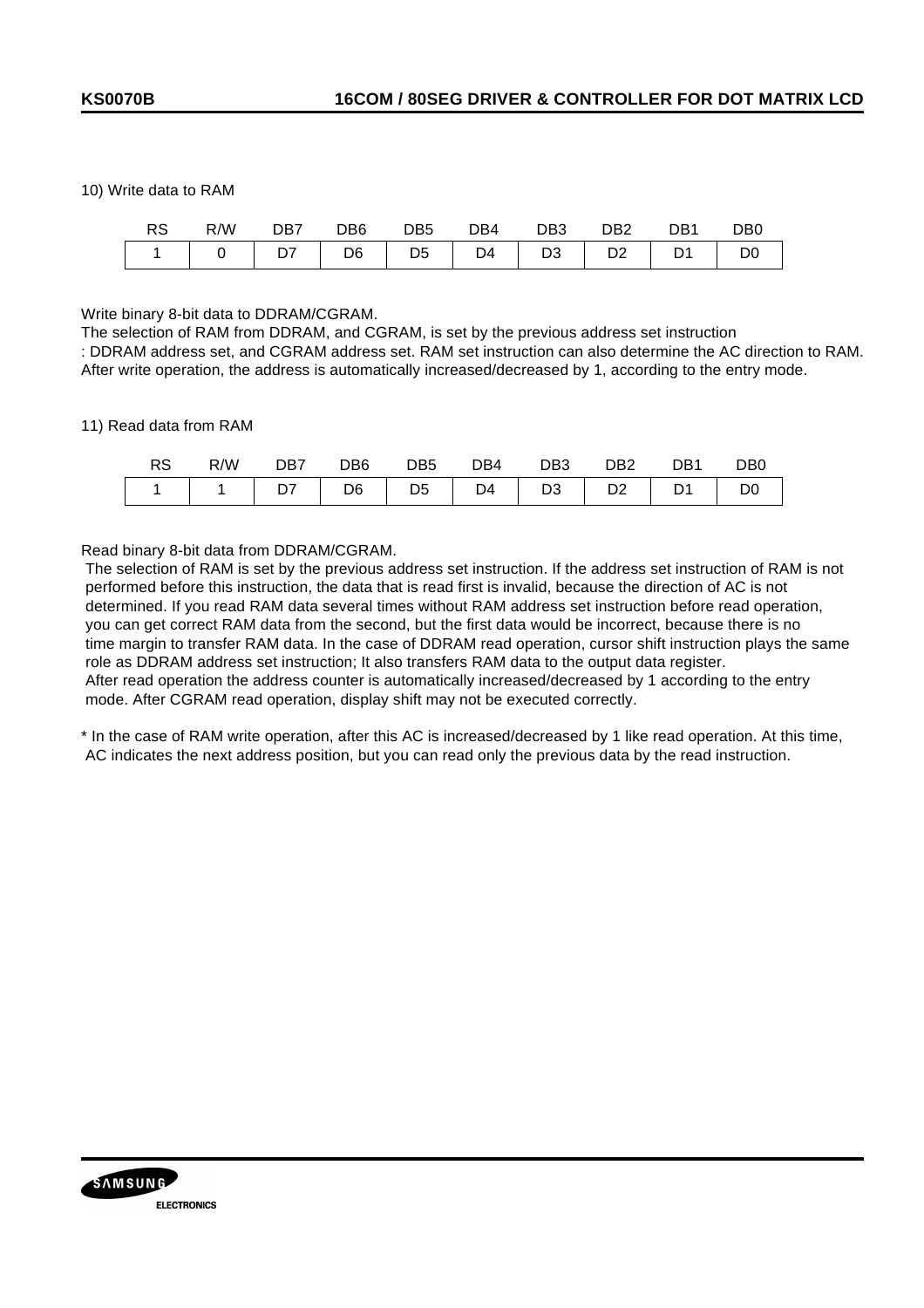### 10) Write data to RAM

| <b>RS</b> | R/W                                                                                                                    | DB <sub>7</sub> | DB6.           | DB5.           | DB4 | DB <sub>3</sub> | DB <sub>2</sub> | DB1            | D <sub>B</sub> 0 |
|-----------|------------------------------------------------------------------------------------------------------------------------|-----------------|----------------|----------------|-----|-----------------|-----------------|----------------|------------------|
|           | $\begin{array}{ c c c c c } \hline \ \multicolumn{1}{ c }{0} & \multicolumn{1}{ c }{\textbf{D7}} \\\hline \end{array}$ |                 | D <sub>6</sub> | D <sub>5</sub> | D4  | D3              | D <sub>2</sub>  | D <sub>1</sub> | D <sub>0</sub>   |

Write binary 8-bit data to DDRAM/CGRAM.

The selection of RAM from DDRAM, and CGRAM, is set by the previous address set instruction : DDRAM address set, and CGRAM address set. RAM set instruction can also determine the AC direction to RAM. After write operation, the address is automatically increased/decreased by 1, according to the entry mode.

### 11) Read data from RAM

|  | R/W DB7 DB6                                   |  | DB5 DB4 DB3 DB2 | DB1 | DB0 |
|--|-----------------------------------------------|--|-----------------|-----|-----|
|  | 1   1   D7   D6   D5   D4   D3   D2   D1   D0 |  |                 |     |     |

Read binary 8-bit data from DDRAM/CGRAM.

 The selection of RAM is set by the previous address set instruction. If the address set instruction of RAM is not performed before this instruction, the data that is read first is invalid, because the direction of AC is not determined. If you read RAM data several times without RAM address set instruction before read operation, you can get correct RAM data from the second, but the first data would be incorrect, because there is no time margin to transfer RAM data. In the case of DDRAM read operation, cursor shift instruction plays the same role as DDRAM address set instruction; It also transfers RAM data to the output data register. After read operation the address counter is automatically increased/decreased by 1 according to the entry mode. After CGRAM read operation, display shift may not be executed correctly.

\* In the case of RAM write operation, after this AC is increased/decreased by 1 like read operation. At this time, AC indicates the next address position, but you can read only the previous data by the read instruction.

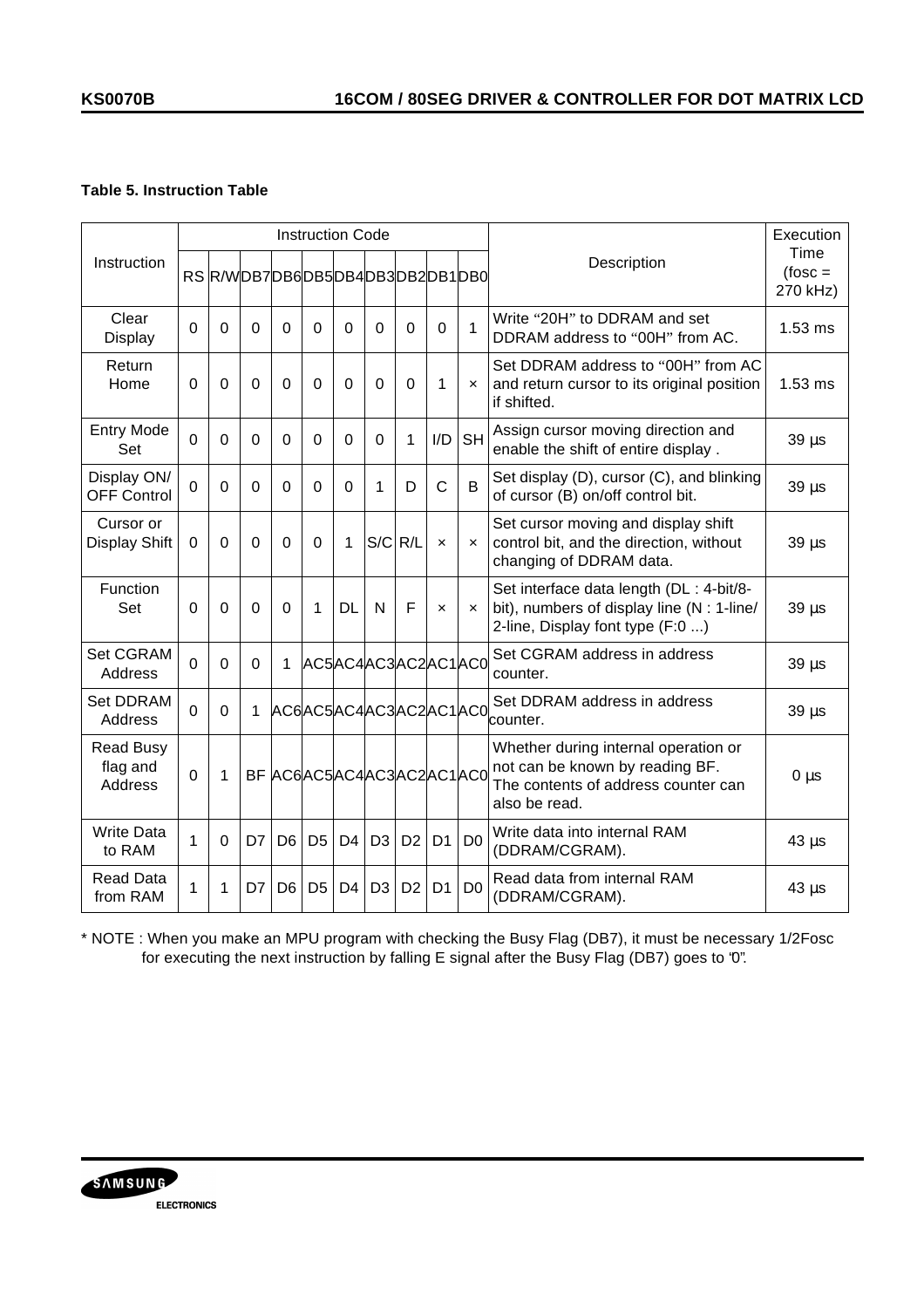# **Table 5. Instruction Table**

|                                         |             |          |          |                | <b>Instruction Code</b> |                |                |                                |                           |                           |                                                                                                                                 | Execution                    |
|-----------------------------------------|-------------|----------|----------|----------------|-------------------------|----------------|----------------|--------------------------------|---------------------------|---------------------------|---------------------------------------------------------------------------------------------------------------------------------|------------------------------|
| Instruction                             |             |          |          |                |                         |                |                | RS R/WDB7DB6DB5DB4DB3DB2DB1DB0 |                           |                           | Description                                                                                                                     | Time<br>$fose =$<br>270 kHz) |
| Clear<br>Display                        | $\mathbf 0$ | 0        | $\Omega$ | $\Omega$       | $\Omega$                | $\Omega$       | $\Omega$       | $\Omega$                       | $\Omega$                  | 1                         | Write "20H" to DDRAM and set<br>DDRAM address to "00H" from AC.                                                                 | $1.53$ ms                    |
| Return<br>Home                          | $\mathbf 0$ | 0        | 0        | $\Omega$       | 0                       | 0              | $\mathbf 0$    | $\mathbf 0$                    | 1                         | $\boldsymbol{\mathsf{x}}$ | Set DDRAM address to "00H" from AC<br>and return cursor to its original position<br>if shifted.                                 | $1.53$ ms                    |
| <b>Entry Mode</b><br>Set                | $\mathbf 0$ | 0        | 0        | $\mathbf 0$    | 0                       | 0              | $\mathbf 0$    | 1                              | I/D                       | <b>SH</b>                 | Assign cursor moving direction and<br>enable the shift of entire display.                                                       | $39 \mu s$                   |
| Display ON/<br><b>OFF Control</b>       | $\Omega$    | 0        | $\Omega$ | $\mathbf 0$    | $\Omega$                | $\Omega$       | 1              | D                              | $\mathsf{C}$              | B                         | Set display (D), cursor (C), and blinking<br>of cursor (B) on/off control bit.                                                  | $39 \mu s$                   |
| Cursor or<br>Display Shift              | $\Omega$    | $\Omega$ | $\Omega$ | $\Omega$       | $\Omega$                | 1              | $S/C$ R/L      |                                | $\mathsf{x}$              | $\mathsf{x}$              | Set cursor moving and display shift<br>control bit, and the direction, without<br>changing of DDRAM data.                       | $39 \mu s$                   |
| Function<br>Set                         | $\Omega$    | $\Omega$ | $\Omega$ | $\mathbf 0$    | 1                       | <b>DL</b>      | N              | F                              | $\boldsymbol{\mathsf{x}}$ | $\boldsymbol{\mathsf{x}}$ | Set interface data length (DL : 4-bit/8-<br>bit), numbers of display line (N : 1-line/<br>2-line, Display font type (F:0 )      | $39 \mu s$                   |
| Set CGRAM<br>Address                    | $\Omega$    | $\Omega$ | $\Omega$ | 1              |                         |                |                | AC5AC4AC3AC2AC1AC0             |                           |                           | Set CGRAM address in address<br>counter.                                                                                        | $39 \mu s$                   |
| <b>Set DDRAM</b><br>Address             | $\Omega$    | $\Omega$ | 1        |                |                         |                |                | AC6AC5AC4AC3AC2AC1AC0          |                           |                           | Set DDRAM address in address<br>counter.                                                                                        | $39 \mu s$                   |
| <b>Read Busy</b><br>flag and<br>Address | $\Omega$    | 1        |          |                |                         |                |                | BF AC6AC5AC4AC3AC2AC1AC0       |                           |                           | Whether during internal operation or<br>not can be known by reading BF.<br>The contents of address counter can<br>also be read. | $0 \mu s$                    |
| <b>Write Data</b><br>to RAM             | 1           | $\Omega$ | D7       | D <sub>6</sub> | D <sub>5</sub>          | D4             | D <sub>3</sub> | D <sub>2</sub>                 | D <sub>1</sub>            | D <sub>0</sub>            | Write data into internal RAM<br>(DDRAM/CGRAM).                                                                                  | $43 \mu s$                   |
| <b>Read Data</b><br>from RAM            | 1           | 1        | D7       | D <sub>6</sub> | D <sub>5</sub>          | D <sub>4</sub> | D <sub>3</sub> | D <sub>2</sub>                 | D <sub>1</sub>            | D <sub>0</sub>            | Read data from internal RAM<br>(DDRAM/CGRAM).                                                                                   | $43 \mu s$                   |

\* NOTE : When you make an MPU program with checking the Busy Flag (DB7), it must be necessary 1/2Fosc for executing the next instruction by falling E signal after the Busy Flag (DB7) goes to "0".

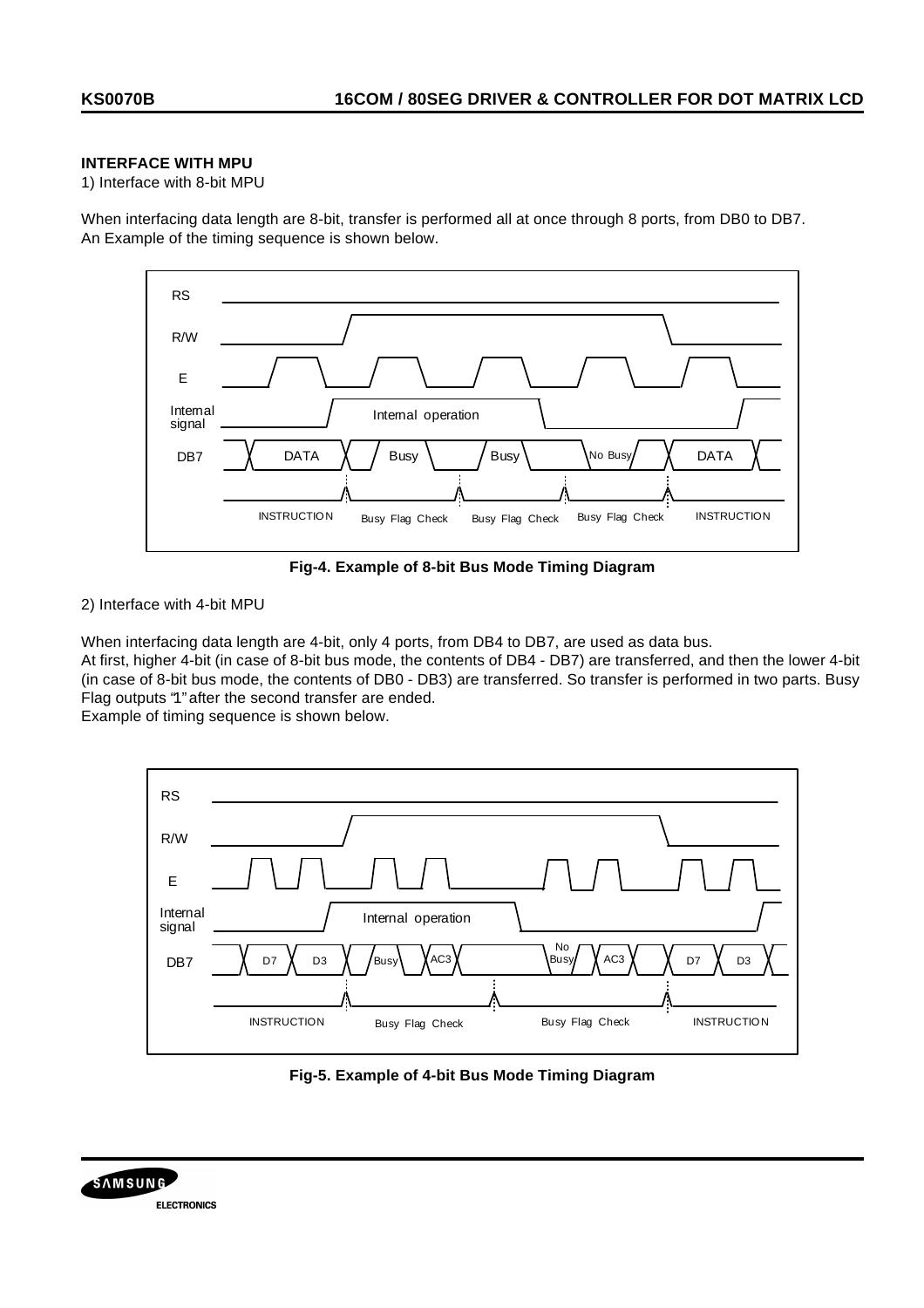## **INTERFACE WITH MPU**

1) Interface with 8-bit MPU

When interfacing data length are 8-bit, transfer is performed all at once through 8 ports, from DB0 to DB7. An Example of the timing sequence is shown below.



**Fig-4. Example of 8-bit Bus Mode Timing Diagram**

2) Interface with 4-bit MPU

When interfacing data length are 4-bit, only 4 ports, from DB4 to DB7, are used as data bus.

At first, higher 4-bit (in case of 8-bit bus mode, the contents of DB4 - DB7) are transferred, and then the lower 4-bit (in case of 8-bit bus mode, the contents of DB0 - DB3) are transferred. So transfer is performed in two parts. Busy Flag outputs "1" after the second transfer are ended.

Example of timing sequence is shown below.



**Fig-5. Example of 4-bit Bus Mode Timing Diagram**

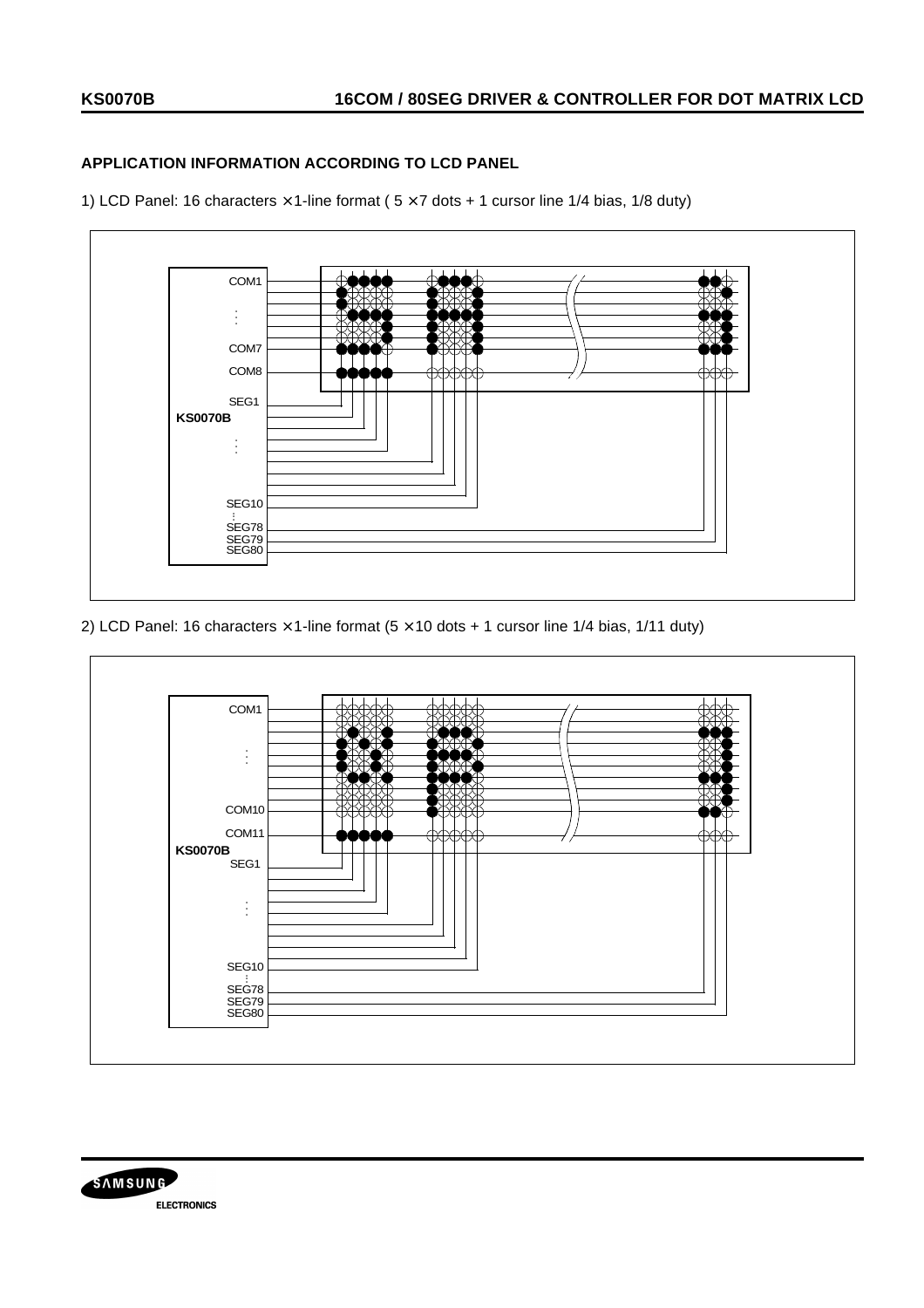# **APPLICATION INFORMATION ACCORDING TO LCD PANEL**

1) LCD Panel: 16 characters  $\times$  1-line format (  $5 \times 7$  dots + 1 cursor line 1/4 bias, 1/8 duty)



2) LCD Panel: 16 characters  $\times$  1-line format (5  $\times$  10 dots + 1 cursor line 1/4 bias, 1/11 duty)



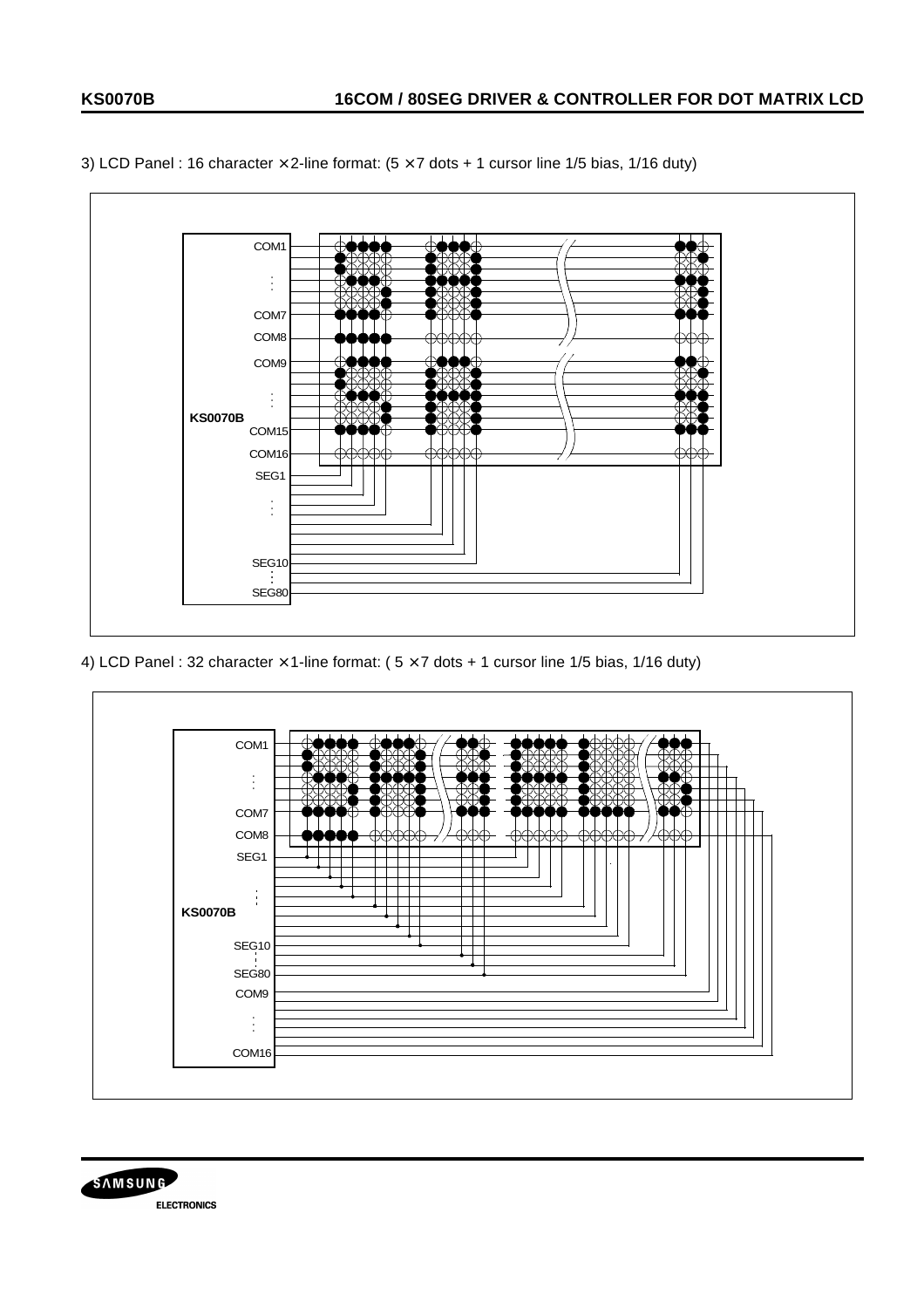

3) LCD Panel : 16 character  $\times$  2-line format: (5  $\times$  7 dots + 1 cursor line 1/5 bias, 1/16 duty)

4) LCD Panel : 32 character  $\times$  1-line format: ( $5 \times 7$  dots + 1 cursor line 1/5 bias, 1/16 duty)



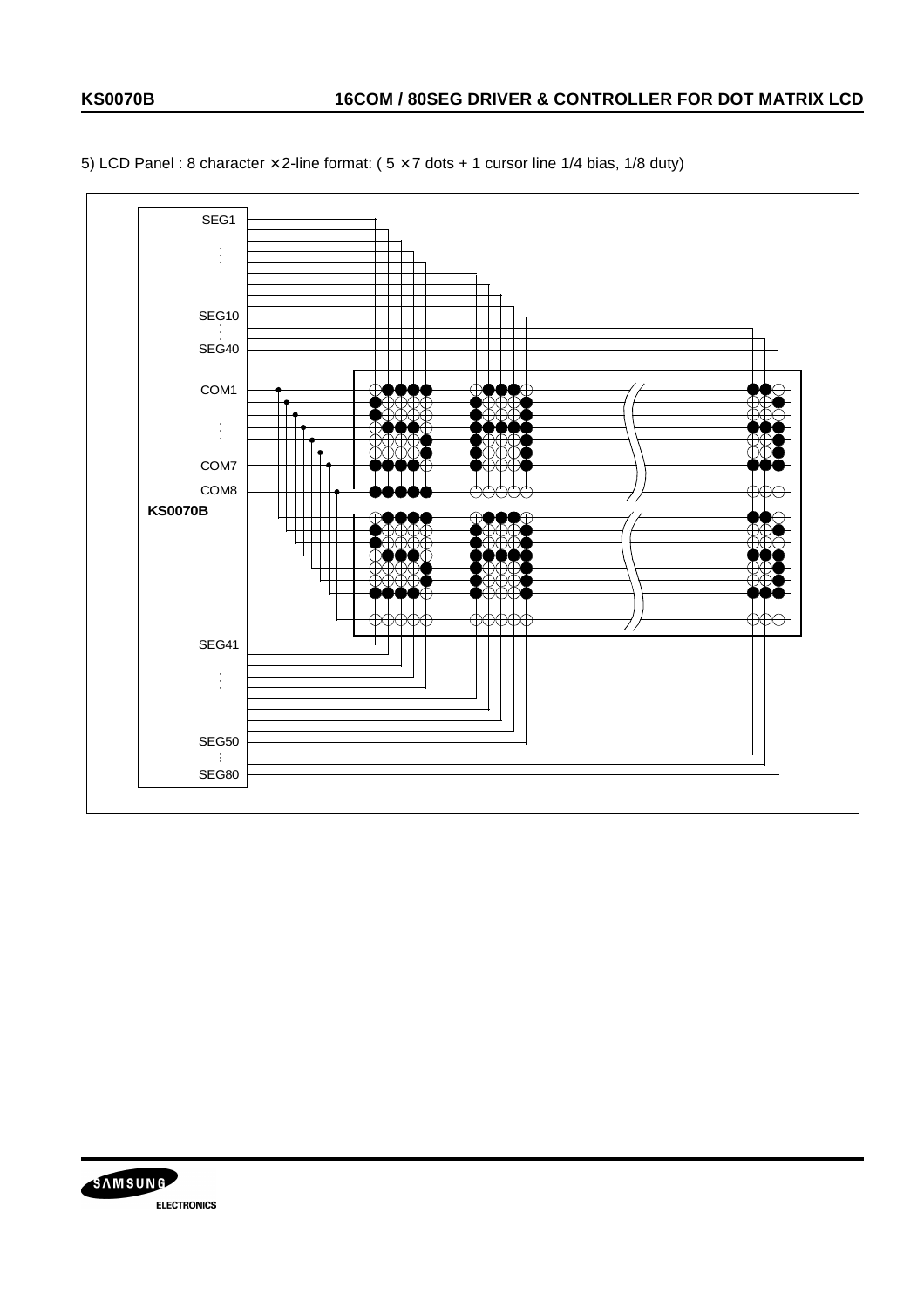

5) LCD Panel : 8 character  $\times$  2-line format: ( $5 \times 7$  dots + 1 cursor line 1/4 bias, 1/8 duty)

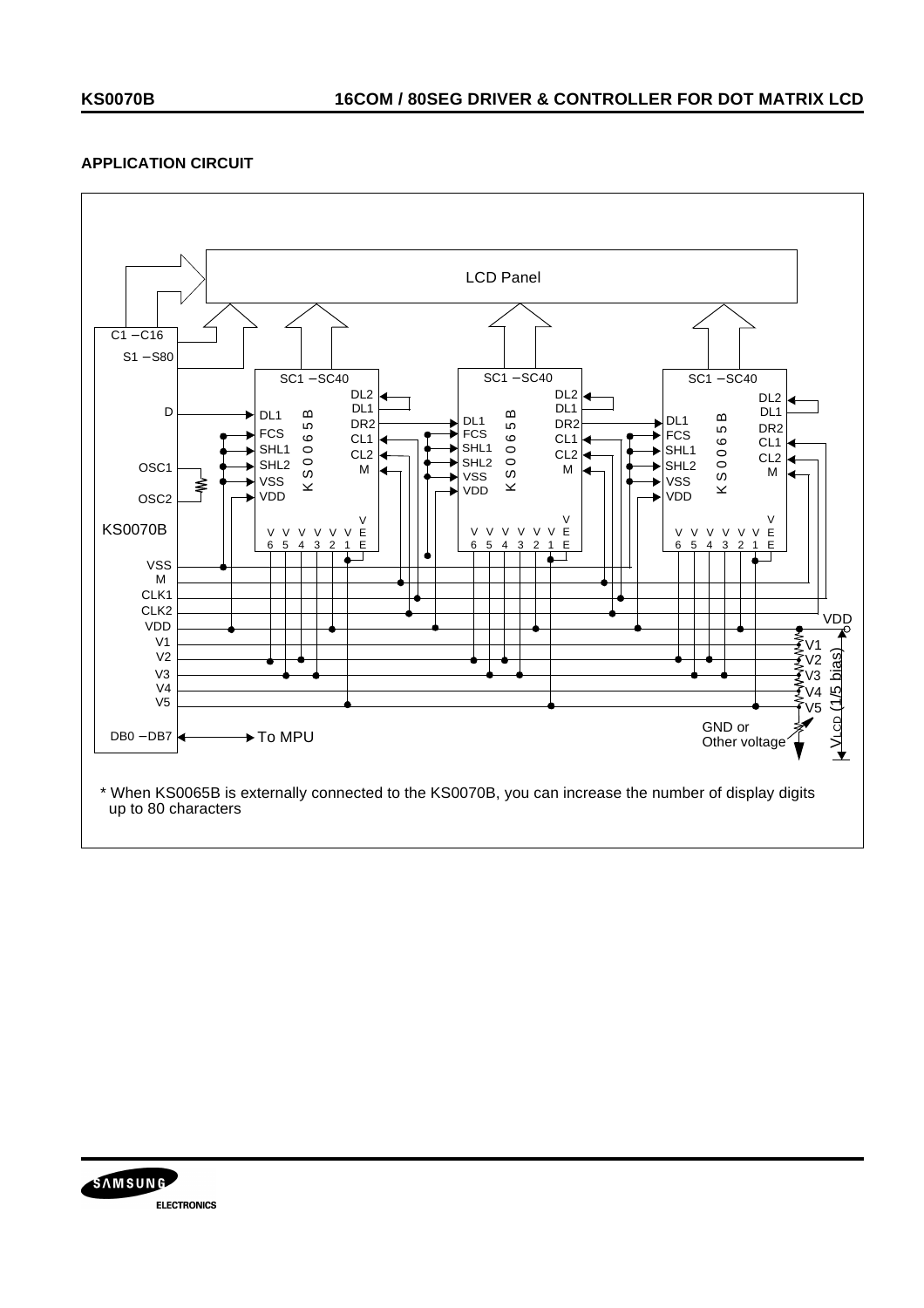## **APPLICATION CIRCUIT**



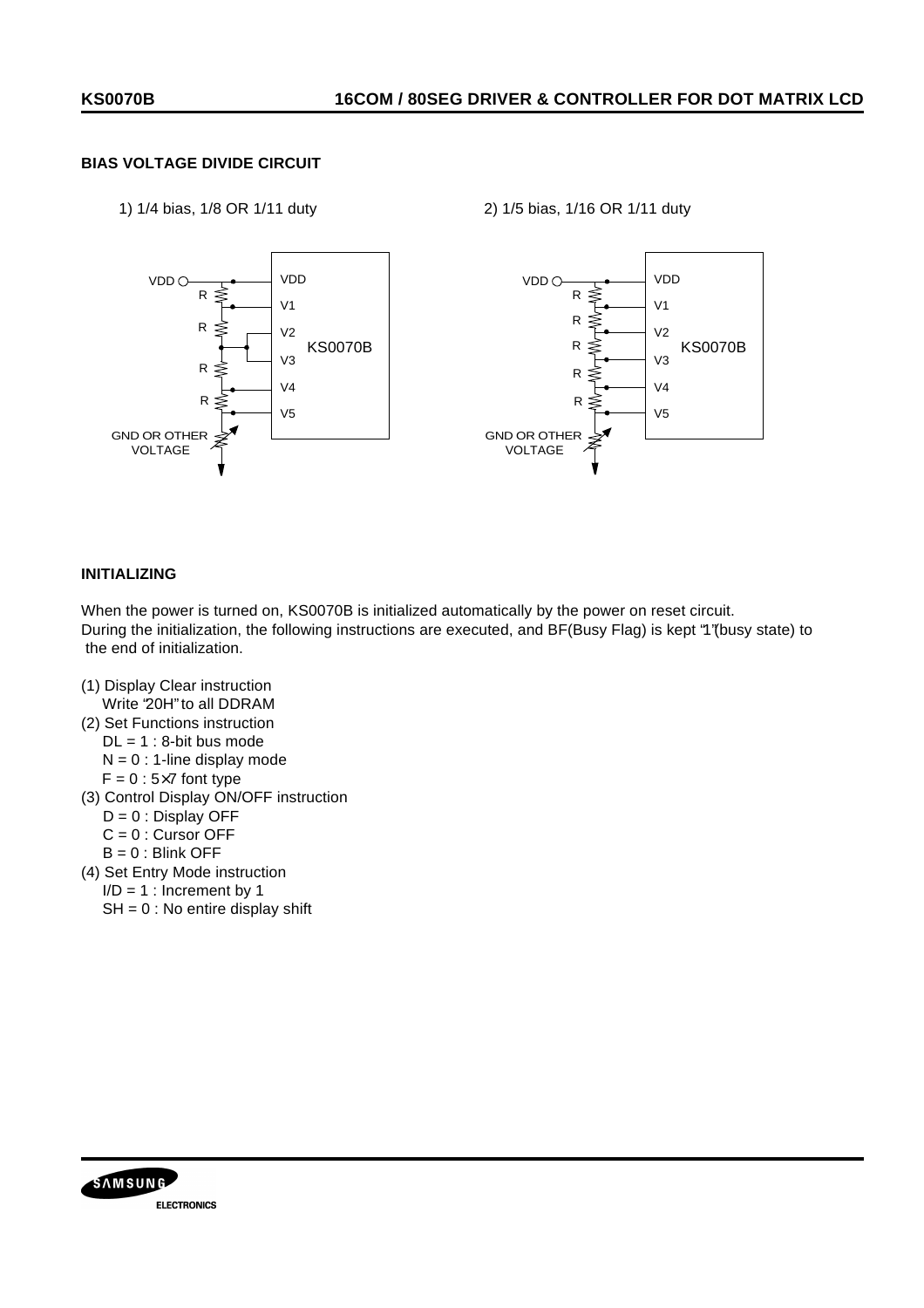# **BIAS VOLTAGE DIVIDE CIRCUIT**

1) 1/4 bias, 1/8 OR 1/11 duty 2) 1/5 bias, 1/16 OR 1/11 duty



### **INITIALIZING**

When the power is turned on, KS0070B is initialized automatically by the power on reset circuit. During the initialization, the following instructions are executed, and BF(Busy Flag) is kept "1"(busy state) to the end of initialization.

- (1) Display Clear instruction Write "20H" to all DDRAM
- (2) Set Functions instruction  $DL = 1 : 8$ -bit bus mode  $N = 0$  : 1-line display mode
	- $F = 0$ : 5×7 font type
- (3) Control Display ON/OFF instruction
	- $D = 0$ : Display OFF
	- $C = 0$  : Cursor OFF
	- $B = 0$ : Blink OFF
- (4) Set Entry Mode instruction
- $I/D = 1$ : Increment by 1
	- $SH = 0$ : No entire display shift

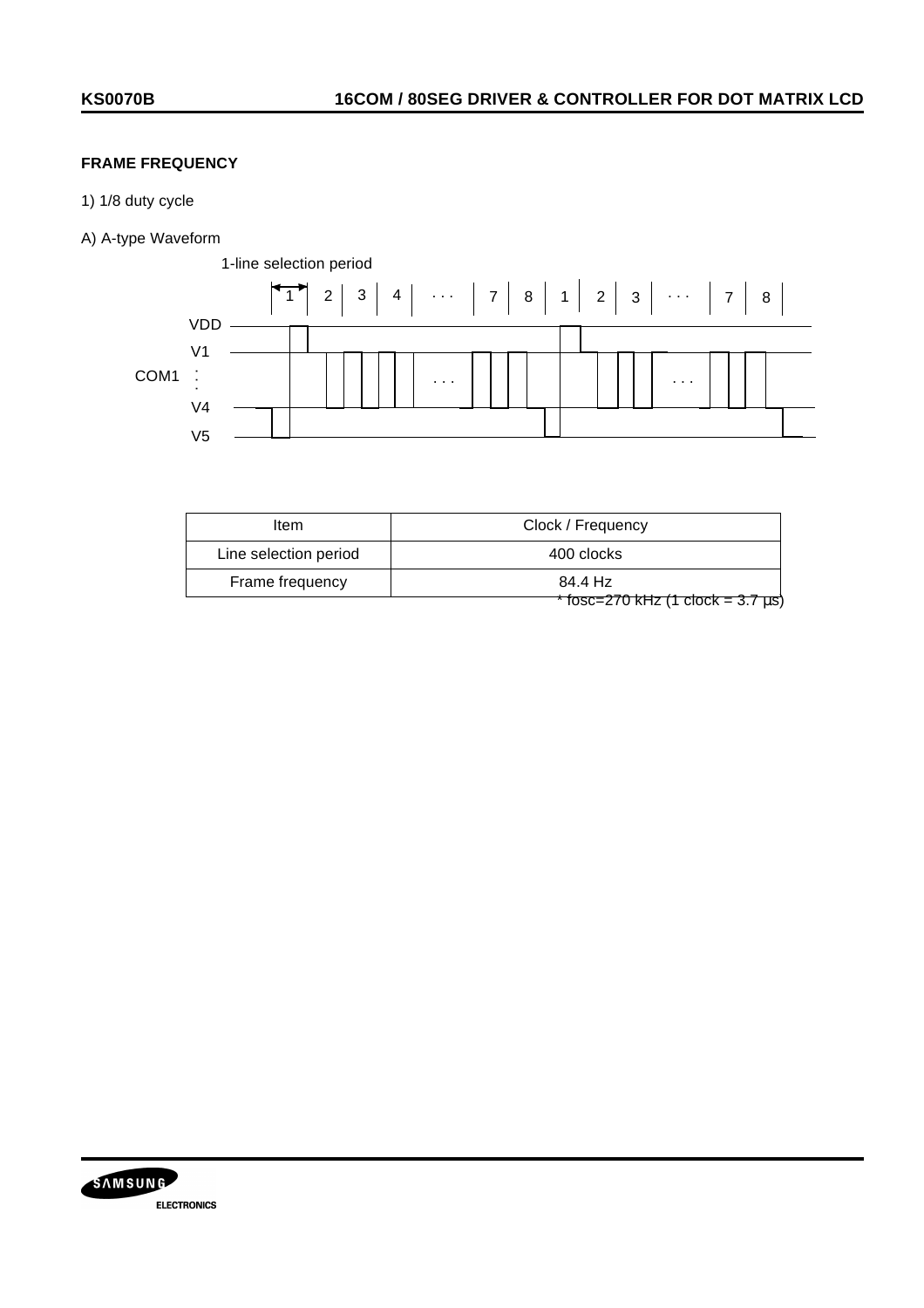# **FRAME FREQUENCY**

- 1) 1/8 duty cycle
- A) A-type Waveform



| Item                  | Clock / Frequency                        |
|-----------------------|------------------------------------------|
| Line selection period | 400 clocks                               |
| Frame frequency       | 84.4 Hz                                  |
|                       | $*$ fosc=270 kHz (1 clock = 3.7 $\mu$ s) |

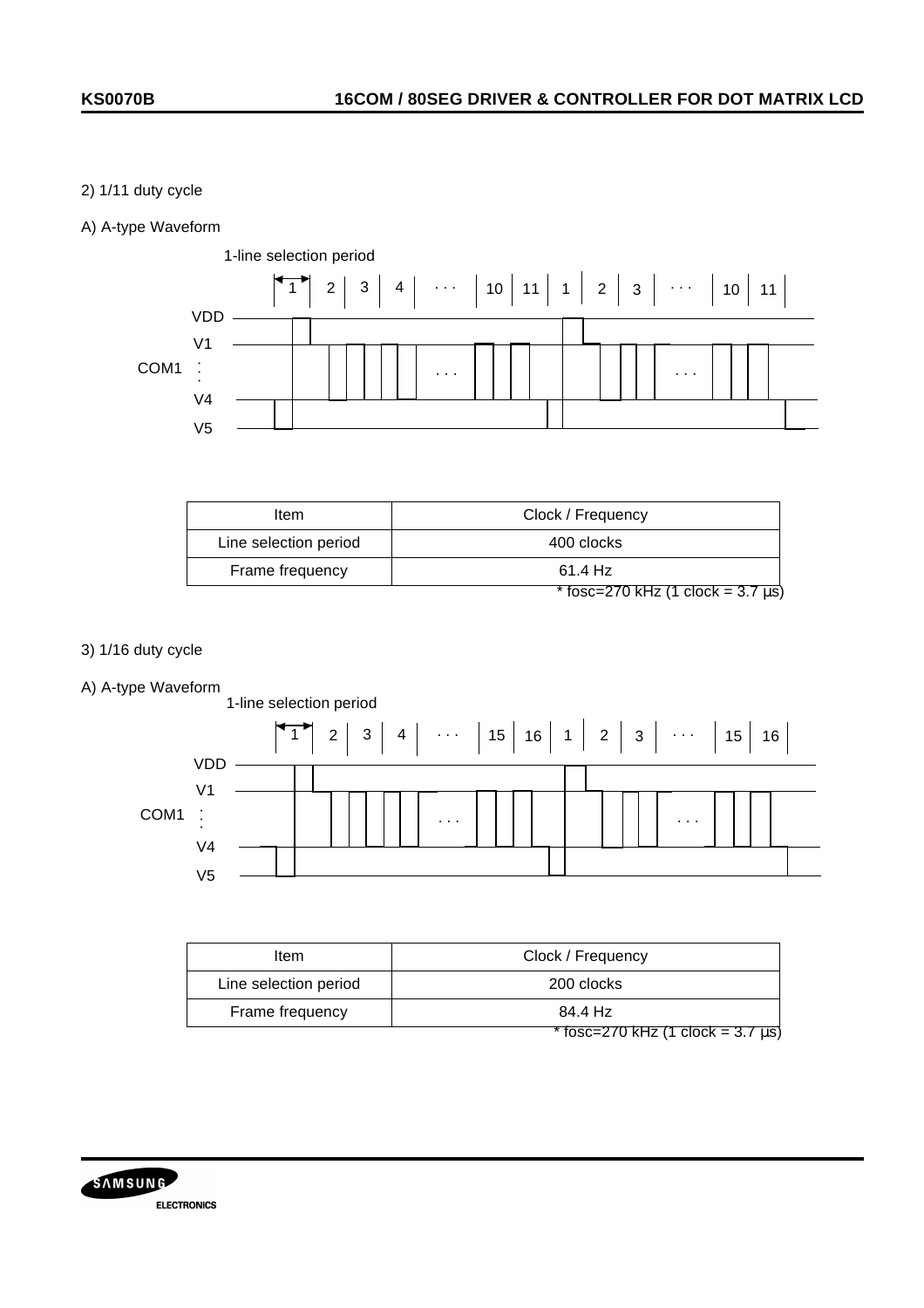## 2) 1/11 duty cycle

## A) A-type Waveform



| ltem                  | Clock / Frequency                       |
|-----------------------|-----------------------------------------|
| Line selection period | 400 clocks                              |
| Frame frequency       | 61.4 Hz                                 |
|                       | * fosc=270 kHz (1 clock = $3.7 \mu s$ ) |

- 3) 1/16 duty cycle
- A) A-type Waveform



| ltem                  | Clock / Frequency                        |
|-----------------------|------------------------------------------|
| Line selection period | 200 clocks                               |
| Frame frequency       | 84.4 Hz                                  |
|                       | $*$ fosc=270 kHz (1 clock = 3.7 $\mu$ s) |

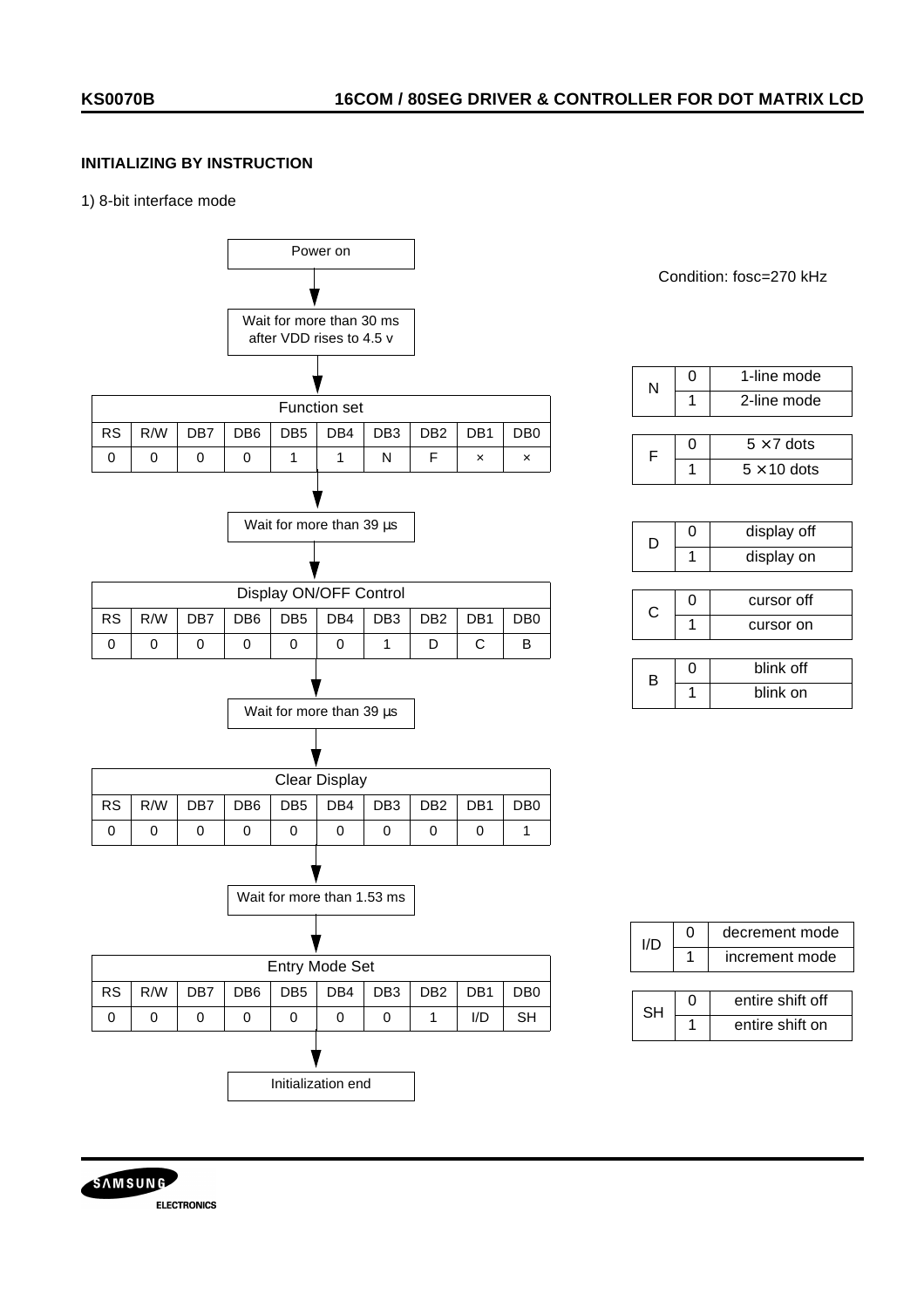## **INITIALIZING BY INSTRUCTION**

#### 1) 8-bit interface mode



**SAMSUNG ELECTRONICS**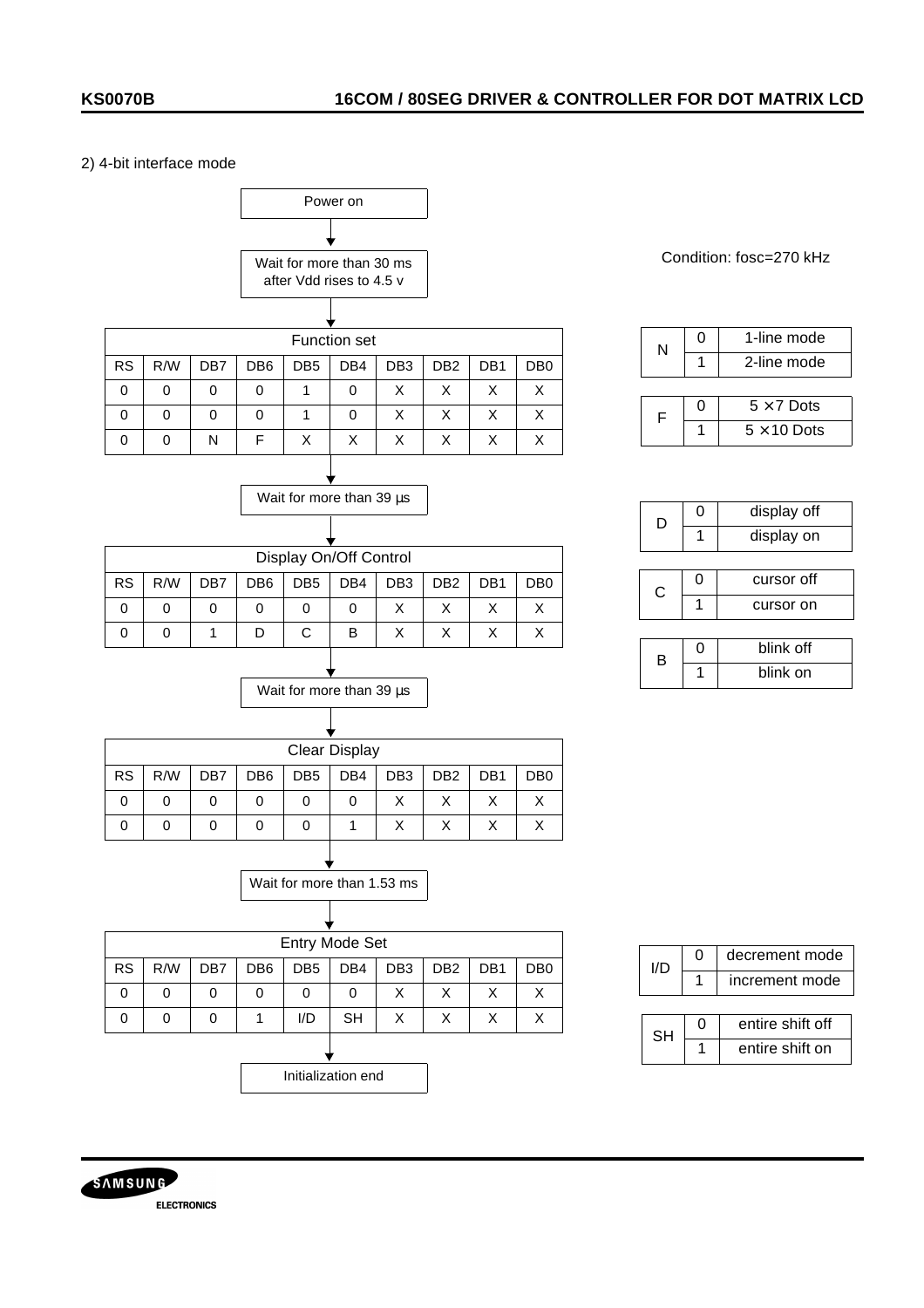### 2) 4-bit interface mode



![](_page_31_Picture_4.jpeg)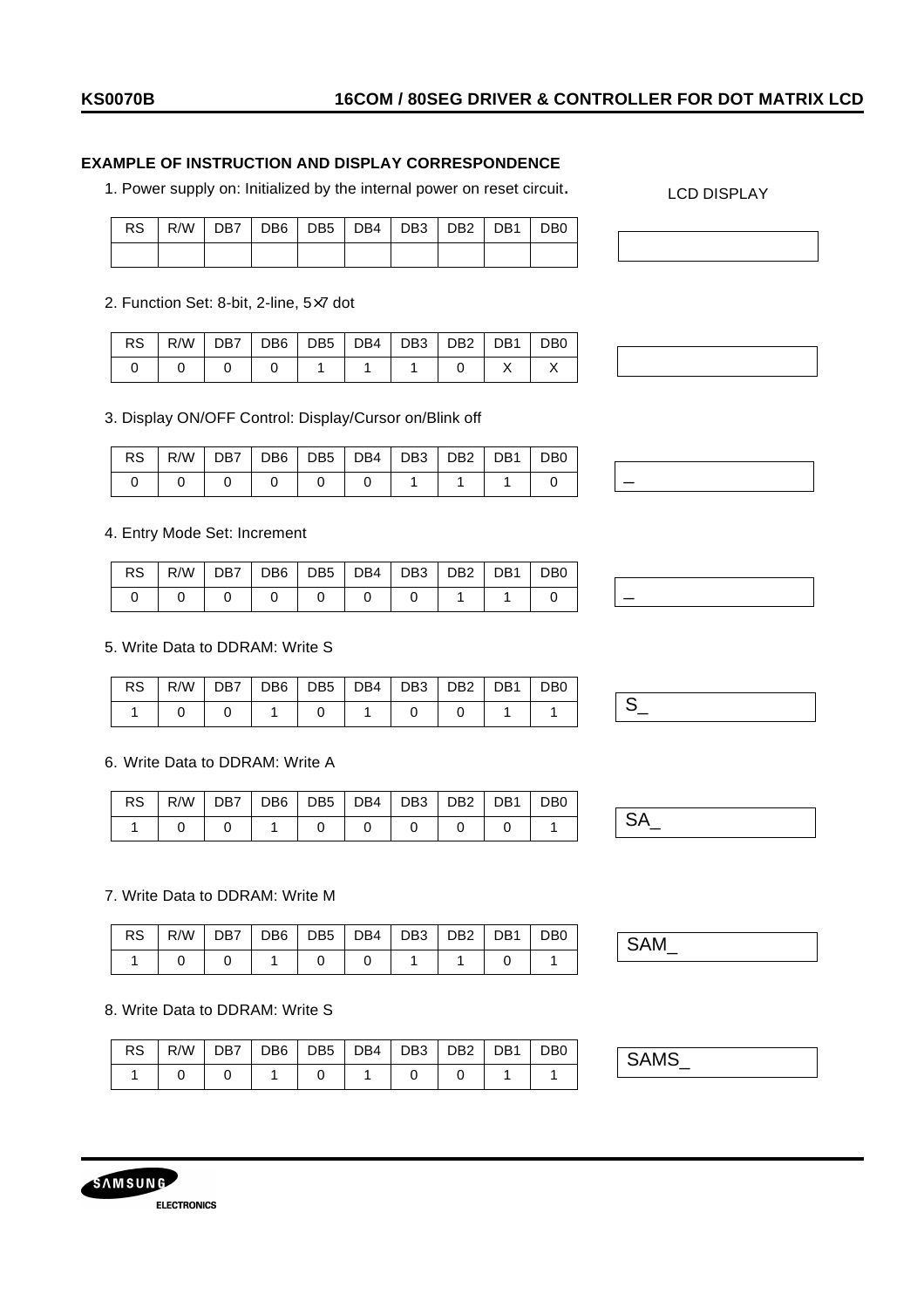## **EXAMPLE OF INSTRUCTION AND DISPLAY CORRESPONDENCE**

1. Power supply on: Initialized by the internal power on reset circuit.

|  |  | RS   R/W   DB7   DB6   DB5   DB4   DB3   DB2   DB1   DB0 |  |  |
|--|--|----------------------------------------------------------|--|--|
|  |  |                                                          |  |  |

2. Function Set: 8-bit, 2-line, 5×7 dot

|  |  |  | $RS$   R/W   DB7   DB6   DB5   DB4   DB3   DB2   DB1   DB0 |  |  |
|--|--|--|------------------------------------------------------------|--|--|
|  |  |  |                                                            |  |  |

3. Display ON/OFF Control: Display/Cursor on/Blink off

| RS   R/W   DB7   DB6   DB5   DB4   DB3   DB2   DB1   DB0 |  |  |  |  |
|----------------------------------------------------------|--|--|--|--|
|                                                          |  |  |  |  |

4. Entry Mode Set: Increment

|  |  | RS   R/W   DB7   DB6   DB5   DB4   DB3   DB2   DB1   DB0 |  |  |
|--|--|----------------------------------------------------------|--|--|
|  |  |                                                          |  |  |

#### 5. Write Data to DDRAM: Write S

|  |  | RS R/W DB7 DB6 DB5 DB4 DB3 DB2 DB1 DB0 |  |  |  |
|--|--|----------------------------------------|--|--|--|
|  |  |                                        |  |  |  |

# 6. Write Data to DDRAM: Write A

| <b>RS</b> | R/W   DB7   DB6   DB5   DB4   DB3   DB2   DB1   DB0 |  |  |  |  |  |
|-----------|-----------------------------------------------------|--|--|--|--|--|
|           |                                                     |  |  |  |  |  |

### 7. Write Data to DDRAM: Write M

|  |  | $RS$   R/W   DB7   DB6   DB5   DB4   DB3   DB2   DB1   DB0 |  |  |
|--|--|------------------------------------------------------------|--|--|
|  |  |                                                            |  |  |

#### 8. Write Data to DDRAM: Write S

SAMSUNG

**ELECTRONICS** 

|  |  | RS   R/W   DB7   DB6   DB5   DB4   DB3   DB2   DB1   DB0 |  |  |
|--|--|----------------------------------------------------------|--|--|
|  |  |                                                          |  |  |

SAMS\_

![](_page_32_Picture_20.jpeg)

LCD DISPLAY

![](_page_32_Figure_21.jpeg)

![](_page_32_Figure_23.jpeg)

SAM\_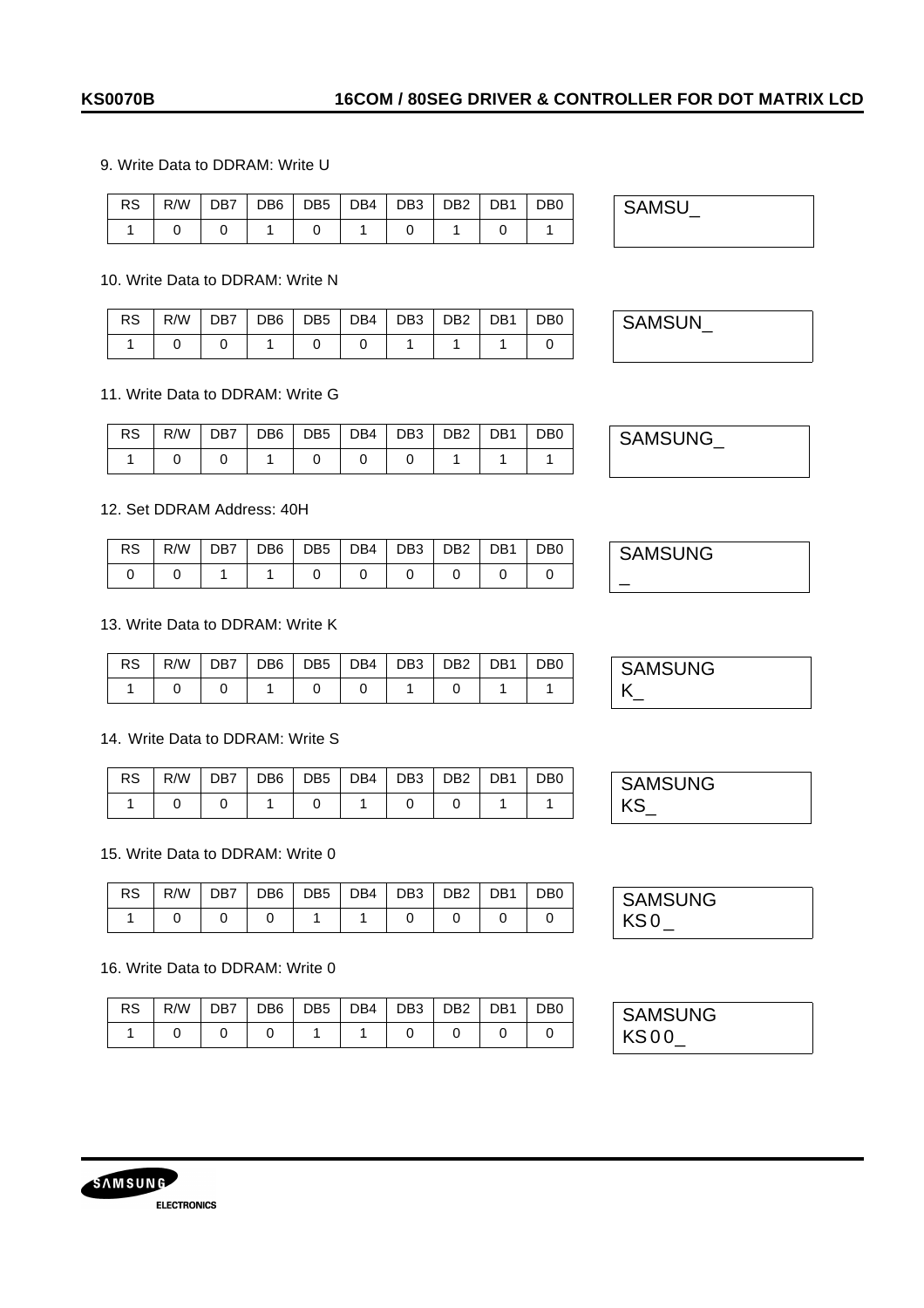### 9. Write Data to DDRAM: Write U

|  |  |  |  | RS   R/W   DB7   DB6   DB5   DB4   DB3   DB2   DB1   DB0 |  |
|--|--|--|--|----------------------------------------------------------|--|
|  |  |  |  |                                                          |  |

#### 10. Write Data to DDRAM: Write N

|  |  |  |  | RS   R/W   DB7   DB6   DB5   DB4   DB3   DB2   DB1   DB0 |  |
|--|--|--|--|----------------------------------------------------------|--|
|  |  |  |  |                                                          |  |

### 11. Write Data to DDRAM: Write G

|  |  |  |  | RS R/W DB7 DB6 DB5 DB4 DB3 DB2 DB1 | D <sub>B</sub> 0 |
|--|--|--|--|------------------------------------|------------------|
|  |  |  |  |                                    |                  |

### 12. Set DDRAM Address: 40H

|  |  |  |  | RS   R/W   DB7   DB6   DB5   DB4   DB3   DB2   DB1   DB0 |  |
|--|--|--|--|----------------------------------------------------------|--|
|  |  |  |  |                                                          |  |

### 13. Write Data to DDRAM: Write K

|  |  |  |  | $RS$   R/W   DB7   DB6   DB5   DB4   DB3   DB2   DB1   DB0 |  |
|--|--|--|--|------------------------------------------------------------|--|
|  |  |  |  |                                                            |  |

### 14. Write Data to DDRAM: Write S

|  |  |  |  | RS   R/W   DB7   DB6   DB5   DB4   DB3   DB2   DB1   DB0 |  |
|--|--|--|--|----------------------------------------------------------|--|
|  |  |  |  |                                                          |  |

### 15. Write Data to DDRAM: Write 0

|  |  |  |       | $RS   R/W   DB7   DB6   DB5   DB4   DB3   DB2   DB1   DB0$ |  |
|--|--|--|-------|------------------------------------------------------------|--|
|  |  |  | 1 0 1 |                                                            |  |

#### 16. Write Data to DDRAM: Write 0

|  |  |  |  | RS   R/W   DB7   DB6   DB5   DB4   DB3   DB2   DB1   DB0 |  |
|--|--|--|--|----------------------------------------------------------|--|
|  |  |  |  |                                                          |  |

SAMSU\_

SAMSUN\_

SAMSUNG\_

**SAMSUNG** 

\_

**SAMSUNG**  $K_{-}$ 

| <b>SAMSUNG</b> |  |
|----------------|--|
| ΚS             |  |

**SAMSUNG**  $KSO_{-}$ 

| <b>SAMSUNG</b> |  |
|----------------|--|
| KS00           |  |

![](_page_33_Picture_25.jpeg)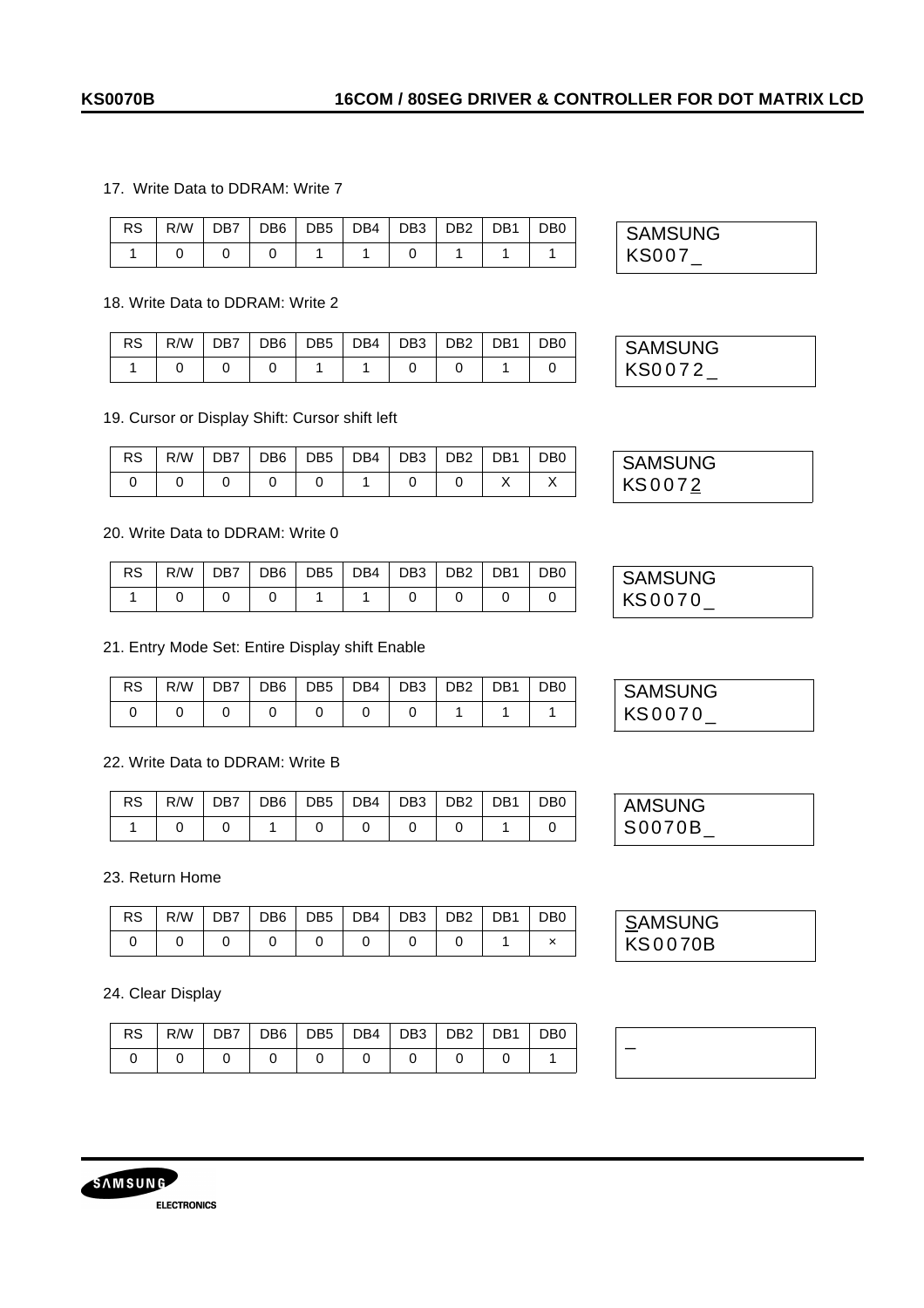### 17. Write Data to DDRAM: Write 7

|  |  | RS R/W DB7 DB6 DB5 DB4 DB3 DB2 DB1 DB0 |  |  |
|--|--|----------------------------------------|--|--|
|  |  |                                        |  |  |

### 18. Write Data to DDRAM: Write 2

| RS   R/W   DB7   DB6   DB5   DB4   DB3   DB2   DB1   DB0 |  |  |  |  |
|----------------------------------------------------------|--|--|--|--|
|                                                          |  |  |  |  |

### 19. Cursor or Display Shift: Cursor shift left

### 20. Write Data to DDRAM: Write 0

| RS . | R/W   DB7   DB6   DB5   DB4   DB3   DB2   DB1   DB0 |  |  |  |  |
|------|-----------------------------------------------------|--|--|--|--|
|      |                                                     |  |  |  |  |

### 21. Entry Mode Set: Entire Display shift Enable

## 22. Write Data to DDRAM: Write B

| RS   R/W   DB7   DB6   DB5   DB4   DB3   DB2   DB1   DB0 |  |  |  |  |
|----------------------------------------------------------|--|--|--|--|
|                                                          |  |  |  |  |

23. Return Home

| $RS$   R/W   DB7   DB6   DB5   DB4   DB3   DB2   DB1   DB0 |  |  |  |  |
|------------------------------------------------------------|--|--|--|--|
|                                                            |  |  |  |  |

#### 24. Clear Display

| RS   R/W   DB7   DB6   DB5   DB4   DB3   DB2   DB1   DB0 |  |  |  |  |
|----------------------------------------------------------|--|--|--|--|
|                                                          |  |  |  |  |

![](_page_34_Picture_18.jpeg)

| <b>SAMSUNG</b> |  |
|----------------|--|
| KS0072         |  |

| <b>SAMSUNG</b> |  |
|----------------|--|
| KS0072         |  |

| <b>SAMSUNG</b> |  |
|----------------|--|
| KS0070         |  |

| <b>SAMSUNG</b> |  |
|----------------|--|
| KS0070         |  |

| <b>AMSUNG</b> |  |
|---------------|--|
| S0070B        |  |

| <b>SAMSUNG</b> |  |
|----------------|--|
| <b>KS0070B</b> |  |

| _ |  |  |  |
|---|--|--|--|
|   |  |  |  |
|   |  |  |  |
|   |  |  |  |
|   |  |  |  |
|   |  |  |  |

![](_page_34_Picture_26.jpeg)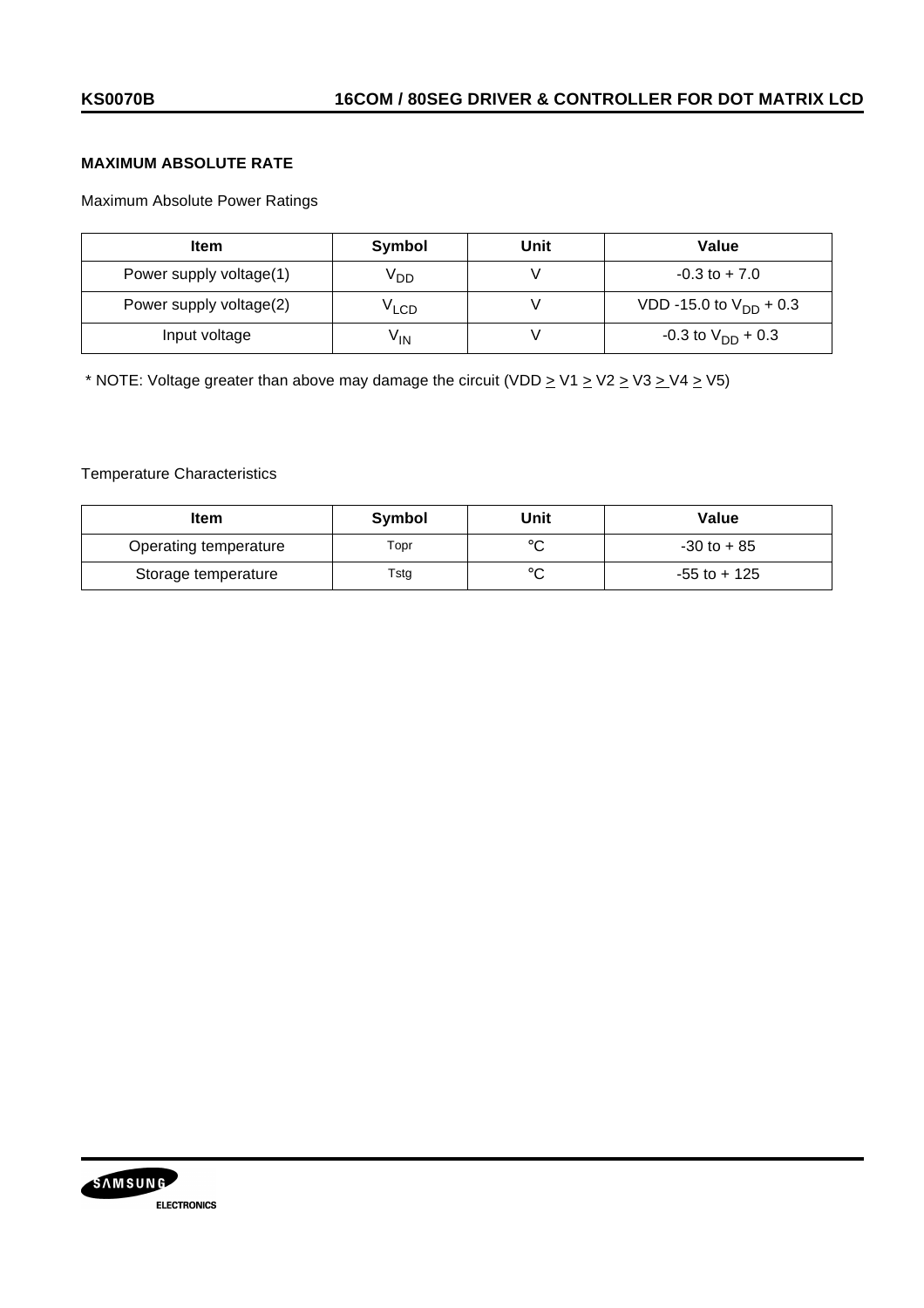# **MAXIMUM ABSOLUTE RATE**

Maximum Absolute Power Ratings

| <b>Item</b>             | Symbol           | Unit | Value                       |
|-------------------------|------------------|------|-----------------------------|
| Power supply voltage(1) | V <sub>DD</sub>  |      | $-0.3$ to $+7.0$            |
| Power supply voltage(2) | <sup>V</sup> LCD |      | VDD -15.0 to $V_{DD}$ + 0.3 |
| Input voltage           | V <sub>IN</sub>  |      | $-0.3$ to $V_{DD}$ + 0.3    |

\* NOTE: Voltage greater than above may damage the circuit (VDD  $\geq$  V1  $\geq$  V2  $\geq$  V3  $\geq$  V4  $\geq$  V5)

## Temperature Characteristics

| Item                  | Symbol | Unit           | Value           |
|-----------------------|--------|----------------|-----------------|
| Operating temperature | Topr   |                | $-30$ to $+85$  |
| Storage temperature   | Tstg   | $\circ$ $\sim$ | $-55$ to $+125$ |

![](_page_35_Picture_8.jpeg)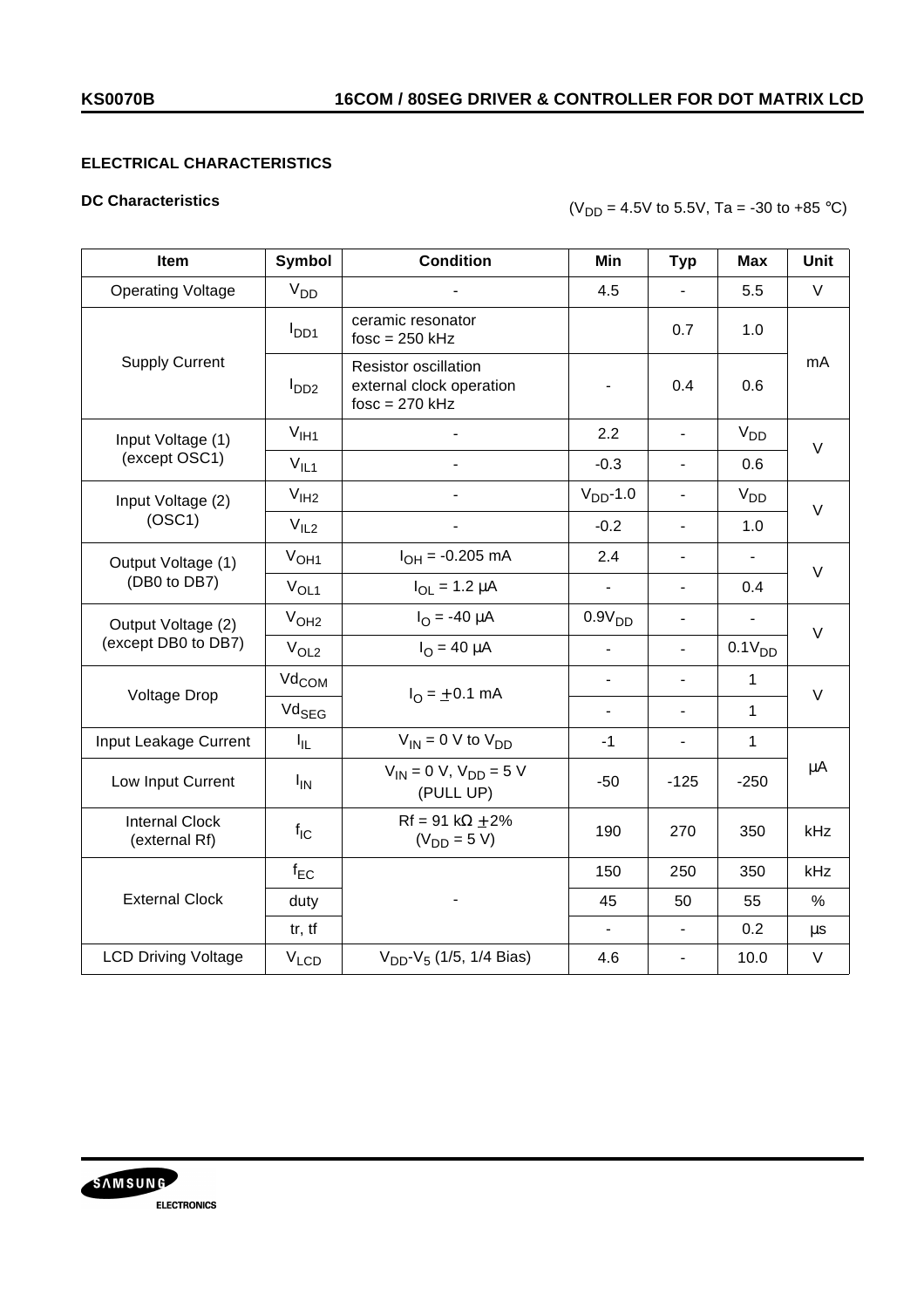# **ELECTRICAL CHARACTERISTICS**

## **DC Characteristics**

# $(V_{DD} = 4.5V \text{ to } 5.5V, \text{ Ta} = -30 \text{ to } +85 \text{ °C})$

| Item                                      | Symbol                | <b>Condition</b>                                                            | Min                      | <b>Typ</b>                   | <b>Max</b>               | Unit    |
|-------------------------------------------|-----------------------|-----------------------------------------------------------------------------|--------------------------|------------------------------|--------------------------|---------|
| <b>Operating Voltage</b>                  | V <sub>DD</sub>       |                                                                             | 4.5                      | $\blacksquare$               | 5.5                      | $\vee$  |
| <b>Supply Current</b>                     | $I_{DD1}$             | ceramic resonator<br>$fosc = 250$ kHz                                       |                          | 0.7                          | 1.0                      | mA      |
|                                           | I <sub>DD2</sub>      | <b>Resistor oscillation</b><br>external clock operation<br>$fosc = 270$ kHz |                          | 0.4                          | 0.6                      |         |
| Input Voltage (1)                         | $V_{\text{I}H1}$      |                                                                             | 2.2                      | $\overline{\phantom{a}}$     | $V_{DD}$                 | $\vee$  |
| (except OSC1)                             | $V_{IL1}$             | $\overline{a}$                                                              | $-0.3$                   | $\overline{\phantom{a}}$     | 0.6                      |         |
| Input Voltage (2)                         | V <sub>IH2</sub>      |                                                                             | $VDD$ -1.0               | $\overline{\phantom{a}}$     | V <sub>DD</sub>          | $\vee$  |
| (OSC1)                                    | V <sub>IL2</sub>      |                                                                             | $-0.2$                   | $\overline{\phantom{a}}$     | 1.0                      |         |
| Output Voltage (1)<br>(DB0 to DB7)        | V <sub>OH1</sub>      | $I_{OH} = -0.205$ mA                                                        | 2.4                      | $\overline{\phantom{0}}$     | $\overline{\phantom{0}}$ | $\vee$  |
|                                           | $V_{OL1}$             | $I_{OL} = 1.2 \mu A$                                                        | $\blacksquare$           | $\frac{1}{2}$                | 0.4                      |         |
| Output Voltage (2)<br>(except DB0 to DB7) | V <sub>OH2</sub>      | $I_{\Omega} = -40 \mu A$                                                    | 0.9V <sub>DD</sub>       | $\overline{\phantom{0}}$     | $\frac{1}{2}$            | $\vee$  |
|                                           | V <sub>OL2</sub>      | $I_{\Omega} = 40 \mu A$                                                     | $\frac{1}{2}$            | $\blacksquare$               | 0.1V <sub>DD</sub>       |         |
| Voltage Drop                              | Vd <sub>COM</sub>     | $I_{\Omega} = \pm 0.1$ mA                                                   | $\overline{\phantom{0}}$ | $\overline{a}$               | $\mathbf{1}$             | $\vee$  |
|                                           | Vd <sub>SEG</sub>     |                                                                             | $\overline{a}$           | $\overline{a}$               | $\mathbf{1}$             |         |
| Input Leakage Current                     | $I_{\rm IL}$          | $V_{IN}$ = 0 V to $V_{DD}$                                                  | $-1$                     | $\overline{\phantom{a}}$     | $\mathbf{1}$             |         |
| Low Input Current                         | <b>I<sub>IN</sub></b> | $V_{IN} = 0 V$ , $V_{DD} = 5 V$<br>(PULL UP)                                | $-50$                    | $-125$                       | $-250$                   | $\mu$ A |
| <b>Internal Clock</b><br>(external Rf)    | $f_{IC}$              | $Rf = 91 k\Omega + 2\%$<br>$(V_{DD} = 5 V)$                                 | 190                      | 270                          | 350                      | kHz     |
| <b>External Clock</b>                     | $f_{EC}$              |                                                                             | 150                      | 250                          | 350                      | kHz     |
|                                           | duty                  |                                                                             | 45                       | 50                           | 55                       | %       |
|                                           | tr, tf                |                                                                             | $\blacksquare$           | $\blacksquare$               | 0.2                      | $\mu s$ |
| <b>LCD Driving Voltage</b>                | $V_{LCD}$             | $V_{DD}$ - $V_5$ (1/5, 1/4 Bias)                                            | 4.6                      | $\qquad \qquad \blacksquare$ | 10.0                     | V       |

![](_page_36_Picture_6.jpeg)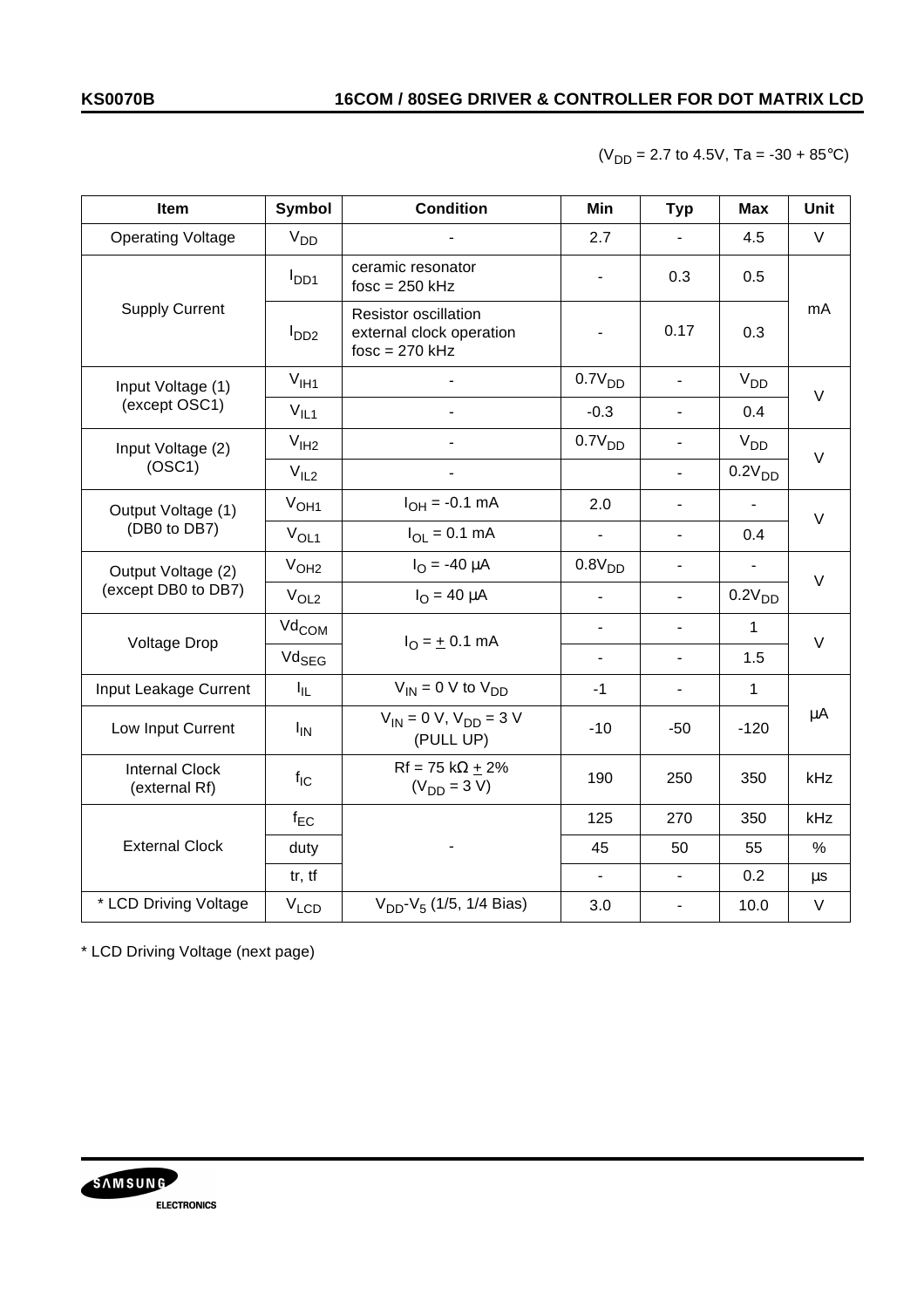$(V_{DD} = 2.7$  to 4.5V, Ta = -30 + 85°C)

| Item                                      | <b>Symbol</b>     | <b>Condition</b>                                                            | Min                          | <b>Typ</b>                   | <b>Max</b>         | Unit    |
|-------------------------------------------|-------------------|-----------------------------------------------------------------------------|------------------------------|------------------------------|--------------------|---------|
| <b>Operating Voltage</b>                  | V <sub>DD</sub>   |                                                                             | 2.7                          | $\qquad \qquad \blacksquare$ | 4.5                | $\vee$  |
| <b>Supply Current</b>                     | $I_{DD1}$         | ceramic resonator<br>$fosc = 250$ kHz                                       | $\qquad \qquad \blacksquare$ | 0.3                          | 0.5                |         |
|                                           | I <sub>DD2</sub>  | <b>Resistor oscillation</b><br>external clock operation<br>$fosc = 270$ kHz |                              | 0.17                         | 0.3                | mA      |
| Input Voltage (1)                         | $V_{I}H1$         |                                                                             | 0.7V <sub>DD</sub>           | $\blacksquare$               | V <sub>DD</sub>    | $\vee$  |
| (except OSC1)                             | $V_{IL1}$         |                                                                             | $-0.3$                       | $\blacksquare$               | 0.4                |         |
| Input Voltage (2)                         | V <sub>IH2</sub>  |                                                                             | 0.7V <sub>DD</sub>           | $\blacksquare$               | V <sub>DD</sub>    | $\vee$  |
| (OSC1)                                    | V <sub>IL2</sub>  |                                                                             |                              | $\mathbf{r}$                 | 0.2V <sub>DD</sub> |         |
| Output Voltage (1)<br>(DB0 to DB7)        | V <sub>OH1</sub>  | $I_{OH} = -0.1$ mA                                                          | 2.0                          | $\blacksquare$               |                    | $\vee$  |
|                                           | $V_{OL1}$         | $I_{OL} = 0.1$ mA                                                           |                              | $\blacksquare$               | 0.4                |         |
| Output Voltage (2)<br>(except DB0 to DB7) | V <sub>OH2</sub>  | $I_{\Omega} = -40 \mu A$                                                    | 0.8V <sub>DD</sub>           | $\overline{\phantom{m}}$     | $\frac{1}{2}$      | $\vee$  |
|                                           | V <sub>OL2</sub>  | $I_{\Omega} = 40 \mu A$                                                     | $\frac{1}{2}$                | $\blacksquare$               | 0.2V <sub>DD</sub> |         |
| Voltage Drop                              | Vd <sub>COM</sub> | $I_{\Omega} = \pm 0.1$ mA                                                   | $\blacksquare$               | $\overline{\phantom{a}}$     | 1                  | $\vee$  |
|                                           | Vd <sub>SEG</sub> |                                                                             | $\overline{\phantom{a}}$     | $\overline{\phantom{a}}$     | 1.5                |         |
| Input Leakage Current                     | $I_{IL}$          | $V_{IN} = 0$ V to $V_{DD}$                                                  | $-1$                         | $\overline{a}$               | $\mathbf{1}$       |         |
| Low Input Current                         | $I_{IN}$          | $V_{IN} = 0 V, V_{DD} = 3 V$<br>(PULL UP)                                   | $-10$                        | $-50$                        | $-120$             | μA      |
| <b>Internal Clock</b><br>(external Rf)    | $f_{IC}$          | $Rf = 75 k\Omega + 2\%$<br>$(V_{DD} = 3 V)$                                 | 190                          | 250                          | 350                | kHz     |
| <b>External Clock</b>                     | $f_{EC}$          |                                                                             | 125                          | 270                          | 350                | kHz     |
|                                           | duty              |                                                                             | 45                           | 50                           | 55                 | $\%$    |
|                                           | tr, tf            |                                                                             | $\blacksquare$               | $\blacksquare$               | 0.2                | $\mu$ s |
| * LCD Driving Voltage                     | $V_{LCD}$         | $V_{DD}$ - $V_5$ (1/5, 1/4 Bias)                                            | 3.0                          | $\overline{\phantom{a}}$     | 10.0               | $\vee$  |

\* LCD Driving Voltage (next page)

![](_page_37_Picture_5.jpeg)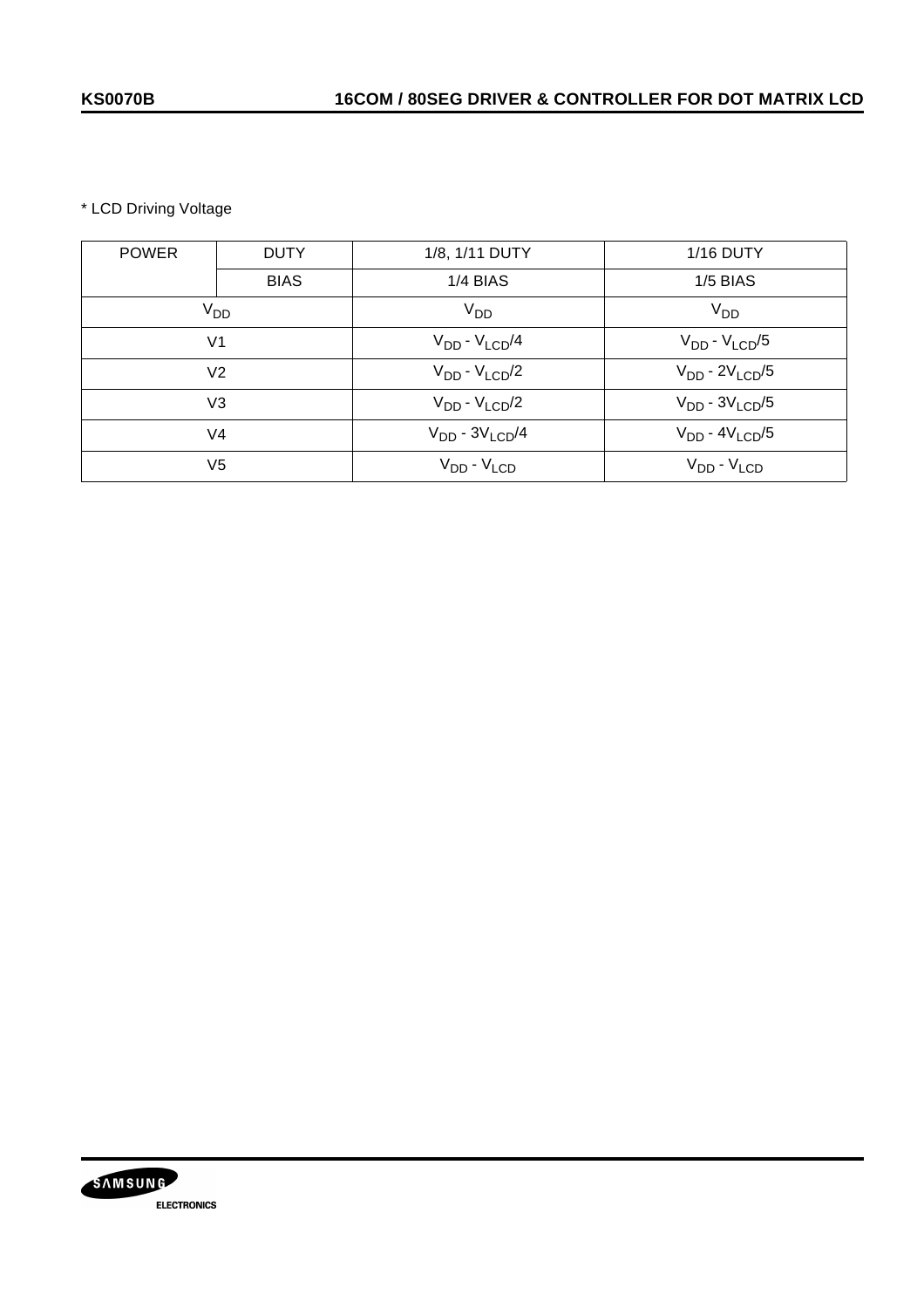\* LCD Driving Voltage

| <b>POWER</b>    | <b>DUTY</b> | 1/8, 1/11 DUTY        | <b>1/16 DUTY</b>      |
|-----------------|-------------|-----------------------|-----------------------|
|                 | <b>BIAS</b> | $1/4$ BIAS            | <b>1/5 BIAS</b>       |
| V <sub>DD</sub> |             | $V_{DD}$              | V <sub>DD</sub>       |
| V <sub>1</sub>  |             | $V_{DD} - V_{LCD}/4$  | $V_{DD} - V_{LCD}/5$  |
| V <sub>2</sub>  |             | $V_{DD} - V_{LCD}/2$  | $V_{DD} - 2V_{LCD}/5$ |
| V <sub>3</sub>  |             | $V_{DD} - V_{LCD}/2$  | $V_{DD} - 3V_{LCD}/5$ |
| V <sub>4</sub>  |             | $V_{DD} - 3V_{LCD}/4$ | $V_{DD} - 4V_{LCD}/5$ |
| V <sub>5</sub>  |             | $V_{DD} - V_{LCD}$    | $V_{DD} - V_{LCD}$    |

![](_page_38_Picture_4.jpeg)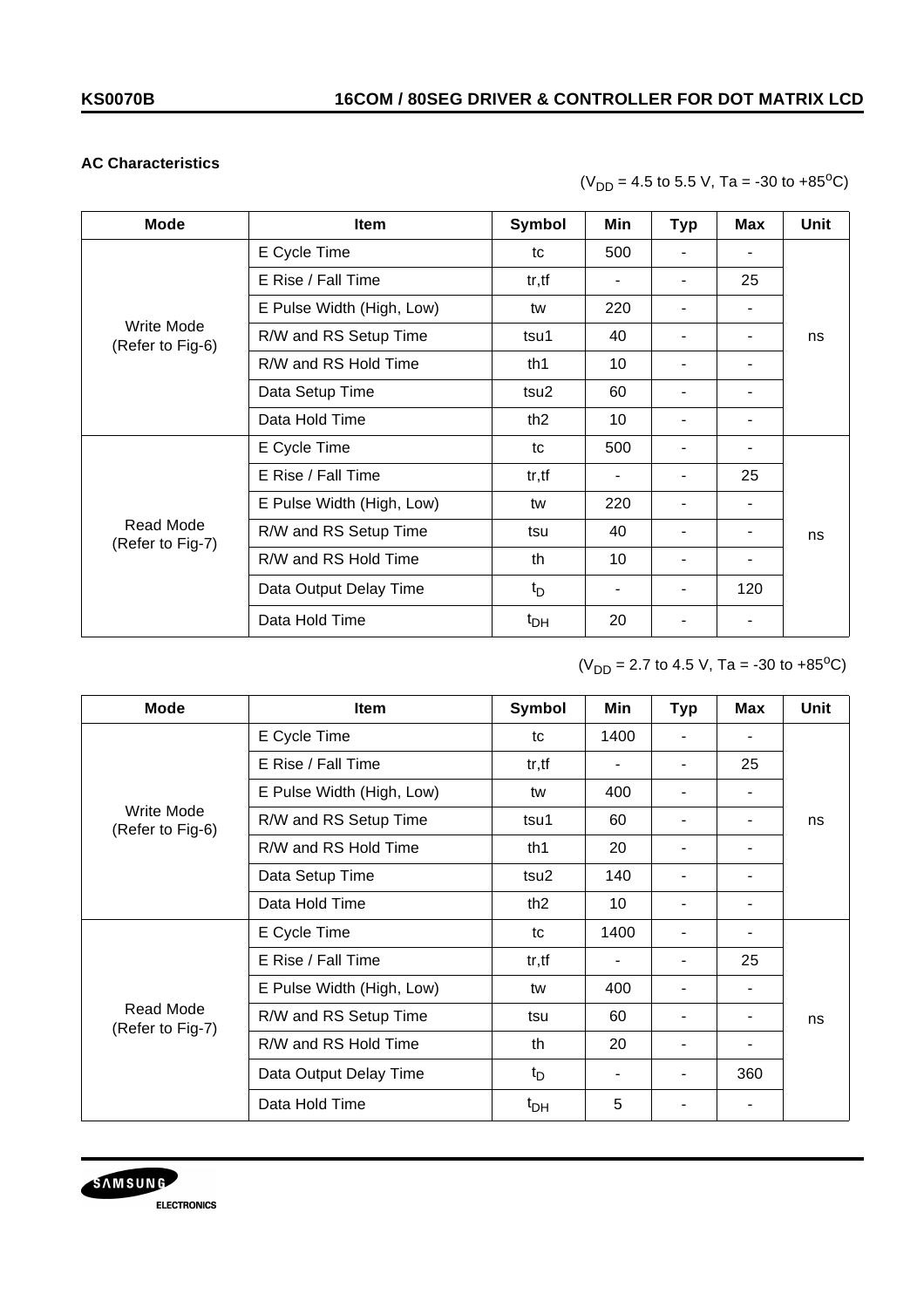## **AC Characteristics**

 $(V_{DD} = 4.5$  to 5.5 V, Ta = -30 to +85<sup>o</sup>C)

| <b>Mode</b>                    | <b>Item</b>               | Symbol          | Min                      | <b>Typ</b> | <b>Max</b> | <b>Unit</b> |  |
|--------------------------------|---------------------------|-----------------|--------------------------|------------|------------|-------------|--|
| Write Mode<br>(Refer to Fig-6) | E Cycle Time              | tc              | 500                      |            |            |             |  |
|                                | E Rise / Fall Time        | tr, tf          | $\blacksquare$           |            | 25         |             |  |
|                                | E Pulse Width (High, Low) | tw              | 220                      |            | ۰.         |             |  |
|                                | R/W and RS Setup Time     | tsu1            | 40                       |            | ۰          | ns          |  |
|                                | R/W and RS Hold Time      | th1             | 10                       |            |            |             |  |
|                                | Data Setup Time           | tsu2            | 60                       |            |            |             |  |
|                                | Data Hold Time            | th <sub>2</sub> | 10                       |            | ۰          |             |  |
| Read Mode<br>(Refer to Fig-7)  | E Cycle Time              | tc              | 500                      |            | ۰          |             |  |
|                                | E Rise / Fall Time        | tr, tf          | $\overline{\phantom{a}}$ |            | 25         |             |  |
|                                | E Pulse Width (High, Low) | tw              | 220                      |            | ۰          |             |  |
|                                | R/W and RS Setup Time     | tsu             | 40                       |            |            | ns          |  |
|                                | R/W and RS Hold Time      | th              | 10                       |            |            |             |  |
|                                | Data Output Delay Time    | $t_{\rm D}$     |                          |            | 120        |             |  |
|                                | Data Hold Time            | $t_{DH}$        | 20                       |            | ٠          |             |  |

 $(V_{DD} = 2.7$  to 4.5 V, Ta = -30 to +85<sup>o</sup>C)

| <b>Mode</b>                    | <b>Item</b>               | Symbol          | Min                      | <b>Typ</b>               | Max | Unit |  |
|--------------------------------|---------------------------|-----------------|--------------------------|--------------------------|-----|------|--|
| Write Mode<br>(Refer to Fig-6) | E Cycle Time              | tc              | 1400                     |                          |     |      |  |
|                                | E Rise / Fall Time        | tr, tf          | $\overline{\phantom{a}}$ | ٠                        | 25  |      |  |
|                                | E Pulse Width (High, Low) | tw              | 400                      |                          |     |      |  |
|                                | R/W and RS Setup Time     | tsu1            | 60                       |                          |     | ns   |  |
|                                | R/W and RS Hold Time      | th1             | 20                       |                          |     |      |  |
|                                | Data Setup Time           | tsu2            | 140                      |                          |     |      |  |
|                                | Data Hold Time            | th <sub>2</sub> | 10                       | $\blacksquare$           |     |      |  |
| Read Mode<br>(Refer to Fig-7)  | E Cycle Time              | tc              | 1400                     | ۰                        |     |      |  |
|                                | E Rise / Fall Time        | tr, tf          | $\overline{\phantom{a}}$ | $\overline{\phantom{a}}$ | 25  |      |  |
|                                | E Pulse Width (High, Low) | tw              | 400                      |                          |     |      |  |
|                                | R/W and RS Setup Time     | tsu             | 60                       | ٠                        |     | ns   |  |
|                                | R/W and RS Hold Time      | th              | 20                       |                          |     |      |  |
|                                | Data Output Delay Time    | $t_D$           |                          | ۰                        | 360 |      |  |
|                                | Data Hold Time            | $t_{DH}$        | 5                        | ۰                        |     |      |  |

![](_page_39_Picture_7.jpeg)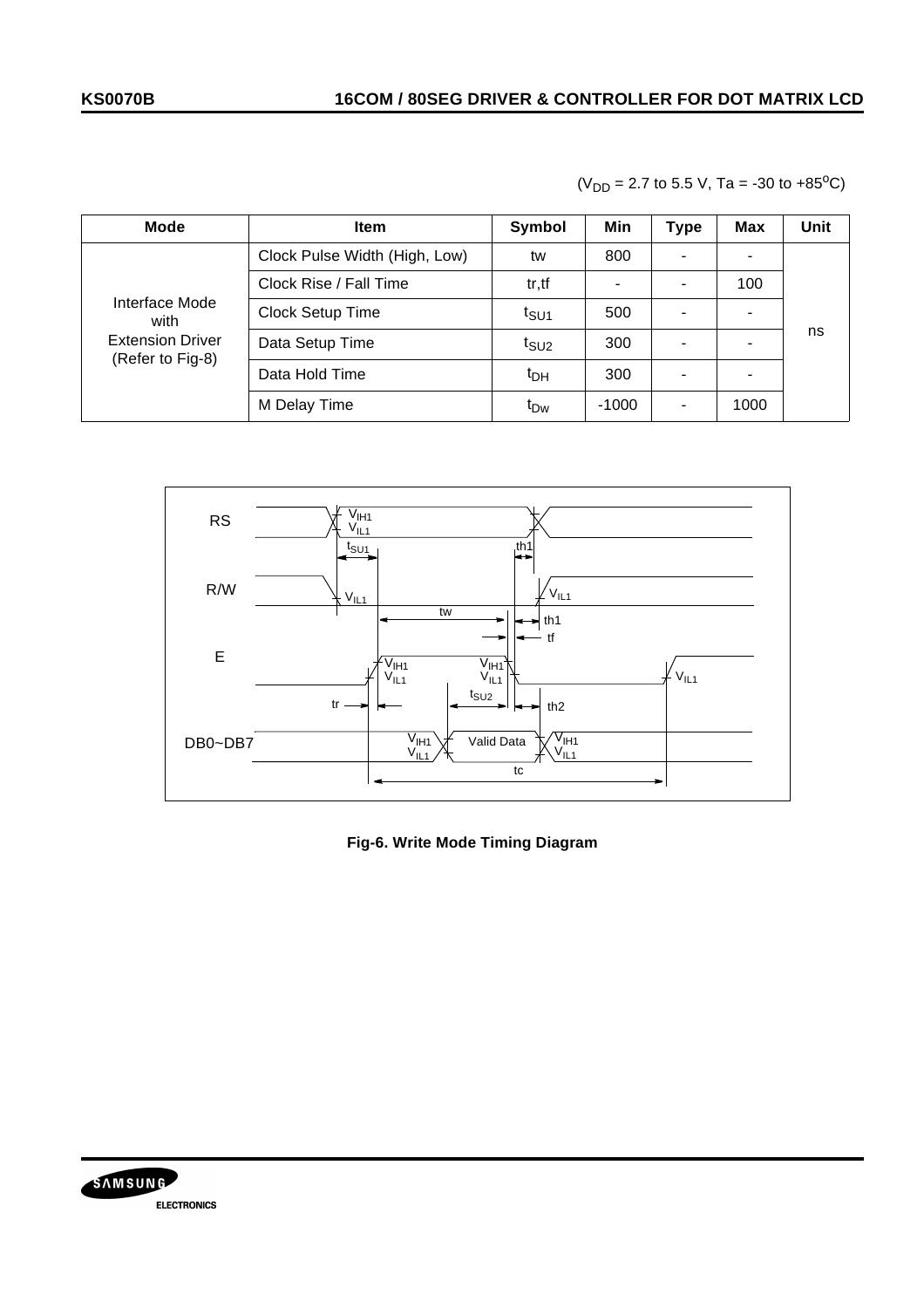| <b>Mode</b>                                                           | <b>Item</b>                   | Symbol           | Min            | <b>Type</b> | <b>Max</b> | Unit |  |
|-----------------------------------------------------------------------|-------------------------------|------------------|----------------|-------------|------------|------|--|
| Interface Mode<br>with<br><b>Extension Driver</b><br>(Refer to Fig-8) | Clock Pulse Width (High, Low) | tw               | 800            |             |            |      |  |
|                                                                       | Clock Rise / Fall Time        | tr, tf           | $\blacksquare$ |             | 100        |      |  |
|                                                                       | Clock Setup Time              | t <sub>SU1</sub> | 500            |             | ۰          |      |  |
|                                                                       | Data Setup Time               | $t_{\text{SU2}}$ | 300            |             |            | ns   |  |
|                                                                       | Data Hold Time                | $t_{DH}$         | 300            |             |            |      |  |
|                                                                       | M Delay Time                  | t <sub>Dw</sub>  | $-1000$        |             | 1000       |      |  |

![](_page_40_Figure_3.jpeg)

![](_page_40_Figure_4.jpeg)

**Fig-6. Write Mode Timing Diagram**

![](_page_40_Picture_6.jpeg)